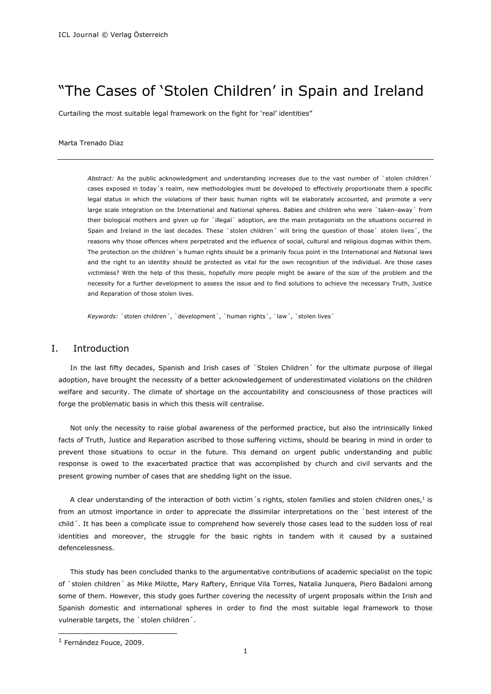# "The Cases of 'Stolen Children' in Spain and Ireland

Curtailing the most suitable legal framework on the fight for 'real' identities"

Marta Trenado Diaz

*Abstract:* As the public acknowledgment and understanding increases due to the vast number of `stolen children´ cases exposed in today´s realm, new methodologies must be developed to effectively proportionate them a specific legal status in which the violations of their basic human rights will be elaborately accounted, and promote a very large scale integration on the International and National spheres. Babies and children who were `taken-away´ from their biological mothers and given up for `illegal´ adoption, are the main protagonists on the situations occurred in Spain and Ireland in the last decades. These `stolen children´ will bring the question of those` stolen lives´, the reasons why those offences where perpetrated and the influence of social, cultural and religious dogmas within them. The protection on the children´s human rights should be a primarily focus point in the International and National laws and the right to an identity should be protected as vital for the own recognition of the individual. Are those cases victimless? With the help of this thesis, hopefully more people might be aware of the size of the problem and the necessity for a further development to assess the issue and to find solutions to achieve the necessary Truth, Justice and Reparation of those stolen lives.

*Keywords:* `stolen children´, `development´, `human rights´, `law´, `stolen lives´

#### I. Introduction

In the last fifty decades, Spanish and Irish cases of `Stolen Children´ for the ultimate purpose of illegal adoption, have brought the necessity of a better acknowledgement of underestimated violations on the children welfare and security. The climate of shortage on the accountability and consciousness of those practices will forge the problematic basis in which this thesis will centralise.

Not only the necessity to raise global awareness of the performed practice, but also the intrinsically linked facts of Truth, Justice and Reparation ascribed to those suffering victims, should be bearing in mind in order to prevent those situations to occur in the future. This demand on urgent public understanding and public response is owed to the exacerbated practice that was accomplished by church and civil servants and the present growing number of cases that are shedding light on the issue.

A clear understanding of the interaction of both victim's rights, stolen families and stolen children ones,<sup>1</sup> is from an utmost importance in order to appreciate the dissimilar interpretations on the `best interest of the child´. It has been a complicate issue to comprehend how severely those cases lead to the sudden loss of real identities and moreover, the struggle for the basic rights in tandem with it caused by a sustained defencelessness.

This study has been concluded thanks to the argumentative contributions of academic specialist on the topic of `stolen children´ as Mike Milotte, Mary Raftery, Enrique Vila Torres, Natalia Junquera, Piero Badaloni among some of them. However, this study goes further covering the necessity of urgent proposals within the Irish and Spanish domestic and international spheres in order to find the most suitable legal framework to those vulnerable targets, the `stolen children'.

 $\overline{\phantom{0}}$ 

<sup>&</sup>lt;sup>1</sup> Fernández Fouce, 2009.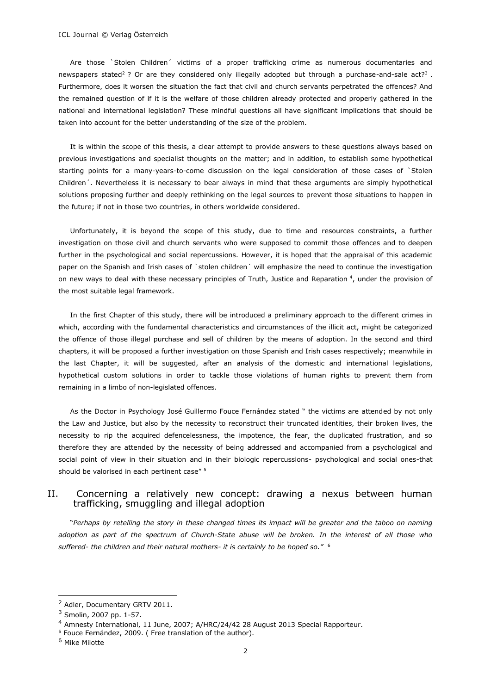#### ICL Journal © Verlag Österreich

Are those `Stolen Children´ victims of a proper trafficking crime as numerous documentaries and newspapers stated<sup>2</sup> ? Or are they considered only illegally adopted but through a purchase-and-sale act?<sup>3</sup>. Furthermore, does it worsen the situation the fact that civil and church servants perpetrated the offences? And the remained question of if it is the welfare of those children already protected and properly gathered in the national and international legislation? These mindful questions all have significant implications that should be taken into account for the better understanding of the size of the problem.

It is within the scope of this thesis, a clear attempt to provide answers to these questions always based on previous investigations and specialist thoughts on the matter; and in addition, to establish some hypothetical starting points for a many-years-to-come discussion on the legal consideration of those cases of `Stolen Children´. Nevertheless it is necessary to bear always in mind that these arguments are simply hypothetical solutions proposing further and deeply rethinking on the legal sources to prevent those situations to happen in the future; if not in those two countries, in others worldwide considered.

Unfortunately, it is beyond the scope of this study, due to time and resources constraints, a further investigation on those civil and church servants who were supposed to commit those offences and to deepen further in the psychological and social repercussions. However, it is hoped that the appraisal of this academic paper on the Spanish and Irish cases of `stolen children´ will emphasize the need to continue the investigation o[n](file:///C:/Users/c3221001/AppData/Local/Microsoft/Windows/Temporary%20Internet%20Files/Content.Outlook/G0O0U0UU/l%20%22page12%22) new ways to deal with these necessary principles of Truth, Justice and Reparation<sup>4</sup>, under the provision of the most suitable legal framework.

In the first Chapter of this study, there will be introduced a preliminary approach to the different crimes in which, according with the fundamental characteristics and circumstances of the illicit act, might be categorized the offence of those illegal purchase and sell of children by the means of adoption. In the second and third chapters, it will be proposed a further investigation on those Spanish and Irish cases respectively; meanwhile in the last Chapter, it will be suggested, after an analysis of the domestic and international legislations, hypothetical custom solutions in order to tackle those violations of human rights to prevent them from remaining in a limbo of non-legislated offences.

As the Doctor in Psychology José Guillermo Fouce Fernández stated " the victims are attended by not only the Law and Justice, but also by the necessity to reconstruct their truncated identities, their broken lives, the necessity to rip the acquired defencelessness, the impotence, the fear, the duplicated frustration, and so therefore they are attended by the necessity of being addressed and accompanied from a psychological and social point of view in their situation and in their biologic repercussions- psychological and social ones-that should be valorised in each pertinent case["](file:///C:/Users/c3221001/AppData/Local/Microsoft/Windows/Temporary%20Internet%20Files/Content.Outlook/G0O0U0UU/l%20%22page13%22) <sup>5</sup>

# II. Concerning a relatively new concept: drawing a nexus between human trafficking, smuggling and illegal adoption

"*Perhaps by retelling the story in these changed times its impact will be greater and the taboo on naming adoption as part of the spectrum of Church-State abuse will be broken. In the interest of all those who suffered- the children and their natural mothers- it is certainly to be hoped so."*<sup>6</sup>

ī

<sup>2</sup> Adler, Documentary GRTV 2011.

<sup>3</sup> Smolin, 2007 pp. 1-57.

<sup>4</sup> Amnesty International, 11 June, 2007; A/HRC/24/42 28 August 2013 Special Rapporteur.

<sup>5</sup> Fouce Fernández, 2009. ( Free translation of the author).

<sup>6</sup> Mike Milotte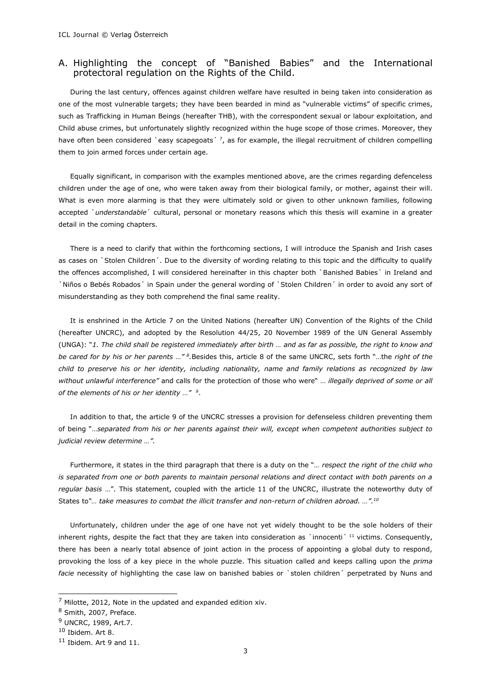### A. Highlighting the concept of "Banished Babies" and the International protectoral regulation on the Rights of the Child.

During the last century, offences against children welfare have resulted in being taken into consideration as one of the most vulnerable targets; they have been bearded in mind as "vulnerable victims" of specific crimes, such as Trafficking in Human Beings (hereafter THB), with the correspondent sexual or labour exploitation, and Child abuse crimes, but unfortunately slightly recognized within the huge scope of those crimes. Moreover, they have often been considered `easy scapegoats'  $^7$ , as for example, the illegal recruitment of children compelling them to join armed forces under certain age.

Equally significant, in comparison with the examples mentioned above, are the crimes regarding defenceless children under the age of one, who were taken away from their biological family, or mother, against their will. What is even more alarming is that they were ultimately sold or given to other unknown families, following accepted `*understandable*´ cultural, personal or monetary reasons which this thesis will examine in a greater detail in the coming chapters.

There is a need to clarify that within the forthcoming sections, I will introduce the Spanish and Irish cases as cases on `Stolen Children´. Due to the diversity of wording relating to this topic and the difficulty to qualify the offences accomplished, I will considered hereinafter in this chapter both `Banished Babies´ in Ireland and `Niños o Bebés Robados´ in Spain under the general wording of `Stolen Children´ in order to avoid any sort of misunderstanding as they both comprehend the final same reality.

It is enshrined in the Article 7 on the United Nations (hereafter UN) Convention of the Rights of the Child (hereafter UNCRC), and adopted by the Resolution 44/25, 20 November 1989 of the UN General Assembly (UNGA): "*1. The child shall be registered immediately after birth … and as far as possible, the right to know and be cared for by his or her parents …["](file:///C:/Users/c3221001/AppData/Local/Microsoft/Windows/Temporary%20Internet%20Files/Content.Outlook/G0O0U0UU/l%20%22page16%22) <sup>8</sup> .*Besides this, article 8 of the same UNCRC, sets forth "…the *right of the child to preserve his or her identity, including nationality, name and family relations as recognized by law without unlawful interference"* and calls for the protection of those who were" … *illegally deprived of some or all of the elements of his or her identity …"<sup>9</sup>* .

In addition to that, the article 9 of the UNCRC stresses a provision for defenseless children preventing them of being "…*separated from his or her parents against their will, except when competent authorities subject to judicial review determine …".*

Furthermore, it states in the third paragraph that there is a duty on the "… *respect the right of the child who is separated from one or both parents to maintain personal relations and direct contact with both parents on a regular basis* …". This statement, coupled with the article 11 of the UNCRC, illustrate the noteworthy duty of States to*"… take measures to combat the illicit transfer and non-return of children abroad. …".<sup>10</sup>*

Unfortunately, children under the age of one have not yet widely thought to be the sole holders of their inherent rights, despite the fact that they are taken into consideration as `innocenti'  $11$  victims. Consequently, there has been a nearly total absence of joint action in the process of appointing a global duty to respond, provoking the loss of a key piece in the whole puzzle. This situation called and keeps calling upon the *prima facie* necessity of highlighting the case law on banished babies or `stolen children´ perpetrated by Nuns and

 $7$  Milotte, 2012, Note in the updated and expanded edition xiv.

<sup>8</sup> Smith, 2007, Preface.

<sup>9</sup> UNCRC, 1989, Art.7.

<sup>10</sup> Ibidem. Art 8.

<sup>11</sup> Ibidem. Art 9 and 11.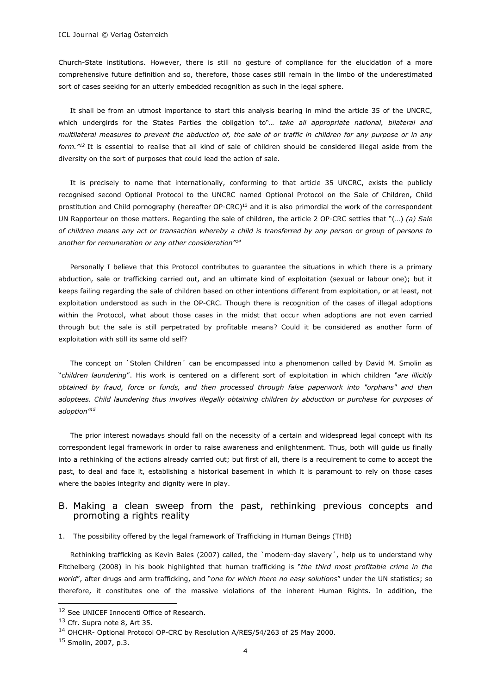Church-State institutions. However, there is still no gesture of compliance for the elucidation of a more comprehensive future definition and so, therefore, those cases still remain in the limbo of the underestimated sort of cases seeking for an utterly embedded recognition as such in the legal sphere.

It shall be from an utmost importance to start this analysis bearing in mind the article 35 of the UNCRC, which undergirds for the States Parties the obligation to"*… take all appropriate national, bilateral and multilateral measures to prevent the abduction of, the sale of or traffic in children for any purpose or in any form."<sup>12</sup>* It is essential to realise that all kind of sale of children should be considered illegal aside from the diversity on the sort of purposes that could lead the action of sale.

It is precisely to name that internationally, conforming to that article 35 UNCRC, exists the publicly recognised second Optional Protocol to the UNCRC named Optional Protocol on the Sale of Children, Child prostitution and Child pornography (hereafter OP-CRC)<sup>13</sup> and it is also primordial the work of the correspondent UN Rapporteur on those matters. Regarding the sale of children, the article 2 OP-CRC settles that "(…) *(a) Sale of children means any act or transaction whereby a child is transferred by any person or group of persons to another for remuneration or any other consideration"<sup>14</sup>*

Personally I believe that this Protocol contributes to guarantee the situations in which there is a primary abduction, sale or trafficking carried out, and an ultimate kind of exploitation (sexual or labour one); but it keeps failing regarding the sale of children based on other intentions different from exploitation, or at least, not exploitation understood as such in the OP-CRC. Though there is recognition of the cases of illegal adoptions within the Protocol, what about those cases in the midst that occur when adoptions are not even carried through but the sale is still perpetrated by profitable means? Could it be considered as another form of exploitation with still its same old self?

The concept on `Stolen Children´ can be encompassed into a phenomenon called by David M. Smolin as "*children laundering*". His work is centered on a different sort of exploitation in which children *"are illicitly obtained by fraud, force or funds, and then processed through false paperwork into "orphans" and then adoptees. Child laundering thus involves illegally obtaining children by abduction or purchase for purposes of adoption"<sup>15</sup>*

The prior interest nowadays should fall on the necessity of a certain and widespread legal concept with its correspondent legal framework in order to raise awareness and enlightenment. Thus, both will guide us finally into a rethinking of the actions already carried out; but first of all, there is a requirement to come to accept the past, to deal and face it, establishing a historical basement in which it is paramount to rely on those cases where the babies integrity and dignity were in play.

### B. Making a clean sweep from the past, rethinking previous concepts and promoting a rights reality

1. The possibility offered by the legal framework of Trafficking in Human Beings (THB)

Rethinking trafficking as Kevin Bales (2007) called, the `modern-day slavery´, help us to understand why Fitchelberg (2008) in his book highlighted that human trafficking is "*the third most profitable crime in the world*", after drugs and arm trafficking, and "*one for which there no easy solutions*" under the UN statistics; so therefore, it constitutes one of the massive violations of the inherent Human Rights. In addition, the

<sup>12</sup> See UNICEF Innocenti Office of Research.

<sup>13</sup> Cfr. Supra note 8, Art 35.

<sup>14</sup> OHCHR- Optional Protocol OP-CRC by Resolution A/RES/54/263 of 25 May 2000.

<sup>15</sup> Smolin, 2007, p.3.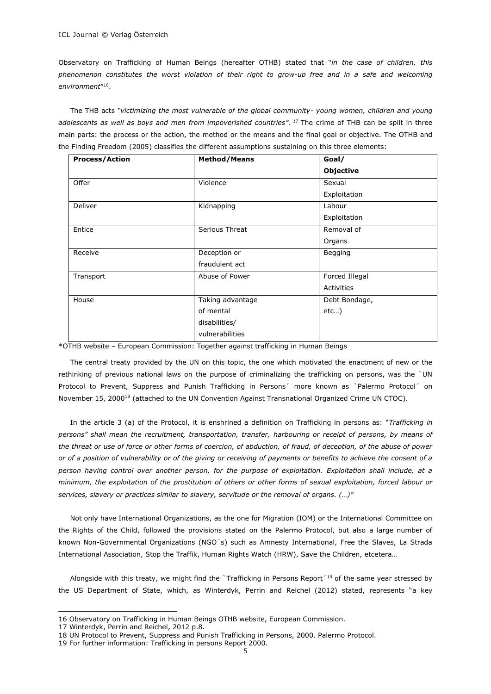Observatory on Trafficking of Human Beings (hereafter OTHB) stated that "*in the case of children, this phenomenon constitutes the worst violation of their right to grow-up free and in a safe and welcoming environment*" 16 .

The THB acts *"victimizing the most vulnerable of the global community- young women, children and young adolescents as well as boys and men from impoverished countries". <sup>17</sup>* The crime of THB can be spilt in three main parts: the process or the action, the method or the means and the final goal or objective. The OTHB and the Finding Freedom (2005) classifies the different assumptions sustaining on this three elements:

| <b>Method/Means</b> | Goal/            |
|---------------------|------------------|
|                     | <b>Objective</b> |
| Violence            | Sexual           |
|                     | Exploitation     |
| Kidnapping          | Labour           |
|                     | Exploitation     |
| Serious Threat      | Removal of       |
|                     | Organs           |
| Deception or        | <b>Begging</b>   |
| fraudulent act      |                  |
| Abuse of Power      | Forced Illegal   |
|                     | Activities       |
| Taking advantage    | Debt Bondage,    |
| of mental           | etc)             |
| disabilities/       |                  |
| vulnerabilities     |                  |
|                     |                  |

\*OTHB website – European Commission: Together against trafficking in Human Beings

The central treaty provided by the UN on this topic, the one which motivated the enactment of new or the rethinking of previous national laws on the purpose of criminalizing the trafficking on persons, was the `UN Protocol to Prevent, Suppress and Punish Trafficking in Persons´ more known as `Palermo Protocol´ on November 15, 2000<sup>18</sup> (attached to the UN Convention Against Transnational Organized Crime UN CTOC).

In the article 3 (a) of the Protocol, it is enshrined a definition on Trafficking in persons as: "*Trafficking in persons" shall mean the recruitment, transportation, transfer, harbouring or receipt of persons, by means of the threat or use of force or other forms of coercion, of abduction, of fraud, of deception, of the abuse of power or of a position of vulnerability or of the giving or receiving of payments or benefits to achieve the consent of a person having control over another person, for the purpose of exploitation. Exploitation shall include, at a minimum, the exploitation of the prostitution of others or other forms of sexual exploitation, forced labour or services, slavery or practices similar to slavery, servitude or the removal of organs. (…)"*

Not only have International Organizations, as the one for Migration (IOM) or the International Committee on the Rights of the Child, followed the provisions stated on the Palermo Protocol, but also a large number of known Non-Governmental Organizations (NGO´s) such as Amnesty International, Free the Slaves, La Strada International Association, Stop the Traffik, Human Rights Watch (HRW), Save the Children, etcetera…

Alongside with this treaty, we might find the `Trafficking in Persons Report´<sup>19</sup> of the same year stressed by the US Department of State, which, as Winterdyk, Perrin and Reichel (2012) stated, represents "a key

<sup>16</sup> Observatory on Trafficking in Human Beings OTHB website, European Commission.

<sup>17</sup> Winterdyk, Perrin and Reichel, 2012 p.8.

<sup>18</sup> UN Protocol to Prevent, Suppress and Punish Trafficking in Persons, 2000. Palermo Protocol.

<sup>19</sup> For further information: Trafficking in persons Report 2000.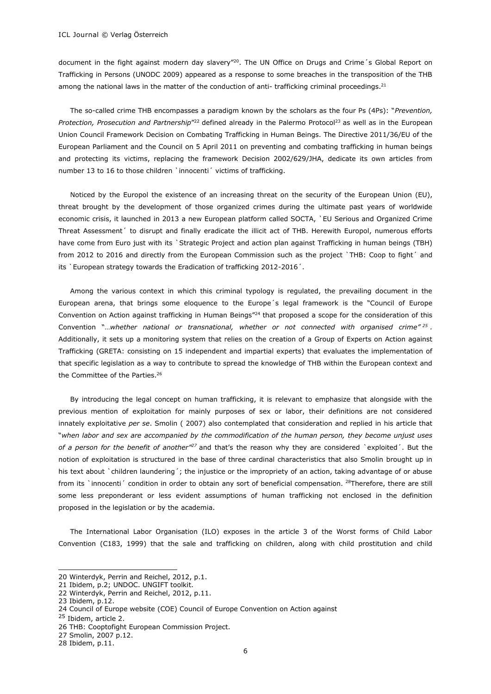document in the fight against modern day slavery"<sup>20</sup>. The UN Office on Drugs and Crime's Global Report on Trafficking in Persons (UNODC 2009) appeared as a response to some breaches in the transposition of the THB among the national laws in the matter of the conduction of anti- trafficking criminal proceedings.<sup>21</sup>

The so-called crime THB encompasses a paradigm known by the scholars as the four Ps (4Ps): "*Prevention,*  Protection, Prosecution and Partnership<sup>"22</sup> defined already in the Palermo Protocol<sup>23</sup> as well as in the European Union Council Framework Decision on Combating Trafficking in Human Beings. The Directive 2011/36/EU of the European Parliament and the Council on 5 April 2011 on preventing and combating trafficking in human beings and protecting its victims, replacing the framework Decision 2002/629/JHA, dedicate its own articles from number 13 to 16 to those children `innocenti' victims of trafficking.

Noticed by the Europol the existence of an increasing threat on the security of the European Union (EU), threat brought by the development of those organized crimes during the ultimate past years of worldwide economic crisis, it launched in 2013 a new European platform called SOCTA, `EU Serious and Organized Crime Threat Assessment´ to disrupt and finally eradicate the illicit act of THB. Herewith Europol, numerous efforts have come from Euro just with its `Strategic Project and action plan against Trafficking in human beings (TBH) from 2012 to 2016 and directly from the European Commission such as the project `THB: Coop to fight´ and its `European strategy towards the Eradication of trafficking 2012-2016´.

Among the various context in which this criminal typology is regulated, the prevailing document in the European arena, that brings some eloquence to the Europe´s legal framework is the "Council of Europe Convention on Action against trafficking in Human Beings"<sup>24</sup> that proposed a scope for the consideration of this Convention "…*whether national or transnational, whether or not connected with organised crime" <sup>25</sup> .*  Additionally, it sets up a monitoring system that relies on the creation of a Group of Experts on Action against Trafficking (GRETA: consisting on 15 independent and impartial experts) that evaluates the implementation of that specific legislation as a way to contribute to spread the knowledge of THB within the European context and the Committee of the Parties.<sup>26</sup>

By introducing the legal concept on human trafficking, it is relevant to emphasize that alongside with the previous mention of exploitation for mainly purposes of sex or labor, their definitions are not considered innately exploitative *per se*. Smolin ( 2007) also contemplated that consideration and replied in his article that "*when labor and sex are accompanied by the commodification of the human person, they become unjust uses of a person for the benefit of another"<sup>27</sup>* and that's the reason why they are considered `exploited´. But the notion of exploitation is structured in the base of three cardinal characteristics that also Smolin brought up in his text about `children laundering´; the injustice or the impropriety of an action, taking advantage of or abuse from its `innocenti´ condition in order to obtain any sort of beneficial compensation. <sup>28</sup>Therefore, there are still some less preponderant or less evident assumptions of human trafficking not enclosed in the definition proposed in the legislation or by the academia.

The International Labor Organisation (ILO) exposes in the article 3 of the Worst forms of Child Labor Convention (C183, 1999) that the sale and trafficking on children, along with child prostitution and child

l

26 THB: Cooptofight European Commission Project.

<sup>20</sup> Winterdyk, Perrin and Reichel, 2012, p.1.

<sup>21</sup> Ibidem, p.2; UNDOC. UNGIFT toolkit.

<sup>22</sup> Winterdyk, Perrin and Reichel, 2012, p.11.

<sup>23</sup> Ibidem, p.12.

<sup>24</sup> Council of Europe website (COE) Council of Europe Convention on Action against

<sup>25</sup> Ibidem, article 2.

<sup>27</sup> Smolin, 2007 p.12.

<sup>28</sup> Ibidem, p.11.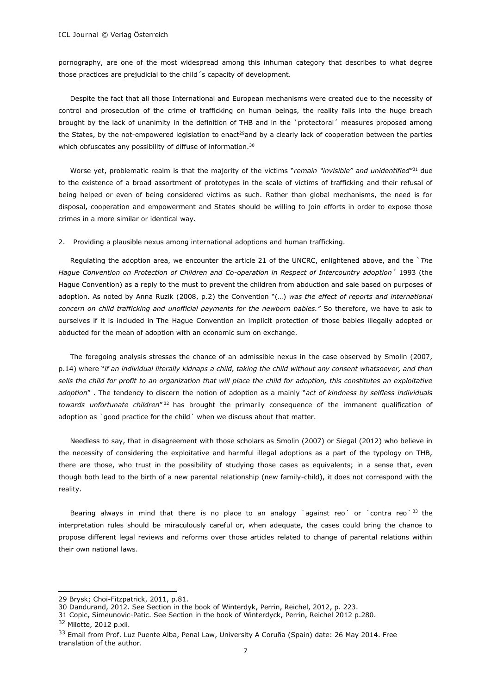pornography, are one of the most widespread among this inhuman category that describes to what degree those practices are prejudicial to the child´s capacity of development.

Despite the fact that all those International and European mechanisms were created due to the necessity of control and prosecution of the crime of trafficking on human beings, the reality fails into the huge breach brought by the lack of unanimity in the definition of THB and in the `protectoral´ measures proposed among the States, by the not-empowered legislation to enact<sup>29</sup>and by a clearly lack of cooperation between the parties which obfuscates any possibility of diffuse of information.<sup>30</sup>

Worse yet, problematic realm is that the majority of the victims "*remain "invisible" and unidentified*" <sup>31</sup> due to the existence of a broad assortment of prototypes in the scale of victims of trafficking and their refusal of being helped or even of being considered victims as such. Rather than global mechanisms, the need is for disposal, cooperation and empowerment and States should be willing to join efforts in order to expose those crimes in a more similar or identical way.

2. Providing a plausible nexus among international adoptions and human trafficking.

Regulating the adoption area, we encounter the article 21 of the UNCRC, enlightened above, and the `*The Hague Convention on Protection of Children and Co-operation in Respect of Intercountry adoption´* 1993 (the Hague Convention) as a reply to the must to prevent the children from abduction and sale based on purposes of adoption. As noted by Anna Ruzik (2008, p.2) the Convention "(…) *was the effect of reports and international concern on child trafficking and unofficial payments for the newborn babies."* So therefore, we have to ask to ourselves if it is included in The Hague Convention an implicit protection of those babies illegally adopted or abducted for the mean of adoption with an economic sum on exchange.

The foregoing analysis stresses the chance of an admissible nexus in the case observed by Smolin (2007, p.14) where "*if an individual literally kidnaps a child, taking the child without any consent whatsoever, and then sells the child for profit to an organization that will place the child for adoption, this constitutes an exploitative adoption*" . The tendency to discern the notion of adoption as a mainly "*act of kindness by selfless individuals towards unfortunate children*" <sup>32</sup> has brought the primarily consequence of the immanent qualification of adoption as `good practice for the child´ when we discuss about that matter.

Needless to say, that in disagreement with those scholars as Smolin (2007) or Siegal (2012) who believe in the necessity of considering the exploitative and harmful illegal adoptions as a part of the typology on THB, there are those, who trust in the possibility of studying those cases as equivalents; in a sense that, even though both lead to the birth of a new parental relationship (new family-child), it does not correspond with the reality.

Bearing always in mind that there is no place to an analogy `against reo' or `contra reo' 33 the interpretation rules should be miraculously careful or, when adequate, the cases could bring the chance to propose different legal reviews and reforms over those articles related to change of parental relations within their own national laws.

 $\overline{\phantom{0}}$ 

<sup>29</sup> Brysk; Choi-Fitzpatrick, 2011, p.81.

<sup>30</sup> Dandurand, 2012. See Section in the book of Winterdyk, Perrin, Reichel, 2012, p. 223.

<sup>31</sup> Copic, Simeunovic-Patic. See Section in the book of Winterdyck, Perrin, Reichel 2012 p.280.

<sup>32</sup> Milotte, 2012 p.xii.

<sup>33</sup> Email from Prof. Luz Puente Alba, Penal Law, University A Coruña (Spain) date: 26 May 2014. Free translation of the author.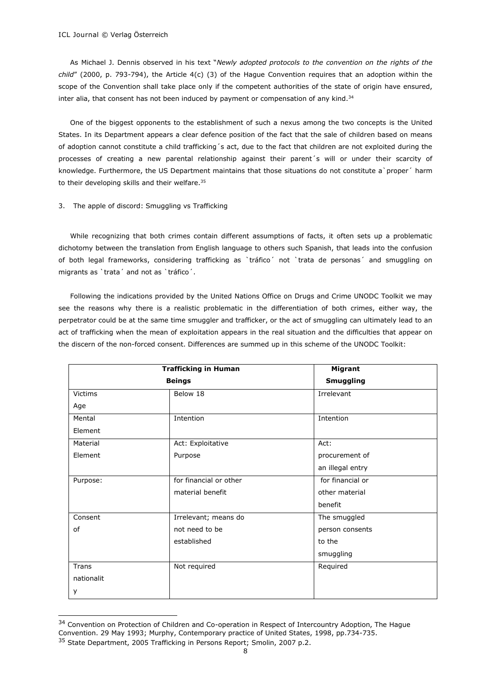As Michael J. Dennis observed in his text "*Newly adopted protocols to the convention on the rights of the child*" (2000, p. 793-794), the Article 4(c) (3) of the Hague Convention requires that an adoption within the scope of the Convention shall take place only if the competent authorities of the state of origin have ensured, inter alia, that consent has not been induced by payment or compensation of any kind.<sup>34</sup>

One of the biggest opponents to the establishment of such a nexus among the two concepts is the United States. In its Department appears a clear defence position of the fact that the sale of children based on means of adoption cannot constitute a child trafficking´s act, due to the fact that children are not exploited during the processes of creating a new parental relationship against their parent´s will or under their scarcity of knowledge. Furthermore, the US Department maintains that those situations do not constitute a`proper´ harm to their developing skills and their welfare.<sup>35</sup>

#### 3. The apple of discord: Smuggling vs Trafficking

While recognizing that both crimes contain different assumptions of facts, it often sets up a problematic dichotomy between the translation from English language to others such Spanish, that leads into the confusion of both legal frameworks, considering trafficking as `tráfico´ not `trata de personas´ and smuggling on migrants as `trata´ and not as `tráfico´.

Following the indications provided by the United Nations Office on Drugs and Crime UNODC Toolkit we may see the reasons why there is a realistic problematic in the differentiation of both crimes, either way, the perpetrator could be at the same time smuggler and trafficker, or the act of smuggling can ultimately lead to an act of trafficking when the mean of exploitation appears in the real situation and the difficulties that appear on the discern of the non-forced consent. Differences are summed up in this scheme of the UNODC Toolkit:

|            | <b>Trafficking in Human</b> | <b>Migrant</b>   |
|------------|-----------------------------|------------------|
|            | <b>Beings</b>               | <b>Smuggling</b> |
| Victims    | Below 18                    | Irrelevant       |
| Age        |                             |                  |
| Mental     | Intention                   | Intention        |
| Element    |                             |                  |
| Material   | Act: Exploitative           | Act:             |
| Element    | Purpose                     | procurement of   |
|            |                             | an illegal entry |
| Purpose:   | for financial or other      | for financial or |
|            | material benefit            | other material   |
|            |                             | benefit          |
| Consent    | Irrelevant; means do        | The smuggled     |
| of         | not need to be              | person consents  |
|            | established                 | to the           |
|            |                             | smuggling        |
| Trans      | Not required                | Required         |
| nationalit |                             |                  |
| у          |                             |                  |

<sup>&</sup>lt;sup>34</sup> Convention on Protection of Children and Co-operation in Respect of Intercountry Adoption, The Hague Convention. 29 May 1993; Murphy, Contemporary practice of United States, 1998, pp.734-735.

ī

<sup>35</sup> State Department, 2005 Trafficking in Persons Report; Smolin, 2007 p.2.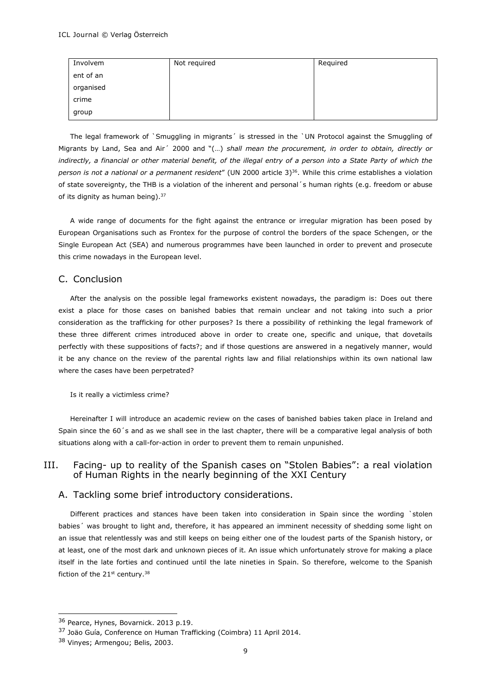| Involvem  | Not required | Required |
|-----------|--------------|----------|
| ent of an |              |          |
| organised |              |          |
| crime     |              |          |
| group     |              |          |

The legal framework of `Smuggling in migrants´ is stressed in the `UN Protocol against the Smuggling of Migrants by Land, Sea and Air´ 2000 and "(…) *shall mean the procurement, in order to obtain, directly or*  indirectly, a financial or other material benefit, of the illegal entry of a person into a State Party of which the *person is not a national or a permanent resident*" (UN 2000 article 3)<sup>36</sup> . While this crime establishes a violation of state sovereignty, the THB is a violation of the inherent and personal´s human rights (e.g. freedom or abuse of its dignity as human being). $37$ 

A wide range of documents for the fight against the entrance or irregular migration has been posed by European Organisations such as Frontex for the purpose of control the borders of the space Schengen, or the Single European Act (SEA) and numerous programmes have been launched in order to prevent and prosecute this crime nowadays in the European level.

# C. Conclusion

After the analysis on the possible legal frameworks existent nowadays, the paradigm is: Does out there exist a place for those cases on banished babies that remain unclear and not taking into such a prior consideration as the trafficking for other purposes? Is there a possibility of rethinking the legal framework of these three different crimes introduced above in order to create one, specific and unique, that dovetails perfectly with these suppositions of facts?; and if those questions are answered in a negatively manner, would it be any chance on the review of the parental rights law and filial relationships within its own national law where the cases have been perpetrated?

Is it really a victimless crime?

Hereinafter I will introduce an academic review on the cases of banished babies taken place in Ireland and Spain since the 60´s and as we shall see in the last chapter, there will be a comparative legal analysis of both situations along with a call-for-action in order to prevent them to remain unpunished.

# III. Facing- up to reality of the Spanish cases on "Stolen Babies": a real violation of Human Rights in the nearly beginning of the XXI Century

### A. Tackling some brief introductory considerations.

Different practices and stances have been taken into consideration in Spain since the wording `stolen babies´ was brought to light and, therefore, it has appeared an imminent necessity of shedding some light on an issue that relentlessly was and still keeps on being either one of the loudest parts of the Spanish history, or at least, one of the most dark and unknown pieces of it. An issue which unfortunately strove for making a place itself in the late forties and continued until the late nineties in Spain. So therefore, welcome to the Spanish fiction of the  $21<sup>st</sup>$  century.<sup>38</sup>

<sup>36</sup> Pearce, Hynes, Bovarnick. 2013 p.19.

<sup>37</sup> Joäo Guía, Conference on Human Trafficking (Coimbra) 11 April 2014.

<sup>38</sup> Vinyes; Armengou; Belis, 2003.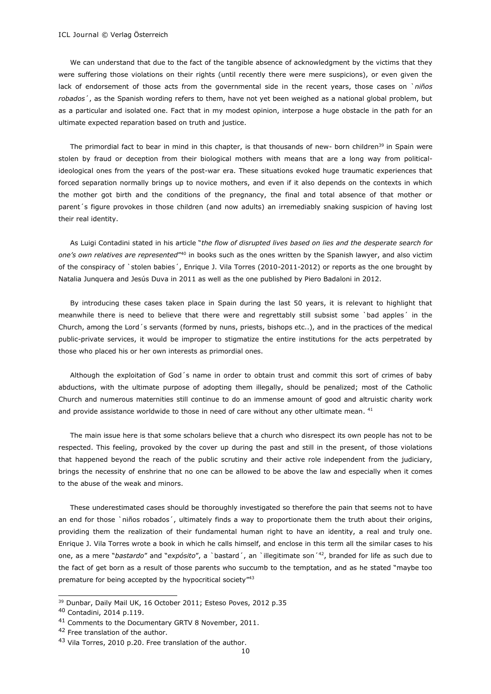#### ICL Journal © Verlag Österreich

We can understand that due to the fact of the tangible absence of acknowledgment by the victims that they were suffering those violations on their rights (until recently there were mere suspicions), or even given the lack of endorsement of those acts from the governmental side in the recent years, those cases on `*niños robados*´, as the Spanish wording refers to them, have not yet been weighed as a national global problem, but as a particular and isolated one. Fact that in my modest opinion, interpose a huge obstacle in the path for an ultimate expected reparation based on truth and justice.

The primordial fact to bear in mind in this chapter, is that thousands of new- born children<sup>39</sup> in Spain were stolen by fraud or deception from their biological mothers with means that are a long way from politicalideological ones from the years of the post-war era. These situations evoked huge traumatic experiences that forced separation normally brings up to novice mothers, and even if it also depends on the contexts in which the mother got birth and the conditions of the pregnancy, the final and total absence of that mother or parent´s figure provokes in those children (and now adults) an irremediably snaking suspicion of having lost their real identity.

As Luigi Contadini stated in his article "*the flow of disrupted lives based on lies and the desperate search for one's own relatives are represented*" <sup>40</sup> in books such as the ones written by the Spanish lawyer, and also victim of the conspiracy of `stolen babies´, Enrique J. Vila Torres (2010-2011-2012) or reports as the one brought by Natalia Junquera and Jesús Duva in 2011 as well as the one published by Piero Badaloni in 2012.

By introducing these cases taken place in Spain during the last 50 years, it is relevant to highlight that meanwhile there is need to believe that there were and regrettably still subsist some `bad apples´ in the Church, among the Lord´s servants (formed by nuns, priests, bishops etc..), and in the practices of the medical public-private services, it would be improper to stigmatize the entire institutions for the acts perpetrated by those who placed his or her own interests as primordial ones.

Although the exploitation of God´s name in order to obtain trust and commit this sort of crimes of baby abductions, with the ultimate purpose of adopting them illegally, should be penalized; most of the Catholic Church and numerous maternities still continue to do an immense amount of good and altruistic charity work and provide assistance worldwide to those in need of care without any other ultimate mean. <sup>41</sup>

The main issue here is that some scholars believe that a church who disrespect its own people has not to be respected. This feeling, provoked by the cover up during the past and still in the present, of those violations that happened beyond the reach of the public scrutiny and their active role independent from the judiciary, brings the necessity of enshrine that no one can be allowed to be above the law and especially when it comes to the abuse of the weak and minors.

These underestimated cases should be thoroughly investigated so therefore the pain that seems not to have an end for those `niños robados´, ultimately finds a way to proportionate them the truth about their origins, providing them the realization of their fundamental human right to have an identity, a real and truly one. Enrique J. Vila Torres wrote a book in which he calls himself, and enclose in this term all the similar cases to his one, as a mere "*bastardo*" and "*expósito*", a `bastard´, an `illegitimate son´<sup>42</sup>, branded for life as such due to the fact of get born as a result of those parents who succumb to the temptation, and as he stated "maybe too premature for being accepted by the hypocritical society"<sup>43</sup>

ī

<sup>39</sup> Dunbar, Daily Mail UK, 16 October 2011; Esteso Poves, 2012 p.35

<sup>40</sup> Contadini, 2014 p.119.

<sup>&</sup>lt;sup>41</sup> Comments to the Documentary GRTV 8 November, 2011.

<sup>&</sup>lt;sup>42</sup> Free translation of the author.

<sup>&</sup>lt;sup>43</sup> Vila Torres, 2010 p.20. Free translation of the author.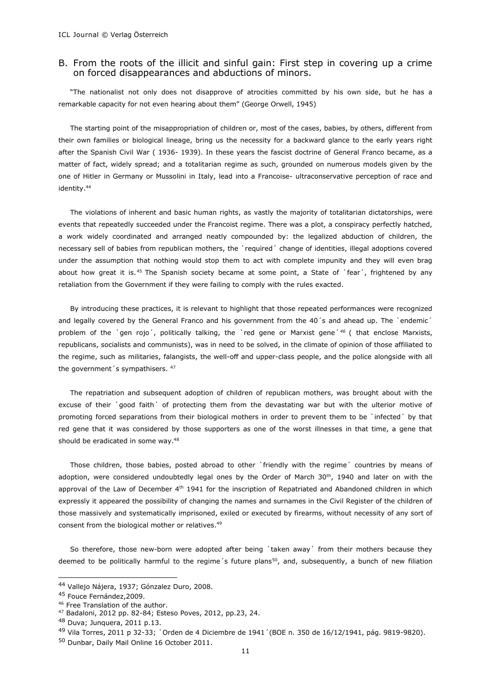### B. From the roots of the illicit and sinful gain: First step in covering up a crime on forced disappearances and abductions of minors.

"The nationalist not only does not disapprove of atrocities committed by his own side, but he has a remarkable capacity for not even hearing about them" (George Orwell, 1945)

The starting point of the misappropriation of children or, most of the cases, babies, by others, different from their own families or biological lineage, bring us the necessity for a backward glance to the early years right after the Spanish Civil War ( 1936- 1939). In these years the fascist doctrine of General Franco became, as a matter of fact, widely spread; and a totalitarian regime as such, grounded on numerous models given by the one of Hitler in Germany or Mussolini in Italy, lead into a Francoise- ultraconservative perception of race and identity.<sup>44</sup>

The violations of inherent and basic human rights, as vastly the majority of totalitarian dictatorships, were events that repeatedly succeeded under the Francoist regime. There was a plot, a conspiracy perfectly hatched, a work widely coordinated and arranged neatly compounded by: the legalized abduction of children, the necessary sell of babies from republican mothers, the `required´ change of identities, illegal adoptions covered under the assumption that nothing would stop them to act with complete impunity and they will even brag about how great it is.<sup>45</sup> The Spanish society became at some point, a State of `fear', frightened by any retaliation from the Government if they were failing to comply with the rules exacted.

By introducing these practices, it is relevant to highlight that those repeated performances were recognized and legally covered by the General Franco and his government from the 40's and ahead up. The 'endemic' problem of the `gen rojo´, politically talking, the `red gene or Marxist gene´*<sup>46</sup>* ( that enclose Marxists, republicans, socialists and communists), was in need to be solved, in the climate of opinion of those affiliated to the regime, such as militaries, falangists, the well-off and upper-class people, and the police alongside with all the government's sympathisers. 47

The repatriation and subsequent adoption of children of republican mothers, was brought about with the excuse of their `good faith´ of protecting them from the devastating war but with the ulterior motive of promoting forced separations from their biological mothers in order to prevent them to be `infected´ by that red gene that it was considered by those supporters as one of the worst illnesses in that time, a gene that should be eradicated in some way.<sup>48</sup>

Those children, those babies, posted abroad to other `friendly with the regime´ countries by means of adoption, were considered undoubtedly legal ones by the Order of March 30<sup>th</sup>, 1940 and later on with the approval of the Law of December 4<sup>th</sup> 1941 for the inscription of Repatriated and Abandoned children in which expressly it appeared the possibility of changing the names and surnames in the Civil Register of the children of those massively and systematically imprisoned, exiled or executed by firearms, without necessity of any sort of consent from the biological mother or relatives.<sup>49</sup>

So therefore, those new-born were adopted after being `taken away´ from their mothers because they deemed to be politically harmful to the regime's future plans<sup>50</sup>, and, subsequently, a bunch of new filiation

<sup>44</sup> Vallejo Nájera, 1937; Gónzalez Duro, 2008.

<sup>45</sup> Fouce Fernández,2009.

<sup>&</sup>lt;sup>46</sup> Free Translation of the author.

<sup>47</sup> Badaloni, 2012 pp. 82-84; Esteso Poves, 2012, pp.23, 24.

<sup>48</sup> Duva; Junquera, 2011 p.13.

<sup>49</sup> Vila Torres, 2011 p 32-33; `Orden de 4 Diciembre de 1941´(BOE n. 350 de 16/12/1941, pág. 9819-9820).

<sup>50</sup> Dunbar, Daily Mail Online 16 October 2011.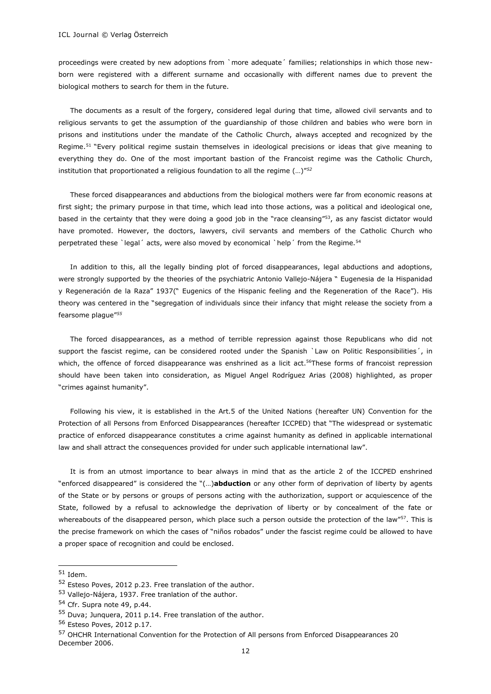proceedings were created by new adoptions from `more adequate´ families; relationships in which those newborn were registered with a different surname and occasionally with different names due to prevent the biological mothers to search for them in the future.

The documents as a result of the forgery, considered legal during that time, allowed civil servants and to religious servants to get the assumption of the guardianship of those children and babies who were born in prisons and institutions under the mandate of the Catholic Church, always accepted and recognized by the Regime.<sup>51</sup> "Every political regime sustain themselves in ideological precisions or ideas that give meaning to everything they do. One of the most important bastion of the Francoist regime was the Catholic Church, institution that proportionated a religious foundation to all the regime (…)"*<sup>52</sup>*

These forced disappearances and abductions from the biological mothers were far from economic reasons at first sight; the primary purpose in that time, which lead into those actions, was a political and ideological one, based in the certainty that they were doing a good job in the "race cleansing"<sup>53</sup>, as any fascist dictator would have promoted. However, the doctors, lawyers, civil servants and members of the Catholic Church who perpetrated these `legal´ acts, were also moved by economical `help´ from the Regime.<sup>54</sup>

In addition to this, all the legally binding plot of forced disappearances, legal abductions and adoptions, were strongly supported by the theories of the psychiatric Antonio Vallejo-Nájera " Eugenesia de la Hispanidad y Regeneración de la Raza" 1937(" Eugenics of the Hispanic feeling and the Regeneration of the Race"). His theory was centered in the "segregation of individuals since their infancy that might release the society from a fearsome plague"*<sup>55</sup>*

The forced disappearances, as a method of terrible repression against those Republicans who did not support the fascist regime, can be considered rooted under the Spanish `Law on Politic Responsibilities', in which, the offence of forced disappearance was enshrined as a licit act.<sup>56</sup>These forms of francoist repression should have been taken into consideration, as Miguel Angel Rodríguez Arias (2008) highlighted, as proper "crimes against humanity".

Following his view, it is established in the Art.5 of the United Nations (hereafter UN) Convention for the Protection of all Persons from Enforced Disappearances (hereafter ICCPED) that "The widespread or systematic practice of enforced disappearance constitutes a crime against humanity as defined in applicable international law and shall attract the consequences provided for under such applicable international law".

It is from an utmost importance to bear always in mind that as the article 2 of the ICCPED enshrined "enforced disappeared" is considered the "(…)**abduction** or any other form of deprivation of liberty by agents of the State or by persons or groups of persons acting with the authorization, support or acquiescence of the State, followed by a refusal to acknowledge the deprivation of liberty or by concealment of the fate or whereabouts of the disappeared person, which place such a person outside the protection of the law"57. This is the precise framework on which the cases of "niños robados" under the fascist regime could be allowed to have a proper space of recognition and could be enclosed.

<sup>51</sup> Idem.

<sup>52</sup> Esteso Poves, 2012 p.23. Free translation of the author.

<sup>53</sup> Vallejo-Nájera, 1937. Free tranlation of the author.

<sup>54</sup> Cfr. Supra note 49, p.44.

<sup>55</sup> Duva; Junquera, 2011 p.14. Free translation of the author.

<sup>56</sup> Esteso Poves, 2012 p.17.

<sup>57</sup> OHCHR International Convention for the Protection of All persons from Enforced Disappearances 20 December 2006.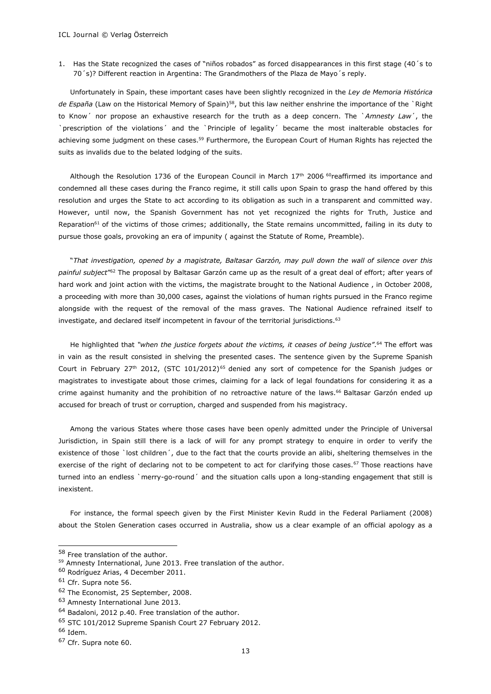1. Has the State recognized the cases of "niños robados" as forced disappearances in this first stage (40´s to 70´s)? Different reaction in Argentina: The Grandmothers of the Plaza de Mayo´s reply.

Unfortunately in Spain, these important cases have been slightly recognized in the *Ley de Memoria Histórica*  de España (Law on the Historical Memory of Spain)<sup>58</sup>, but this law neither enshrine the importance of the `Right to Know´ nor propose an exhaustive research for the truth as a deep concern. The `*Amnesty Law*´, the `prescription of the violations´ and the `Principle of legality´ became the most inalterable obstacles for achieving some judgment on these cases.<sup>59</sup> Furthermore, the European Court of Human Rights has rejected the suits as invalids due to the belated lodging of the suits.

Although the Resolution 1736 of the European Council in March 17th 2006 <sup>60</sup>reaffirmed its importance and condemned all these cases during the Franco regime, it still calls upon Spain to grasp the hand offered by this resolution and urges the State to act according to its obligation as such in a transparent and committed way. However, until now, the Spanish Government has not yet recognized the rights for Truth, Justice and Reparation<sup>61</sup> of the victims of those crimes; additionally, the State remains uncommitted, failing in its duty to pursue those goals, provoking an era of impunity ( against the Statute of Rome, Preamble).

"*That investigation, opened by a magistrate, Baltasar Garzón, may pull down the wall of silence over this painful subject*" <sup>62</sup> The proposal by Baltasar Garzón came up as the result of a great deal of effort; after years of hard work and joint action with the victims, the magistrate brought to the National Audience , in October 2008, a proceeding with more than 30,000 cases, against the violations of human rights pursued in the Franco regime alongside with the request of the removal of the mass graves. The National Audience refrained itself to investigate, and declared itself incompetent in favour of the territorial jurisdictions.<sup>63</sup>

He highlighted that *"when the justice forgets about the victims, it ceases of being justice"*. <sup>64</sup> The effort was in vain as the result consisted in shelving the presented cases. The sentence given by the Supreme Spanish Court in February 27<sup>th</sup> 2012, (STC 101/2012)<sup>65</sup> denied any sort of competence for the Spanish judges or magistrates to investigate about those crimes, claiming for a lack of legal foundations for considering it as a crime against humanity and the prohibition of no retroactive nature of the laws.<sup>66</sup> Baltasar Garzón ended up accused for breach of trust or corruption, charged and suspended from his magistracy.

Among the various States where those cases have been openly admitted under the Principle of Universal Jurisdiction, in Spain still there is a lack of will for any prompt strategy to enquire in order to verify the existence of those `lost children´, due to the fact that the courts provide an alibi, sheltering themselves in the exercise of the right of declaring not to be competent to act for clarifying those cases.<sup>67</sup> Those reactions have turned into an endless `merry-go-round´ and the situation calls upon a long-standing engagement that still is inexistent.

For instance, the formal speech given by the First Minister Kevin Rudd in the Federal Parliament (2008) about the Stolen Generation cases occurred in Australia, show us a clear example of an official apology as a

ī

<sup>58</sup> Free translation of the author.

<sup>59</sup> Amnesty International, June 2013. Free translation of the author.

<sup>60</sup> Rodríguez Arias, 4 December 2011.

<sup>61</sup> Cfr. Supra note 56.

<sup>62</sup> The Economist, 25 September, 2008.

<sup>63</sup> Amnesty International June 2013.

<sup>64</sup> Badaloni, 2012 p.40. Free translation of the author.

<sup>65</sup> STC 101/2012 Supreme Spanish Court 27 February 2012.

 $66$  Idem.

<sup>67</sup> Cfr. Supra note 60.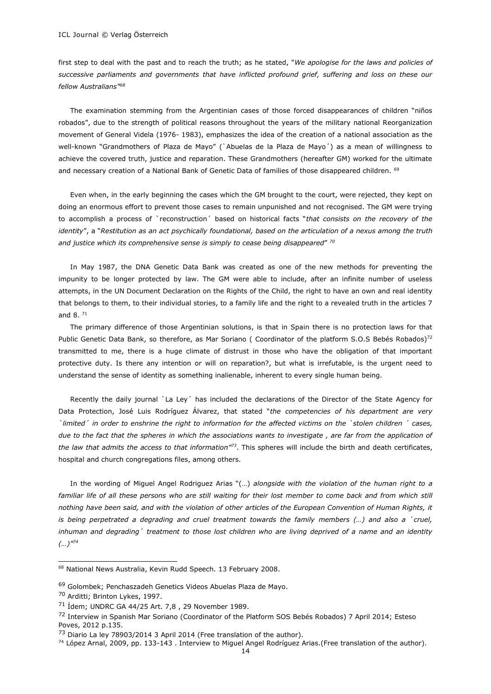first step to deal with the past and to reach the truth; as he stated, "*We apologise for the laws and policies of successive parliaments and governments that have inflicted profound grief, suffering and loss on these our fellow Australians"<sup>68</sup>*

The examination stemming from the Argentinian cases of those forced disappearances of children "niños robados", due to the strength of political reasons throughout the years of the military national Reorganization movement of General Videla (1976- 1983), emphasizes the idea of the creation of a national association as the well-known "Grandmothers of Plaza de Mayo" (`Abuelas de la Plaza de Mayo´) as a mean of willingness to achieve the covered truth, justice and reparation. These Grandmothers (hereafter GM) worked for the ultimate and necessary creation of a National Bank of Genetic Data of families of those disappeared children. <sup>69</sup>

Even when, in the early beginning the cases which the GM brought to the court, were rejected, they kept on doing an enormous effort to prevent those cases to remain unpunished and not recognised. The GM were trying to accomplish a process of `reconstruction´ based on historical facts "*that consists on the recovery of the identity*", a "*Restitution as an act psychically foundational, based on the articulation of a nexus among the truth and justice which its comprehensive sense is simply to cease being disappeared*" *70*

In May 1987, the DNA Genetic Data Bank was created as one of the new methods for preventing the impunity to be longer protected by law. The GM were able to include, after an infinite number of useless attempts, in the UN Document Declaration on the Rights of the Child, the right to have an own and real identity that belongs to them, to their individual stories, to a family life and the right to a revealed truth in the articles 7 and 8. <sup>71</sup>

The primary difference of those Argentinian solutions, is that in Spain there is no protection laws for that Public Genetic Data Bank, so therefore, as Mar Soriano ( Coordinator of the platform S.O.S Bebés Robados)<sup>72</sup> transmitted to me, there is a huge climate of distrust in those who have the obligation of that important protective duty. Is there any intention or will on reparation?, but what is irrefutable, is the urgent need to understand the sense of identity as something inalienable, inherent to every single human being.

Recently the daily journal `La Ley´ has included the declarations of the Director of the State Agency for Data Protection, José Luis Rodríguez Álvarez, that stated "*the competencies of his department are very `limited´ in order to enshrine the right to information for the affected victims on the `stolen children ´ cases, due to the fact that the spheres in which the associations wants to investigate , are far from the application of the law that admits the access to that information"<sup>73</sup>* . This spheres will include the birth and death certificates, hospital and church congregations files, among others.

In the wording of Miguel Angel Rodriguez Arias "(…) *alongside with the violation of the human right to a*  familiar life of all these persons who are still waiting for their lost member to come back and from which still *nothing have been said, and with the violation of other articles of the European Convention of Human Rights, it is being perpetrated a degrading and cruel treatment towards the family members (…) and also a `cruel, inhuman and degrading´ treatment to those lost children who are living deprived of a name and an identity (…)"<sup>74</sup>*

<sup>68</sup> National News Australia, Kevin Rudd Speech. 13 February 2008.

<sup>69</sup> Golombek; Penchaszadeh Genetics Videos Abuelas Plaza de Mayo.

<sup>70</sup> Arditti; Brinton Lykes, 1997.

 $71$  Ídem; UNDRC GA 44/25 Art. 7,8, 29 November 1989.

<sup>&</sup>lt;sup>72</sup> Interview in Spanish Mar Soriano (Coordinator of the Platform SOS Bebés Robados) 7 April 2014; Esteso Poves, 2012 p.135.

<sup>&</sup>lt;sup>73</sup> Diario La ley 78903/2014 3 April 2014 (Free translation of the author).

<sup>74</sup> López Arnal, 2009, pp. 133-143 . Interview to Miguel Angel Rodríguez Arias.(Free translation of the author).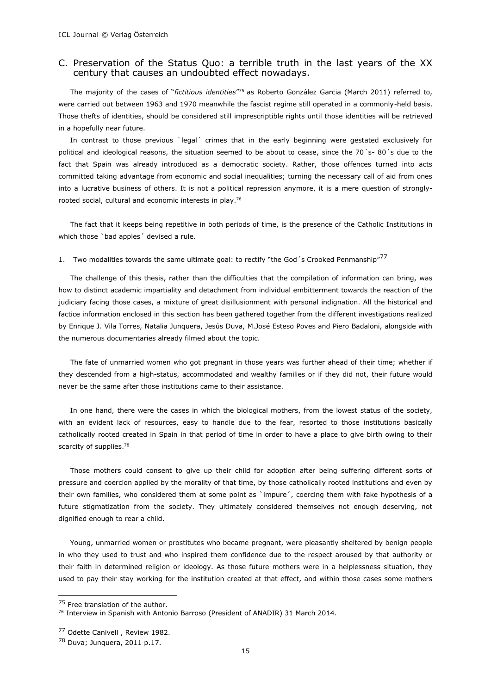### C. Preservation of the Status Quo: a terrible truth in the last years of the XX century that causes an undoubted effect nowadays.

The majority of the cases of "*fictitious identities*" <sup>75</sup> as Roberto González Garcia (March 2011) referred to, were carried out between 1963 and 1970 meanwhile the fascist regime still operated in a commonly-held basis. Those thefts of identities, should be considered still imprescriptible rights until those identities will be retrieved in a hopefully near future.

In contrast to those previous `legal´ crimes that in the early beginning were gestated exclusively for political and ideological reasons, the situation seemed to be about to cease, since the 70´s- 80´s due to the fact that Spain was already introduced as a democratic society. Rather, those offences turned into acts committed taking advantage from economic and social inequalities; turning the necessary call of aid from ones into a lucrative business of others. It is not a political repression anymore, it is a mere question of stronglyrooted social, cultural and economic interests in play.<sup>76</sup>

The fact that it keeps being repetitive in both periods of time, is the presence of the Catholic Institutions in which those `bad apples' devised a rule.

1. Two modalities towards the same ultimate goal: to rectify "the God's Crooked Penmanship"<sup>77</sup>

The challenge of this thesis, rather than the difficulties that the compilation of information can bring, was how to distinct academic impartiality and detachment from individual embitterment towards the reaction of the judiciary facing those cases, a mixture of great disillusionment with personal indignation. All the historical and factice information enclosed in this section has been gathered together from the different investigations realized by Enrique J. Vila Torres, Natalia Junquera, Jesús Duva, M.José Esteso Poves and Piero Badaloni, alongside with the numerous documentaries already filmed about the topic.

The fate of unmarried women who got pregnant in those years was further ahead of their time; whether if they descended from a high-status, accommodated and wealthy families or if they did not, their future would never be the same after those institutions came to their assistance.

In one hand, there were the cases in which the biological mothers, from the lowest status of the society, with an evident lack of resources, easy to handle due to the fear, resorted to those institutions basically catholically rooted created in Spain in that period of time in order to have a place to give birth owing to their scarcity of supplies.<sup>78</sup>

Those mothers could consent to give up their child for adoption after being suffering different sorts of pressure and coercion applied by the morality of that time, by those catholically rooted institutions and even by their own families, who considered them at some point as `impure´, coercing them with fake hypothesis of a future stigmatization from the society. They ultimately considered themselves not enough deserving, not dignified enough to rear a child.

Young, unmarried women or prostitutes who became pregnant, were pleasantly sheltered by benign people in who they used to trust and who inspired them confidence due to the respect aroused by that authority or their faith in determined religion or ideology. As those future mothers were in a helplessness situation, they used to pay their stay working for the institution created at that effect, and within those cases some mothers

ī

<sup>&</sup>lt;sup>75</sup> Free translation of the author.

<sup>&</sup>lt;sup>76</sup> Interview in Spanish with Antonio Barroso (President of ANADIR) 31 March 2014.

<sup>77</sup> Odette Canivell , Review 1982.

<sup>78</sup> Duva; Junquera, 2011 p.17.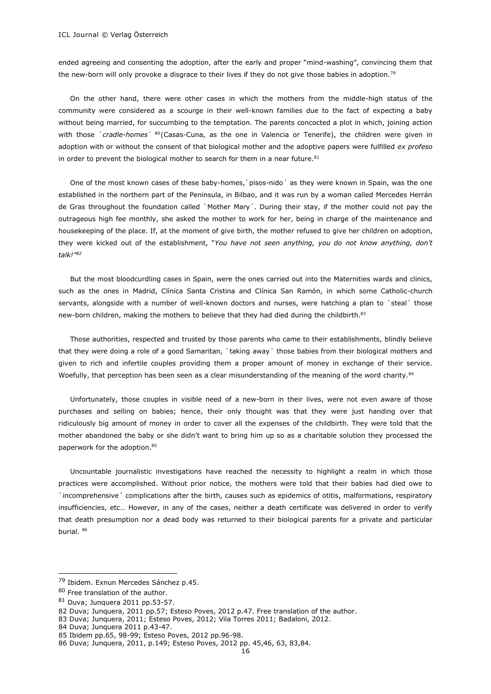ended agreeing and consenting the adoption, after the early and proper "mind-washing", convincing them that the new-born will only provoke a disgrace to their lives if they do not give those babies in adoption.<sup>79</sup>

On the other hand, there were other cases in which the mothers from the middle-high status of the community were considered as a scourge in their well-known families due to the fact of expecting a baby without being married, for succumbing to the temptation. The parents concocted a plot in which, joining action with those `*cradle-homes*´ <sup>80</sup>(Casas-Cuna, as the one in Valencia or Tenerife), the children were given in adoption with or without the consent of that biological mother and the adoptive papers were fulfilled *ex profeso* in order to prevent the biological mother to search for them in a near future. $81$ 

One of the most known cases of these baby-homes,`pisos-nido´ as they were known in Spain, was the one established in the northern part of the Peninsula, in Bilbao, and it was run by a woman called Mercedes Herrán de Gras throughout the foundation called `Mother Mary´. During their stay, if the mother could not pay the outrageous high fee monthly, she asked the mother to work for her, being in charge of the maintenance and housekeeping of the place. If, at the moment of give birth, the mother refused to give her children on adoption, they were kicked out of the establishment, "*You have not seen anything, you do not know anything, don't talk!"<sup>82</sup>*

But the most bloodcurdling cases in Spain, were the ones carried out into the Maternities wards and clinics, such as the ones in Madrid, Clínica Santa Cristina and Clínica San Ramón, in which some Catholic-church servants, alongside with a number of well-known doctors and nurses, were hatching a plan to `steal´ those new-born children, making the mothers to believe that they had died during the childbirth.<sup>83</sup>

Those authorities, respected and trusted by those parents who came to their establishments, blindly believe that they were doing a role of a good Samaritan, `taking away´ those babies from their biological mothers and given to rich and infertile couples providing them a proper amount of money in exchange of their service. Woefully, that perception has been seen as a clear misunderstanding of the meaning of the word charity.<sup>84</sup>

Unfortunately, those couples in visible need of a new-born in their lives, were not even aware of those purchases and selling on babies; hence, their only thought was that they were just handing over that ridiculously big amount of money in order to cover all the expenses of the childbirth. They were told that the mother abandoned the baby or she didn't want to bring him up so as a charitable solution they processed the paperwork for the adoption.<sup>85</sup>

Uncountable journalistic investigations have reached the necessity to highlight a realm in which those practices were accomplished. Without prior notice, the mothers were told that their babies had died owe to `incomprehensive´ complications after the birth, causes such as epidemics of otitis, malformations, respiratory insufficiencies, etc… However, in any of the cases, neither a death certificate was delivered in order to verify that death presumption nor a dead body was returned to their biological parents for a private and particular burial. 86

<sup>79</sup> Ibidem. Exnun Mercedes Sánchez p.45.

<sup>80</sup> Free translation of the author.

<sup>81</sup> Duva; Junquera 2011 pp.53-57.

<sup>82</sup> Duva; Junquera, 2011 pp.57; Esteso Poves, 2012 p.47. Free translation of the author.

<sup>83</sup> Duva; Junquera, 2011; Esteso Poves, 2012; Vila Torres 2011; Badaloni, 2012.

<sup>84</sup> Duva; Junquera 2011 p.43-47.

<sup>85</sup> Ibidem pp.65, 98-99; Esteso Poves, 2012 pp.96-98.

<sup>86</sup> Duva; Junquera, 2011, p.149; Esteso Poves, 2012 pp. 45,46, 63, 83,84.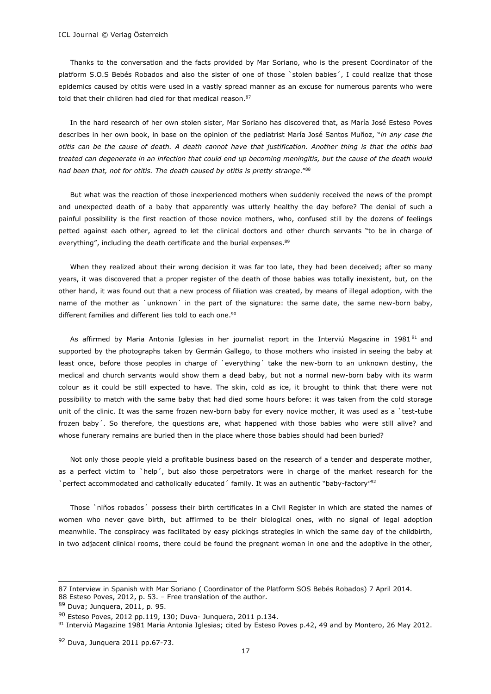Thanks to the conversation and the facts provided by Mar Soriano, who is the present Coordinator of the platform S.O.S Bebés Robados and also the sister of one of those `stolen babies´, I could realize that those epidemics caused by otitis were used in a vastly spread manner as an excuse for numerous parents who were told that their children had died for that medical reason.<sup>87</sup>

In the hard research of her own stolen sister, Mar Soriano has discovered that, as María José Esteso Poves describes in her own book, in base on the opinion of the pediatrist María José Santos Muñoz, "*in any case the otitis can be the cause of death. A death cannot have that justification. Another thing is that the otitis bad treated can degenerate in an infection that could end up becoming meningitis, but the cause of the death would*  had been that, not for otitis. The death caused by otitis is pretty strange."<sup>88</sup>

But what was the reaction of those inexperienced mothers when suddenly received the news of the prompt and unexpected death of a baby that apparently was utterly healthy the day before? The denial of such a painful possibility is the first reaction of those novice mothers, who, confused still by the dozens of feelings petted against each other, agreed to let the clinical doctors and other church servants "to be in charge of everything", including the death certificate and the burial expenses.<sup>89</sup>

When they realized about their wrong decision it was far too late, they had been deceived; after so many years, it was discovered that a proper register of the death of those babies was totally inexistent, but, on the other hand, it was found out that a new process of filiation was created, by means of illegal adoption, with the name of the mother as `unknown´ in the part of the signature: the same date, the same new-born baby, different families and different lies told to each one.<sup>90</sup>

As affirmed by Maria Antonia Iglesias in her journalist report in the Interviú Magazine in 1981<sup>91</sup> and supported by the photographs taken by Germán Gallego, to those mothers who insisted in seeing the baby at least once, before those peoples in charge of `everything' take the new-born to an unknown destiny, the medical and church servants would show them a dead baby, but not a normal new-born baby with its warm colour as it could be still expected to have. The skin, cold as ice, it brought to think that there were not possibility to match with the same baby that had died some hours before: it was taken from the cold storage unit of the clinic. It was the same frozen new-born baby for every novice mother, it was used as a `test-tube frozen baby´. So therefore, the questions are, what happened with those babies who were still alive? and whose funerary remains are buried then in the place where those babies should had been buried?

Not only those people yield a profitable business based on the research of a tender and desperate mother, as a perfect victim to `help´, but also those perpetrators were in charge of the market research for the `perfect accommodated and catholically educated´ family. It was an authentic "baby-factory"<sup>92</sup>

Those `niños robados´ possess their birth certificates in a Civil Register in which are stated the names of women who never gave birth, but affirmed to be their biological ones, with no signal of legal adoption meanwhile. The conspiracy was facilitated by easy pickings strategies in which the same day of the childbirth, in two adjacent clinical rooms, there could be found the pregnant woman in one and the adoptive in the other,

<sup>87</sup> Interview in Spanish with Mar Soriano ( Coordinator of the Platform SOS Bebés Robados) 7 April 2014.

<sup>88</sup> Esteso Poves, 2012, p. 53. – Free translation of the author.

<sup>89</sup> Duva; Junquera, 2011, p. 95.

<sup>90</sup> Esteso Poves, 2012 pp.119, 130; Duva- Junquera, 2011 p.134.

<sup>91</sup> Interviú Magazine 1981 Maria Antonia Iglesias; cited by Esteso Poves p.42, 49 and by Montero, 26 May 2012.

<sup>92</sup> Duva, Junquera 2011 pp.67-73.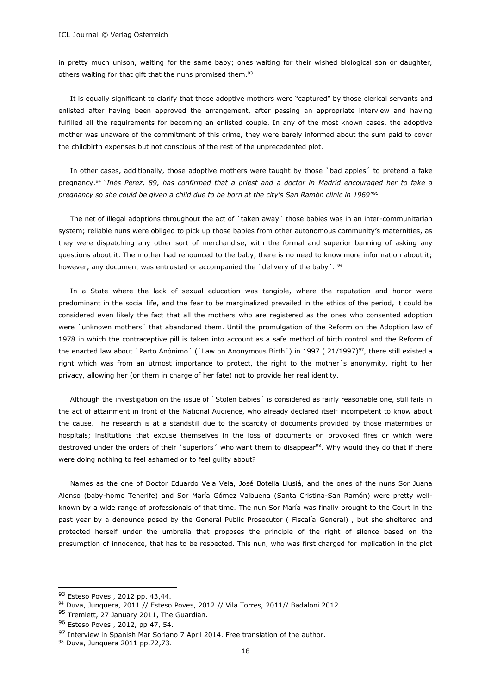in pretty much unison, waiting for the same baby; ones waiting for their wished biological son or daughter, others waiting for that gift that the nuns promised them.<sup>93</sup>

It is equally significant to clarify that those adoptive mothers were "captured" by those clerical servants and enlisted after having been approved the arrangement, after passing an appropriate interview and having fulfilled all the requirements for becoming an enlisted couple. In any of the most known cases, the adoptive mother was unaware of the commitment of this crime, they were barely informed about the sum paid to cover the childbirth expenses but not conscious of the rest of the unprecedented plot.

In other cases, additionally, those adoptive mothers were taught by those `bad apples´ to pretend a fake pregnancy.<sup>94</sup> *"Inés Pérez, 89, has confirmed that a priest and a doctor in Madrid encouraged her to fake a pregnancy so she could be given a child due to be born at the city's San Ramón clinic in 1969*" 95

The net of illegal adoptions throughout the act of `taken away´ those babies was in an inter-communitarian system; reliable nuns were obliged to pick up those babies from other autonomous community's maternities, as they were dispatching any other sort of merchandise, with the formal and superior banning of asking any questions about it. The mother had renounced to the baby, there is no need to know more information about it; however, any document was entrusted or accompanied the 'delivery of the baby'. 96

In a State where the lack of sexual education was tangible, where the reputation and honor were predominant in the social life, and the fear to be marginalized prevailed in the ethics of the period, it could be considered even likely the fact that all the mothers who are registered as the ones who consented adoption were `unknown mothers´ that abandoned them. Until the promulgation of the Reform on the Adoption law of 1978 in which the contraceptive pill is taken into account as a safe method of birth control and the Reform of the enacted law about `Parto Anónimo´ (`Law on Anonymous Birth´) in 1997 ( 21/1997)<sup>97</sup>, there still existed a right which was from an utmost importance to protect, the right to the mother´s anonymity, right to her privacy, allowing her (or them in charge of her fate) not to provide her real identity.

Although the investigation on the issue of `Stolen babies´ is considered as fairly reasonable one, still fails in the act of attainment in front of the National Audience, who already declared itself incompetent to know about the cause. The research is at a standstill due to the scarcity of documents provided by those maternities or hospitals; institutions that excuse themselves in the loss of documents on provoked fires or which were destroyed under the orders of their `superiors' who want them to disappear<sup>98</sup>. Why would they do that if there were doing nothing to feel ashamed or to feel guilty about?

Names as the one of Doctor Eduardo Vela Vela, José Botella Llusiá, and the ones of the nuns Sor Juana Alonso (baby-home Tenerife) and Sor María Gómez Valbuena (Santa Cristina-San Ramón) were pretty wellknown by a wide range of professionals of that time. The nun Sor María was finally brought to the Court in the past year by a denounce posed by the General Public Prosecutor ( Fiscalía General) , but she sheltered and protected herself under the umbrella that proposes the principle of the right of silence based on the presumption of innocence, that has to be respected. This nun, who was first charged for implication in the plot

ī

<sup>93</sup> Esteso Poves , 2012 pp. 43,44.

<sup>94</sup> Duva, Junquera, 2011 // Esteso Poves, 2012 // Vila Torres, 2011// Badaloni 2012.

<sup>95</sup> Tremlett, 27 January 2011, The Guardian.

<sup>96</sup> Esteso Poves, 2012, pp 47, 54.

<sup>97</sup> Interview in Spanish Mar Soriano 7 April 2014. Free translation of the author.

<sup>98</sup> Duva, Junquera 2011 pp.72,73.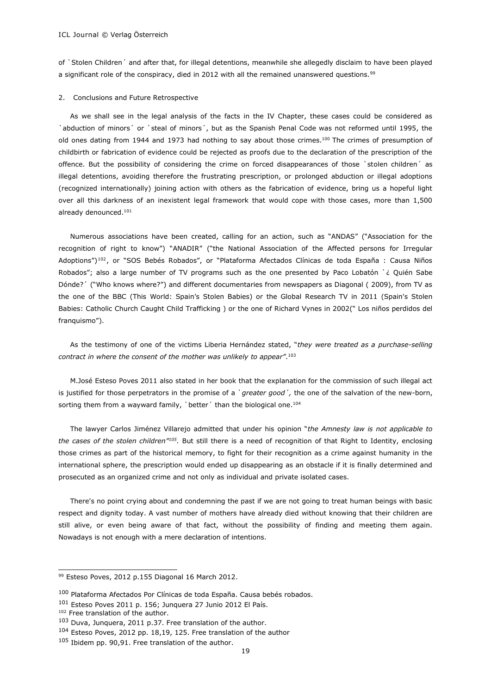of `Stolen Children´ and after that, for illegal detentions, meanwhile she allegedly disclaim to have been played a significant role of the conspiracy, died in 2012 with all the remained unanswered questions.<sup>99</sup>

#### 2. Conclusions and Future Retrospective

As we shall see in the legal analysis of the facts in the IV Chapter, these cases could be considered as `abduction of minors´ or `steal of minors´, but as the Spanish Penal Code was not reformed until 1995, the old ones dating from 1944 and 1973 had nothing to say about those crimes.<sup>100</sup> The crimes of presumption of childbirth or fabrication of evidence could be rejected as proofs due to the declaration of the prescription of the offence. But the possibility of considering the crime on forced disappearances of those `stolen children´ as illegal detentions, avoiding therefore the frustrating prescription, or prolonged abduction or illegal adoptions (recognized internationally) joining action with others as the fabrication of evidence, bring us a hopeful light over all this darkness of an inexistent legal framework that would cope with those cases, more than 1,500 already denounced.<sup>101</sup>

Numerous associations have been created, calling for an action, such as "ANDAS" ("Association for the recognition of right to know") "ANADIR" ("the National Association of the Affected persons for Irregular Adoptions")<sup>102</sup>, or "SOS Bebés Robados", or "Plataforma Afectados Clínicas de toda España : Causa Niños Robados"; also a large number of TV programs such as the one presented by Paco Lobatón `¿ Quién Sabe Dónde?´ ("Who knows where?") and different documentaries from newspapers as Diagonal ( 2009), from TV as the one of the BBC (This World: Spain's Stolen Babies) or the Global Research TV in 2011 (Spain's Stolen Babies: Catholic Church Caught Child Trafficking ) or the one of Richard Vynes in 2002(" Los niños perdidos del franquismo").

As the testimony of one of the victims Liberia Hernández stated, "*they were treated as a purchase-selling contract in where the consent of the mother was unlikely to appear"*. 103

M.José Esteso Poves 2011 also stated in her book that the explanation for the commission of such illegal act is justified for those perpetrators in the promise of a `*greater good´,* the one of the salvation of the new-born, sorting them from a wayward family, 'better' than the biological one.<sup>104</sup>

The lawyer Carlos Jiménez Villarejo admitted that under his opinion "*the Amnesty law is not applicable to*  the cases of the stolen children"<sup>105</sup>. But still there is a need of recognition of that Right to Identity, enclosing those crimes as part of the historical memory, to fight for their recognition as a crime against humanity in the international sphere, the prescription would ended up disappearing as an obstacle if it is finally determined and prosecuted as an organized crime and not only as individual and private isolated cases.

There's no point crying about and condemning the past if we are not going to treat human beings with basic respect and dignity today. A vast number of mothers have already died without knowing that their children are still alive, or even being aware of that fact, without the possibility of finding and meeting them again. Nowadays is not enough with a mere declaration of intentions.

<sup>99</sup> Esteso Poves, 2012 p.155 Diagonal 16 March 2012.

<sup>100</sup> Plataforma Afectados Por Clínicas de toda España. Causa bebés robados.

<sup>101</sup> Esteso Poves 2011 p. 156; Junquera 27 Junio 2012 El País.

<sup>&</sup>lt;sup>102</sup> Free translation of the author.

<sup>103</sup> Duva, Junquera, 2011 p.37. Free translation of the author.

<sup>104</sup> Esteso Poves, 2012 pp. 18,19, 125. Free translation of the author

<sup>105</sup> Ibidem pp. 90,91. Free translation of the author.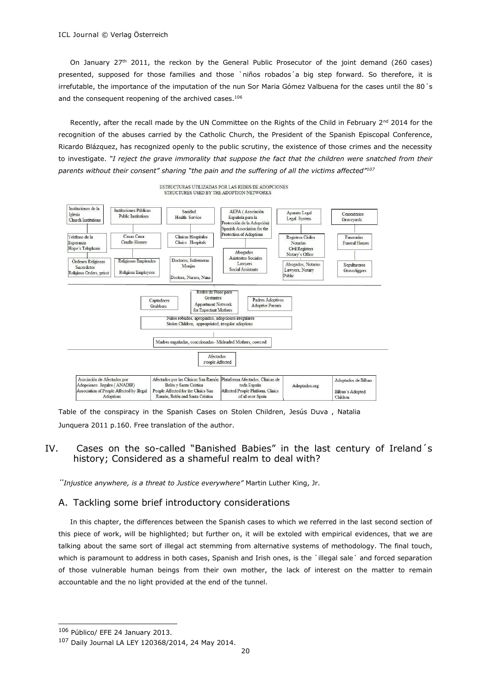On January  $27<sup>th</sup>$  2011, the reckon by the General Public Prosecutor of the joint demand (260 cases) presented, supposed for those families and those `niños robados´a big step forward. So therefore, it is irrefutable, the importance of the imputation of the nun Sor Maria Gómez Valbuena for the cases until the 80´s and the consequent reopening of the archived cases.<sup>106</sup>

Recently, after the recall made by the UN Committee on the Rights of the Child in February 2<sup>nd</sup> 2014 for the recognition of the abuses carried by the Catholic Church, the President of the Spanish Episcopal Conference, Ricardo Blázquez, has recognized openly to the public scrutiny, the existence of those crimes and the necessity to investigate. *"I reject the grave immorality that suppose the fact that the children were snatched from their parents without their consent" sharing "the pain and the suffering of all the victims affected"<sup>107</sup>*



Table of the conspiracy in the Spanish Cases on Stolen Children, Jesús Duva , Natalia

Junquera 2011 p.160. Free translation of the author.

# IV. Cases on the so-called "Banished Babies" in the last century of Ireland´s history; Considered as a shameful realm to deal with?

*"Injustice anywhere, is a threat to Justice everywhere"* Martin Luther King, Jr.

### A. Tackling some brief introductory considerations

In this chapter, the differences between the Spanish cases to which we referred in the last second section of this piece of work, will be highlighted; but further on, it will be extoled with empirical evidences, that we are talking about the same sort of illegal act stemming from alternative systems of methodology. The final touch, which is paramount to address in both cases, Spanish and Irish ones, is the `illegal sale´ and forced separation of those vulnerable human beings from their own mother, the lack of interest on the matter to remain accountable and the no light provided at the end of the tunnel.

<sup>106</sup> Público/ EFE 24 January 2013.

<sup>107</sup> Daily Journal LA LEY 120368/2014, 24 May 2014.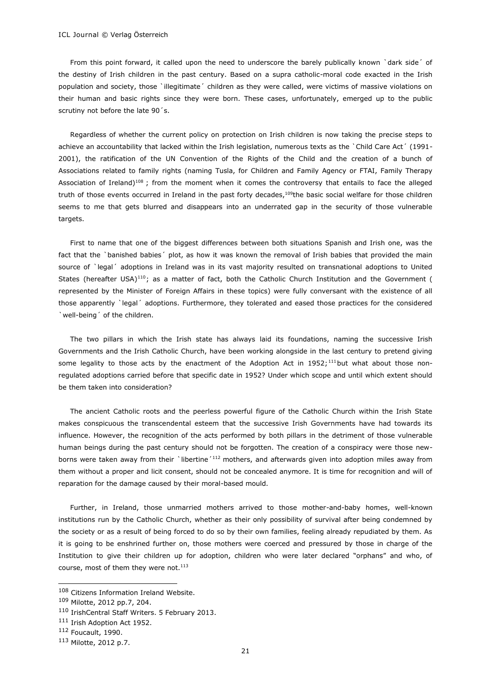#### ICL Journal © Verlag Österreich

From this point forward, it called upon the need to underscore the barely publically known `dark side´ of the destiny of Irish children in the past century. Based on a supra catholic-moral code exacted in the Irish population and society, those `illegitimate´ children as they were called, were victims of massive violations on their human and basic rights since they were born. These cases, unfortunately, emerged up to the public scrutiny not before the late 90´s.

Regardless of whether the current policy on protection on Irish children is now taking the precise steps to achieve an accountability that lacked within the Irish legislation, numerous texts as the `Child Care Act´ (1991- 2001), the ratification of the UN Convention of the Rights of the Child and the creation of a bunch of Associations related to family rights (naming Tusla, for Children and Family Agency or FTAI, Family Therapy Association of Ireland)<sup>108</sup>; from the moment when it comes the controversy that entails to face the alleged truth of those events occurred in Ireland in the past forty decades,<sup>109</sup>the basic social welfare for those children seems to me that gets blurred and disappears into an underrated gap in the security of those vulnerable targets.

First to name that one of the biggest differences between both situations Spanish and Irish one, was the fact that the `banished babies´ plot, as how it was known the removal of Irish babies that provided the main source of `legal´ adoptions in Ireland was in its vast majority resulted on transnational adoptions to United States (hereafter USA) $110$ ; as a matter of fact, both the Catholic Church Institution and the Government ( represented by the Minister of Foreign Affairs in these topics) were fully conversant with the existence of all those apparently `legal´ adoptions. Furthermore, they tolerated and eased those practices for the considered `well-being´ of the children.

The two pillars in which the Irish state has always laid its foundations, naming the successive Irish Governments and the Irish Catholic Church, have been working alongside in the last century to pretend giving some legality to those acts by the enactment of the Adoption Act in  $1952;^{111}$  but what about those nonregulated adoptions carried before that specific date in 1952? Under which scope and until which extent should be them taken into consideration?

The ancient Catholic roots and the peerless powerful figure of the Catholic Church within the Irish State makes conspicuous the transcendental esteem that the successive Irish Governments have had towards its influence. However, the recognition of the acts performed by both pillars in the detriment of those vulnerable human beings during the past century should not be forgotten. The creation of a conspiracy were those newborns were taken away from their `libertine<sup>'112</sup> mothers, and afterwards given into adoption miles away from them without a proper and licit consent, should not be concealed anymore. It is time for recognition and will of reparation for the damage caused by their moral-based mould.

Further, in Ireland, those unmarried mothers arrived to those mother-and-baby homes, well-known institutions run by the Catholic Church, whether as their only possibility of survival after being condemned by the society or as a result of being forced to do so by their own families, feeling already repudiated by them. As it is going to be enshrined further on, those mothers were coerced and pressured by those in charge of the Institution to give their children up for adoption, children who were later declared "orphans" and who, of course, most of them they were not.<sup>113</sup>

 $\overline{\phantom{0}}$ 

<sup>108</sup> Citizens Information Ireland Website.

<sup>109</sup> Milotte, 2012 pp.7, 204.

<sup>110</sup> IrishCentral Staff Writers. 5 February 2013.

<sup>111</sup> Irish Adoption Act 1952.

<sup>112</sup> Foucault, 1990.

<sup>113</sup> Milotte, 2012 p.7.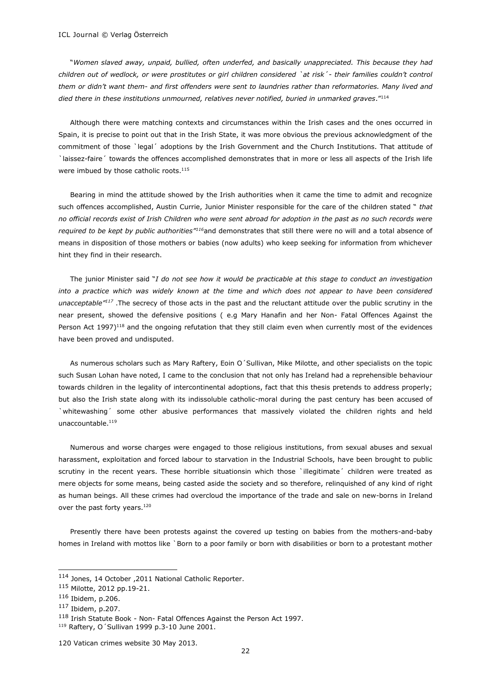"*Women slaved away, unpaid, bullied, often underfed, and basically unappreciated. This because they had children out of wedlock, or were prostitutes or girl children considered `at risk´- their families couldn't control them or didn't want them- and first offenders were sent to laundries rather than reformatories. Many lived and died there in these institutions unmourned, relatives never notified, buried in unmarked graves*."<sup>114</sup>

Although there were matching contexts and circumstances within the Irish cases and the ones occurred in Spain, it is precise to point out that in the Irish State, it was more obvious the previous acknowledgment of the commitment of those `legal´ adoptions by the Irish Government and the Church Institutions. That attitude of `laissez-faire´ towards the offences accomplished demonstrates that in more or less all aspects of the Irish life were imbued by those catholic roots.<sup>115</sup>

Bearing in mind the attitude showed by the Irish authorities when it came the time to admit and recognize such offences accomplished, Austin Currie, Junior Minister responsible for the care of the children stated " *that no official records exist of Irish Children who were sent abroad for adoption in the past as no such records were required to be kept by public authorities"<sup>116</sup>*and demonstrates that still there were no will and a total absence of means in disposition of those mothers or babies (now adults) who keep seeking for information from whichever hint they find in their research.

The junior Minister said "*I do not see how it would be practicable at this stage to conduct an investigation into a practice which was widely known at the time and which does not appear to have been considered unacceptable"<sup>117</sup>* .The secrecy of those acts in the past and the reluctant attitude over the public scrutiny in the near present, showed the defensive positions ( e.g Mary Hanafin and her Non- Fatal Offences Against the Person Act 1997)<sup>118</sup> and the ongoing refutation that they still claim even when currently most of the evidences have been proved and undisputed.

As numerous scholars such as Mary Raftery, Eoin O´Sullivan, Mike Milotte, and other specialists on the topic such Susan Lohan have noted, I came to the conclusion that not only has Ireland had a reprehensible behaviour towards children in the legality of intercontinental adoptions, fact that this thesis pretends to address properly; but also the Irish state along with its indissoluble catholic-moral during the past century has been accused of `whitewashing' some other abusive performances that massively violated the children rights and held unaccountable.<sup>119</sup>

Numerous and worse charges were engaged to those religious institutions, from sexual abuses and sexual harassment, exploitation and forced labour to starvation in the Industrial Schools, have been brought to public scrutiny in the recent years. These horrible situationsin which those `illegitimate´ children were treated as mere objects for some means, being casted aside the society and so therefore, relinquished of any kind of right as human beings. All these crimes had overcloud the importance of the trade and sale on new-borns in Ireland over the past forty years.<sup>120</sup>

Presently there have been protests against the covered up testing on babies from the mothers-and-baby homes in Ireland with mottos like `Born to a poor family or born with disabilities or born to a protestant mother

<sup>114</sup> Jones, 14 October ,2011 National Catholic Reporter.

<sup>115</sup> Milotte, 2012 pp.19-21.

<sup>116</sup> Ibidem, p.206.

<sup>117</sup> Ibidem, p.207.

<sup>118</sup> Irish Statute Book - Non- Fatal Offences Against the Person Act 1997.

<sup>119</sup> Raftery, O´Sullivan 1999 p.3-10 June 2001.

<sup>120</sup> Vatican crimes website 30 May 2013.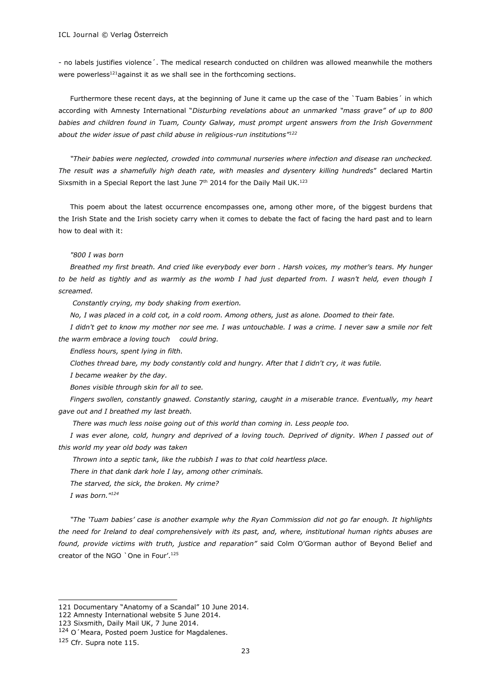- no labels justifies violence´. The medical research conducted on children was allowed meanwhile the mothers were powerless<sup>121</sup>against it as we shall see in the forthcoming sections.

Furthermore these recent days, at the beginning of June it came up the case of the `Tuam Babies´ in which according with Amnesty International "*Disturbing revelations about an unmarked "mass grave" of up to 800 babies and children found in Tuam, County Galway, must prompt urgent answers from the Irish Government about the wider issue of past child abuse in religious-run institutions"<sup>122</sup>*

*"Their babies were neglected, crowded into communal nurseries where infection and disease ran unchecked. The result was a shamefully high death rate, with measles and dysentery killing hundreds*" declared Martin Sixsmith in a Special Report the last June 7<sup>th</sup> 2014 for the Daily Mail UK.<sup>123</sup>

This poem about the latest occurrence encompasses one, among other more, of the biggest burdens that the Irish State and the Irish society carry when it comes to debate the fact of facing the hard past and to learn how to deal with it:

#### *"800 I was born*

*Breathed my first breath. And cried like everybody ever born . Harsh voices, my mother's tears. My hunger to be held as tightly and as warmly as the womb I had just departed from. I wasn't held, even though I screamed.*

*Constantly crying, my body shaking from exertion.*

*No, I was placed in a cold cot, in a cold room. Among others, just as alone. Doomed to their fate.*

*I didn't get to know my mother nor see me. I was untouchable. I was a crime. I never saw a smile nor felt the warm embrace a loving touch could bring.*

*Endless hours, spent lying in filth.*

*Clothes thread bare, my body constantly cold and hungry. After that I didn't cry, it was futile.*

*I became weaker by the day.* 

*Bones visible through skin for all to see.*

*Fingers swollen, constantly gnawed. Constantly staring, caught in a miserable trance. Eventually, my heart gave out and I breathed my last breath.*

*There was much less noise going out of this world than coming in. Less people too.* 

*I was ever alone, cold, hungry and deprived of a loving touch. Deprived of dignity. When I passed out of this world my year old body was taken*

*Thrown into a septic tank, like the rubbish I was to that cold heartless place.* 

*There in that dank dark hole I lay, among other criminals.*

*The starved, the sick, the broken. My crime?*

*I was born."<sup>124</sup>*

*"The 'Tuam babies' case is another example why the Ryan Commission did not go far enough. It highlights the need for Ireland to deal comprehensively with its past, and, where, institutional human rights abuses are found, provide victims with truth, justice and reparation"* said Colm O'Gorman author of Beyond Belief and creator of the NGO 'One in Four'.<sup>125</sup>

 $\overline{\phantom{0}}$ 

<sup>121</sup> Documentary "Anatomy of a Scandal" 10 June 2014.

<sup>122</sup> Amnesty International website 5 June 2014.

<sup>123</sup> Sixsmith, Daily Mail UK, 7 June 2014.

<sup>124</sup> O'Meara, Posted poem Justice for Magdalenes.

<sup>125</sup> Cfr. Supra note 115.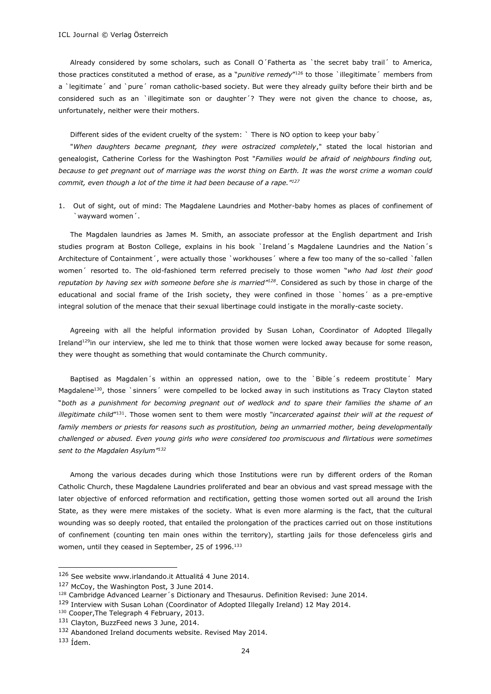Already considered by some scholars, such as Conall O´Fatherta as `the secret baby trail´ to America, those practices constituted a method of erase, as a "*punitive remedy"*<sup>126</sup> to those `illegitimate´ members from a `legitimate´ and `pure´ roman catholic-based society. But were they already guilty before their birth and be considered such as an `illegitimate son or daughter´? They were not given the chance to choose, as, unfortunately, neither were their mothers.

Different sides of the evident cruelty of the system: ` There is NO option to keep your baby'

"*When daughters became pregnant, they were ostracized completely*," stated the local historian and genealogist, Catherine Corless for the Washington Post "*Families would be afraid of neighbours finding out, because to get pregnant out of marriage was the worst thing on Earth. It was the worst crime a woman could commit, even though a lot of the time it had been because of a rape." 127*

1. Out of sight, out of mind: The Magdalene Laundries and Mother-baby homes as places of confinement of `wayward women´.

The Magdalen laundries as James M. Smith, an associate professor at the English department and Irish studies program at Boston College, explains in his book `Ireland´s Magdalene Laundries and the Nation´s Architecture of Containment', were actually those `workhouses' where a few too many of the so-called `fallen women´ resorted to. The old-fashioned term referred precisely to those women "*who had lost their good reputation by having sex with someone before she is married"<sup>128</sup>*. Considered as such by those in charge of the educational and social frame of the Irish society, they were confined in those `homes´ as a pre-emptive integral solution of the menace that their sexual libertinage could instigate in the morally-caste society.

Agreeing with all the helpful information provided by Susan Lohan, Coordinator of Adopted Illegally Ireland<sup>129</sup>in our interview, she led me to think that those women were locked away because for some reason, they were thought as something that would contaminate the Church community.

Baptised as Magdalen's within an oppressed nation, owe to the `Bible's redeem prostitute' Mary Magdalene<sup>130</sup>, those `sinners' were compelled to be locked away in such institutions as Tracy Clayton stated "*both as a punishment for becoming pregnant out of wedlock and to spare their families the shame of an*  illegitimate child"<sup>131</sup>. Those women sent to them were mostly "incarcerated against their will at the request of *family members or priests for reasons such as prostitution, being an unmarried mother, being developmentally challenged or abused. Even young girls who were considered too promiscuous and flirtatious were sometimes sent to the Magdalen Asylum"<sup>132</sup>*

Among the various decades during which those Institutions were run by different orders of the Roman Catholic Church, these Magdalene Laundries proliferated and bear an obvious and vast spread message with the later objective of enforced reformation and rectification, getting those women sorted out all around the Irish State, as they were mere mistakes of the society. What is even more alarming is the fact, that the cultural wounding was so deeply rooted, that entailed the prolongation of the practices carried out on those institutions of confinement (counting ten main ones within the territory), startling jails for those defenceless girls and women, until they ceased in September, 25 of 1996.<sup>133</sup>

 $\overline{\phantom{0}}$ 

<sup>126</sup> See website www.irlandando.it Attualitá 4 June 2014.

<sup>127</sup> McCoy, the Washington Post, 3 June 2014.

<sup>128</sup> Cambridge Advanced Learner´s Dictionary and Thesaurus. Definition Revised: June 2014.

<sup>129</sup> Interview with Susan Lohan (Coordinator of Adopted Illegally Ireland) 12 May 2014.

<sup>130</sup> Cooper, The Telegraph 4 February, 2013.

<sup>131</sup> Clayton, BuzzFeed news 3 June, 2014.

<sup>132</sup> Abandoned Ireland documents website. Revised May 2014.

<sup>133</sup> Ídem.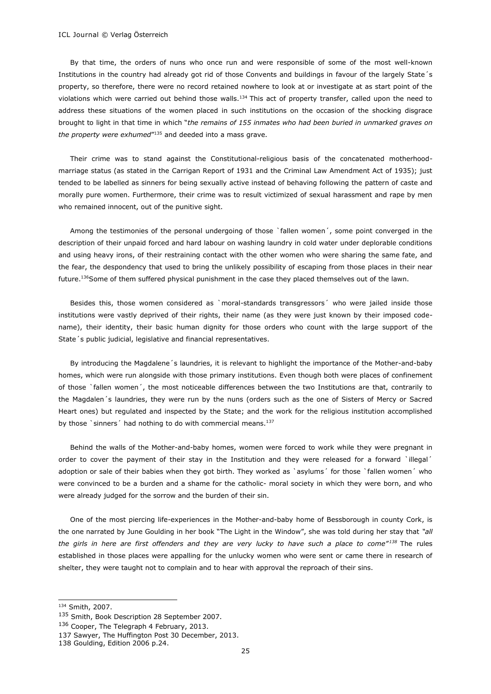#### ICL Journal © Verlag Österreich

By that time, the orders of nuns who once run and were responsible of some of the most well-known Institutions in the country had already got rid of those Convents and buildings in favour of the largely State´s property, so therefore, there were no record retained nowhere to look at or investigate at as start point of the violations which were carried out behind those walls.<sup>134</sup> This act of property transfer, called upon the need to address these situations of the women placed in such institutions on the occasion of the shocking disgrace brought to light in that time in which "*the remains of 155 inmates who had been buried in unmarked graves on the property were exhumed*" <sup>135</sup> and deeded into a mass grave.

Their crime was to stand against the Constitutional-religious basis of the concatenated motherhoodmarriage status (as stated in the Carrigan Report of 1931 and the Criminal Law Amendment Act of 1935); just tended to be labelled as sinners for being sexually active instead of behaving following the pattern of caste and morally pure women. Furthermore, their crime was to result victimized of sexual harassment and rape by men who remained innocent, out of the punitive sight.

Among the testimonies of the personal undergoing of those `fallen women´, some point converged in the description of their unpaid forced and hard labour on washing laundry in cold water under deplorable conditions and using heavy irons, of their restraining contact with the other women who were sharing the same fate, and the fear, the despondency that used to bring the unlikely possibility of escaping from those places in their near future.<sup>136</sup>Some of them suffered physical punishment in the case they placed themselves out of the lawn.

Besides this, those women considered as `moral-standards transgressors´ who were jailed inside those institutions were vastly deprived of their rights, their name (as they were just known by their imposed codename), their identity, their basic human dignity for those orders who count with the large support of the State´s public judicial, legislative and financial representatives.

By introducing the Magdalene´s laundries, it is relevant to highlight the importance of the Mother-and-baby homes, which were run alongside with those primary institutions. Even though both were places of confinement of those `fallen women´, the most noticeable differences between the two Institutions are that, contrarily to the Magdalen´s laundries, they were run by the nuns (orders such as the one of Sisters of Mercy or Sacred Heart ones) but regulated and inspected by the State; and the work for the religious institution accomplished by those `sinners´ had nothing to do with commercial means.<sup>137</sup>

Behind the walls of the Mother-and-baby homes, women were forced to work while they were pregnant in order to cover the payment of their stay in the Institution and they were released for a forward `illegal' adoption or sale of their babies when they got birth. They worked as `asylums´ for those `fallen women´ who were convinced to be a burden and a shame for the catholic- moral society in which they were born, and who were already judged for the sorrow and the burden of their sin.

One of the most piercing life-experiences in the Mother-and-baby home of Bessborough in county Cork, is the one narrated by June Goulding in her book "The Light in the Window", she was told during her stay that *"all the girls in here are first offenders and they are very lucky to have such a place to come" <sup>138</sup>* The rules established in those places were appalling for the unlucky women who were sent or came there in research of shelter, they were taught not to complain and to hear with approval the reproach of their sins.

 $\overline{\phantom{0}}$ 

<sup>135</sup> Smith, Book Description 28 September 2007.

<sup>134</sup> Smith, 2007.

<sup>136</sup> Cooper, The Telegraph 4 February, 2013.

<sup>137</sup> Sawyer, The Huffington Post 30 December, 2013.

<sup>138</sup> Goulding, Edition 2006 p.24.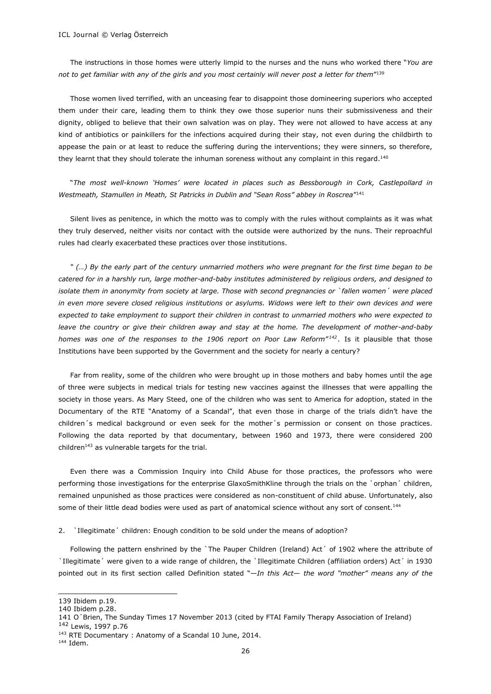The instructions in those homes were utterly limpid to the nurses and the nuns who worked there "*You are not to get familiar with any of the girls and you most certainly will never post a letter for them*" 139

Those women lived terrified, with an unceasing fear to disappoint those domineering superiors who accepted them under their care, leading them to think they owe those superior nuns their submissiveness and their dignity, obliged to believe that their own salvation was on play. They were not allowed to have access at any kind of antibiotics or painkillers for the infections acquired during their stay, not even during the childbirth to appease the pain or at least to reduce the suffering during the interventions; they were sinners, so therefore, they learnt that they should tolerate the inhuman soreness without any complaint in this regard.<sup>140</sup>

"*The most well-known 'Homes' were located in places such as Bessborough in Cork, Castlepollard in Westmeath, Stamullen in Meath, St Patricks in Dublin and "Sean Ross" abbey in Roscrea*" 141

Silent lives as penitence, in which the motto was to comply with the rules without complaints as it was what they truly deserved, neither visits nor contact with the outside were authorized by the nuns. Their reproachful rules had clearly exacerbated these practices over those institutions.

*" (…) By the early part of the century unmarried mothers who were pregnant for the first time began to be catered for in a harshly run, large mother-and-baby institutes administered by religious orders, and designed to isolate them in anonymity from society at large. Those with second pregnancies or `fallen women´ were placed in even more severe closed religious institutions or asylums. Widows were left to their own devices and were expected to take employment to support their children in contrast to unmarried mothers who were expected to leave the country or give their children away and stay at the home. The development of mother-and-baby homes was one of the responses to the 1906 report on Poor Law Reform" <sup>142</sup> .* Is it plausible that those Institutions have been supported by the Government and the society for nearly a century?

Far from reality, some of the children who were brought up in those mothers and baby homes until the age of three were subjects in medical trials for testing new vaccines against the illnesses that were appalling the society in those years. As Mary Steed, one of the children who was sent to America for adoption, stated in the Documentary of the RTE "Anatomy of a Scandal", that even those in charge of the trials didn't have the children´s medical background or even seek for the mother´s permission or consent on those practices. Following the data reported by that documentary, between 1960 and 1973, there were considered 200 children $143$  as vulnerable targets for the trial.

Even there was a Commission Inquiry into Child Abuse for those practices, the professors who were performing those investigations for the enterprise GlaxoSmithKline through the trials on the `orphan´ children, remained unpunished as those practices were considered as non-constituent of child abuse. Unfortunately, also some of their little dead bodies were used as part of anatomical science without any sort of consent.<sup>144</sup>

2. `Illegitimate´ children: Enough condition to be sold under the means of adoption?

Following the pattern enshrined by the `The Pauper Children (Ireland) Act´ of 1902 where the attribute of `Illegitimate´ were given to a wide range of children, the `Illegitimate Children (affiliation orders) Act´ in 1930 pointed out in its first section called Definition stated "—*In this Act— the word "mother" means any of the* 

<sup>139</sup> Ibidem p.19.

<sup>140</sup> Ibidem p.28.

<sup>141</sup> O´Brien, The Sunday Times 17 November 2013 (cited by FTAI Family Therapy Association of Ireland) <sup>142</sup> Lewis, 1997 p.76

<sup>&</sup>lt;sup>143</sup> RTE Documentary : Anatomy of a Scandal 10 June, 2014.

<sup>144</sup> Idem.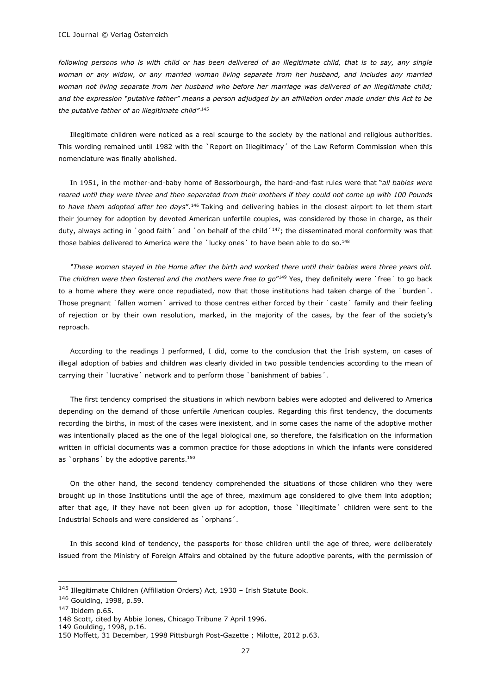*following persons who is with child or has been delivered of an illegitimate child, that is to say, any single woman or any widow, or any married woman living separate from her husband, and includes any married woman not living separate from her husband who before her marriage was delivered of an illegitimate child; and the expression "putative father" means a person adjudged by an affiliation order made under this Act to be the putative father of an illegitimate child"*.145

Illegitimate children were noticed as a real scourge to the society by the national and religious authorities. This wording remained until 1982 with the `Report on Illegitimacy' of the Law Reform Commission when this nomenclature was finally abolished.

In 1951, in the mother-and-baby home of Bessorbourgh, the hard-and-fast rules were that "*all babies were reared until they were three and then separated from their mothers if they could not come up with 100 Pounds to have them adopted after ten days*".<sup>146</sup> Taking and delivering babies in the closest airport to let them start their journey for adoption by devoted American unfertile couples, was considered by those in charge, as their duty, always acting in `good faith´ and `on behalf of the child´ $147$ ; the disseminated moral conformity was that those babies delivered to America were the `lucky ones' to have been able to do so.<sup>148</sup>

*"These women stayed in the Home after the birth and worked there until their babies were three years old. The children were then fostered and the mothers were free to go*" <sup>149</sup> Yes, they definitely were `free´ to go back to a home where they were once repudiated, now that those institutions had taken charge of the `burden´. Those pregnant `fallen women´ arrived to those centres either forced by their `caste´ family and their feeling of rejection or by their own resolution, marked, in the majority of the cases, by the fear of the society's reproach.

According to the readings I performed, I did, come to the conclusion that the Irish system, on cases of illegal adoption of babies and children was clearly divided in two possible tendencies according to the mean of carrying their `lucrative´ network and to perform those `banishment of babies´.

The first tendency comprised the situations in which newborn babies were adopted and delivered to America depending on the demand of those unfertile American couples. Regarding this first tendency, the documents recording the births, in most of the cases were inexistent, and in some cases the name of the adoptive mother was intentionally placed as the one of the legal biological one, so therefore, the falsification on the information written in official documents was a common practice for those adoptions in which the infants were considered as `orphans' by the adoptive parents.<sup>150</sup>

On the other hand, the second tendency comprehended the situations of those children who they were brought up in those Institutions until the age of three, maximum age considered to give them into adoption; after that age, if they have not been given up for adoption, those `illegitimate´ children were sent to the Industrial Schools and were considered as `orphans´.

In this second kind of tendency, the passports for those children until the age of three, were deliberately issued from the Ministry of Foreign Affairs and obtained by the future adoptive parents, with the permission of

l

149 Goulding, 1998, p.16.

<sup>145</sup> Illegitimate Children (Affiliation Orders) Act, 1930 – Irish Statute Book.

<sup>146</sup> Goulding, 1998, p.59.

<sup>147</sup> Ibidem p.65.

<sup>148</sup> Scott, cited by Abbie Jones, Chicago Tribune 7 April 1996.

<sup>150</sup> Moffett, 31 December, 1998 Pittsburgh Post-Gazette ; Milotte, 2012 p.63.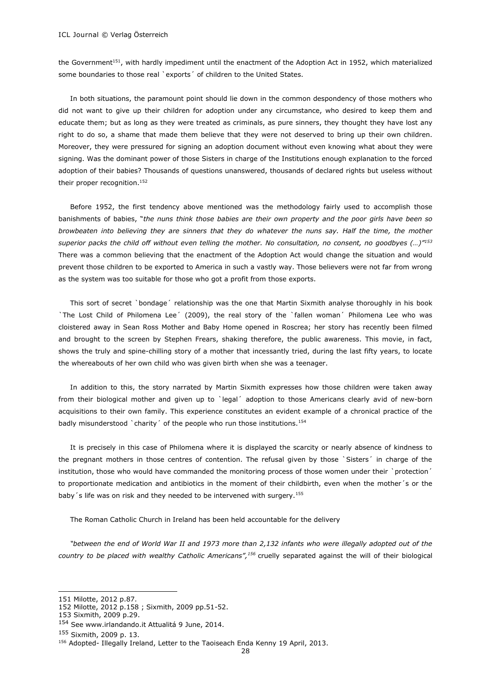the Government<sup>151</sup>, with hardly impediment until the enactment of the Adoption Act in 1952, which materialized some boundaries to those real `exports´ of children to the United States.

In both situations, the paramount point should lie down in the common despondency of those mothers who did not want to give up their children for adoption under any circumstance, who desired to keep them and educate them; but as long as they were treated as criminals, as pure sinners, they thought they have lost any right to do so, a shame that made them believe that they were not deserved to bring up their own children. Moreover, they were pressured for signing an adoption document without even knowing what about they were signing. Was the dominant power of those Sisters in charge of the Institutions enough explanation to the forced adoption of their babies? Thousands of questions unanswered, thousands of declared rights but useless without their proper recognition.<sup>152</sup>

Before 1952, the first tendency above mentioned was the methodology fairly used to accomplish those banishments of babies, "*the nuns think those babies are their own property and the poor girls have been so browbeaten into believing they are sinners that they do whatever the nuns say. Half the time, the mother superior packs the child off without even telling the mother. No consultation, no consent, no goodbyes (…)"<sup>153</sup>* There was a common believing that the enactment of the Adoption Act would change the situation and would prevent those children to be exported to America in such a vastly way. Those believers were not far from wrong as the system was too suitable for those who got a profit from those exports.

This sort of secret `bondage´ relationship was the one that Martin Sixmith analyse thoroughly in his book `The Lost Child of Philomena Lee´ (2009), the real story of the `fallen woman´ Philomena Lee who was cloistered away in Sean Ross Mother and Baby Home opened in Roscrea; her story has recently been filmed and brought to the screen by Stephen Frears, shaking therefore, the public awareness. This movie, in fact, shows the truly and spine-chilling story of a mother that incessantly tried, during the last fifty years, to locate the whereabouts of her own child who was given birth when she was a teenager.

In addition to this, the story narrated by Martin Sixmith expresses how those children were taken away from their biological mother and given up to `legal´ adoption to those Americans clearly avid of new-born acquisitions to their own family. This experience constitutes an evident example of a chronical practice of the badly misunderstood `charity' of the people who run those institutions.<sup>154</sup>

It is precisely in this case of Philomena where it is displayed the scarcity or nearly absence of kindness to the pregnant mothers in those centres of contention. The refusal given by those `Sisters´ in charge of the institution, those who would have commanded the monitoring process of those women under their `protection´ to proportionate medication and antibiotics in the moment of their childbirth, even when the mother´s or the baby's life was on risk and they needed to be intervened with surgery.<sup>155</sup>

The Roman Catholic Church in Ireland has been held accountable for the delivery

*"between the end of World War II and 1973 more than 2,132 infants who were illegally adopted out of the country to be placed with wealthy Catholic Americans",<sup>156</sup>* cruelly separated against the will of their biological

 $\overline{\phantom{0}}$ 

<sup>151</sup> Milotte, 2012 p.87.

<sup>152</sup> Milotte, 2012 p.158 ; Sixmith, 2009 pp.51-52.

<sup>153</sup> Sixmith, 2009 p.29.

<sup>154</sup> See www.irlandando.it Attualitá 9 June, 2014.

<sup>155</sup> Sixmith, 2009 p. 13.

<sup>156</sup> Adopted- Illegally Ireland, Letter to the Taoiseach Enda Kenny 19 April, 2013.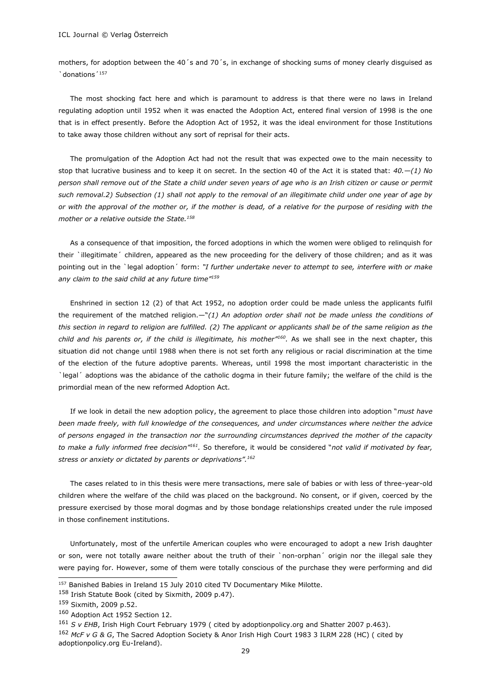mothers, for adoption between the 40´s and 70´s, in exchange of shocking sums of money clearly disguised as `donations´<sup>157</sup>

The most shocking fact here and which is paramount to address is that there were no laws in Ireland regulating adoption until 1952 when it was enacted the Adoption Act, entered final version of 1998 is the one that is in effect presently. Before the Adoption Act of 1952, it was the ideal environment for those Institutions to take away those children without any sort of reprisal for their acts.

The promulgation of the Adoption Act had not the result that was expected owe to the main necessity to stop that lucrative business and to keep it on secret. In the section 40 of the Act it is stated that: *40.—(1) No person shall remove out of the State a child under seven years of age who is an Irish citizen or cause or permit such removal.2) Subsection (1) shall not apply to the removal of an illegitimate child under one year of age by or with the approval of the mother or, if the mother is dead, of a relative for the purpose of residing with the mother or a relative outside the State.<sup>158</sup>*

As a consequence of that imposition, the forced adoptions in which the women were obliged to relinquish for their `illegitimate´ children, appeared as the new proceeding for the delivery of those children; and as it was pointing out in the `legal adoption´ form: *"I further undertake never to attempt to see, interfere with or make any claim to the said child at any future time"<sup>159</sup>*

Enshrined in section 12 (2) of that Act 1952, no adoption order could be made unless the applicants fulfil the requirement of the matched religion.—"*(1) An adoption order shall not be made unless the conditions of this section in regard to religion are fulfilled. (2) The applicant or applicants shall be of the same religion as the child and his parents or, if the child is illegitimate, his mother"<sup>160</sup> .* As we shall see in the next chapter, this situation did not change until 1988 when there is not set forth any religious or racial discrimination at the time of the election of the future adoptive parents. Whereas, until 1998 the most important characteristic in the `legal´ adoptions was the abidance of the catholic dogma in their future family; the welfare of the child is the primordial mean of the new reformed Adoption Act.

If we look in detail the new adoption policy, the agreement to place those children into adoption "*must have been made freely, with full knowledge of the consequences, and under circumstances where neither the advice of persons engaged in the transaction nor the surrounding circumstances deprived the mother of the capacity to make a fully informed free decision"<sup>161</sup> .* So therefore, it would be considered "*not valid if motivated by fear, stress or anxiety or dictated by parents or deprivations".<sup>162</sup>*

The cases related to in this thesis were mere transactions, mere sale of babies or with less of three-year-old children where the welfare of the child was placed on the background. No consent, or if given, coerced by the pressure exercised by those moral dogmas and by those bondage relationships created under the rule imposed in those confinement institutions.

Unfortunately, most of the unfertile American couples who were encouraged to adopt a new Irish daughter or son, were not totally aware neither about the truth of their `non-orphan´ origin nor the illegal sale they were paying for. However, some of them were totally conscious of the purchase they were performing and did

<sup>&</sup>lt;sup>157</sup> Banished Babies in Ireland 15 July 2010 cited TV Documentary Mike Milotte.

<sup>158</sup> Irish Statute Book (cited by Sixmith, 2009 p.47).

<sup>159</sup> Sixmith, 2009 p.52.

<sup>160</sup> Adoption Act 1952 Section 12.

<sup>161</sup> *S v EHB*, Irish High Court February 1979 ( cited by adoptionpolicy.org and Shatter 2007 p.463).

<sup>162</sup> *McF v G & G*, The Sacred Adoption Society & Anor Irish High Court 1983 3 ILRM 228 (HC) ( cited by adoptionpolicy.org Eu-Ireland).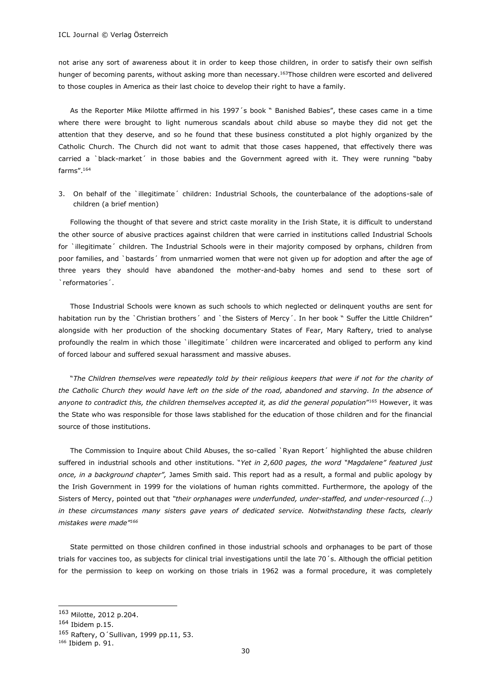not arise any sort of awareness about it in order to keep those children, in order to satisfy their own selfish hunger of becoming parents, without asking more than necessary.<sup>163</sup>Those children were escorted and delivered to those couples in America as their last choice to develop their right to have a family.

As the Reporter Mike Milotte affirmed in his 1997´s book " Banished Babies", these cases came in a time where there were brought to light numerous scandals about child abuse so maybe they did not get the attention that they deserve, and so he found that these business constituted a plot highly organized by the Catholic Church. The Church did not want to admit that those cases happened, that effectively there was carried a `black-market´ in those babies and the Government agreed with it. They were running "baby farms".<sup>164</sup>

3. On behalf of the `illegitimate´ children: Industrial Schools, the counterbalance of the adoptions-sale of children (a brief mention)

Following the thought of that severe and strict caste morality in the Irish State, it is difficult to understand the other source of abusive practices against children that were carried in institutions called Industrial Schools for `illegitimate´ children. The Industrial Schools were in their majority composed by orphans, children from poor families, and `bastards´ from unmarried women that were not given up for adoption and after the age of three years they should have abandoned the mother-and-baby homes and send to these sort of `reformatories´.

Those Industrial Schools were known as such schools to which neglected or delinquent youths are sent for habitation run by the `Christian brothers´ and `the Sisters of Mercy´. In her book " Suffer the Little Children" alongside with her production of the shocking documentary States of Fear, Mary Raftery, tried to analyse profoundly the realm in which those `illegitimate´ children were incarcerated and obliged to perform any kind of forced labour and suffered sexual harassment and massive abuses.

"*The Children themselves were repeatedly told by their religious keepers that were if not for the charity of the Catholic Church they would have left on the side of the road, abandoned and starving. In the absence of*  anyone to contradict this, the children themselves accepted it, as did the general population"<sup>165</sup> However, it was the State who was responsible for those laws stablished for the education of those children and for the financial source of those institutions.

The Commission to Inquire about Child Abuses, the so-called `Ryan Report´ highlighted the abuse children suffered in industrial schools and other institutions. "*Yet in 2,600 pages, the word "Magdalene" featured just once, in a background chapter",* James Smith said. This report had as a result, a formal and public apology by the Irish Government in 1999 for the violations of human rights committed. Furthermore, the apology of the Sisters of Mercy, pointed out that *"their orphanages were underfunded, under-staffed, and under-resourced (…) in these circumstances many sisters gave years of dedicated service. Notwithstanding these facts, clearly mistakes were made"<sup>166</sup>*

State permitted on those children confined in those industrial schools and orphanages to be part of those trials for vaccines too, as subjects for clinical trial investigations until the late 70´s. Although the official petition for the permission to keep on working on those trials in 1962 was a formal procedure, it was completely

<sup>163</sup> Milotte, 2012 p.204.

<sup>164</sup> Ibidem p.15.

<sup>165</sup> Raftery, O'Sullivan, 1999 pp.11, 53.

<sup>166</sup> Ibidem p. 91.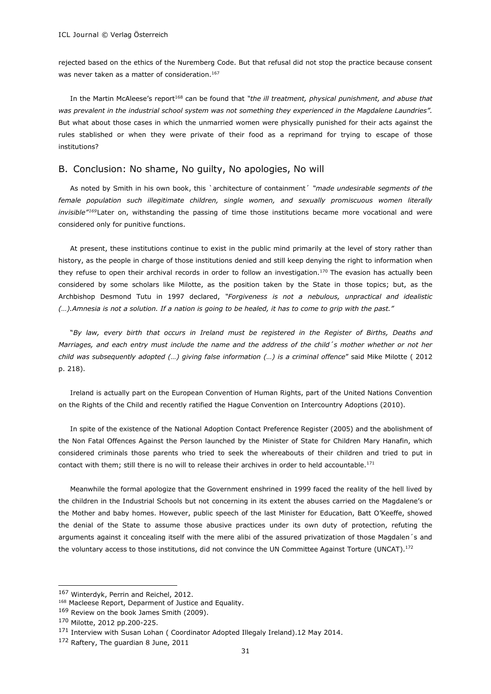rejected based on the ethics of the Nuremberg Code. But that refusal did not stop the practice because consent was never taken as a matter of consideration.<sup>167</sup>

In the Martin McAleese's report<sup>168</sup> can be found that "the ill treatment, physical punishment, and abuse that *was prevalent in the industrial school system was not something they experienced in the Magdalene Laundries".*  But what about those cases in which the unmarried women were physically punished for their acts against the rules stablished or when they were private of their food as a reprimand for trying to escape of those institutions?

### B. Conclusion: No shame, No guilty, No apologies, No will

As noted by Smith in his own book, this `architecture of containment´ *"made undesirable segments of the female population such illegitimate children, single women, and sexually promiscuous women literally invisible"<sup>169</sup>*Later on, withstanding the passing of time those institutions became more vocational and were considered only for punitive functions.

At present, these institutions continue to exist in the public mind primarily at the level of story rather than history, as the people in charge of those institutions denied and still keep denying the right to information when they refuse to open their archival records in order to follow an investigation.<sup>170</sup> The evasion has actually been considered by some scholars like Milotte, as the position taken by the State in those topics; but, as the Archbishop Desmond Tutu in 1997 declared, *"Forgiveness is not a nebulous, unpractical and idealistic (…).Amnesia is not a solution. If a nation is going to be healed, it has to come to grip with the past."*

"*By law, every birth that occurs in Ireland must be registered in the Register of Births, Deaths and Marriages, and each entry must include the name and the address of the child´s mother whether or not her child was subsequently adopted (…) giving false information (…) is a criminal offence*" said Mike Milotte ( 2012 p. 218).

Ireland is actually part on the European Convention of Human Rights, part of the United Nations Convention on the Rights of the Child and recently ratified the Hague Convention on Intercountry Adoptions (2010).

In spite of the existence of the National Adoption Contact Preference Register (2005) and the abolishment of the Non Fatal Offences Against the Person launched by the Minister of State for Children Mary Hanafin, which considered criminals those parents who tried to seek the whereabouts of their children and tried to put in contact with them; still there is no will to release their archives in order to held accountable.<sup>171</sup>

Meanwhile the formal apologize that the Government enshrined in 1999 faced the reality of the hell lived by the children in the Industrial Schools but not concerning in its extent the abuses carried on the Magdalene's or the Mother and baby homes. However, public speech of the last Minister for Education, Batt O'Keeffe, showed the denial of the State to assume those abusive practices under its own duty of protection, refuting the arguments against it concealing itself with the mere alibi of the assured privatization of those Magdalen´s and the voluntary access to those institutions, did not convince the UN Committee Against Torture (UNCAT).<sup>172</sup>

<sup>167</sup> Winterdyk, Perrin and Reichel, 2012.

<sup>168</sup> Macleese Report, Deparment of Justice and Equality.

<sup>169</sup> Review on the book James Smith (2009).

<sup>170</sup> Milotte, 2012 pp.200-225.

<sup>171</sup> Interview with Susan Lohan ( Coordinator Adopted Illegaly Ireland).12 May 2014.

<sup>172</sup> Raftery, The guardian 8 June, 2011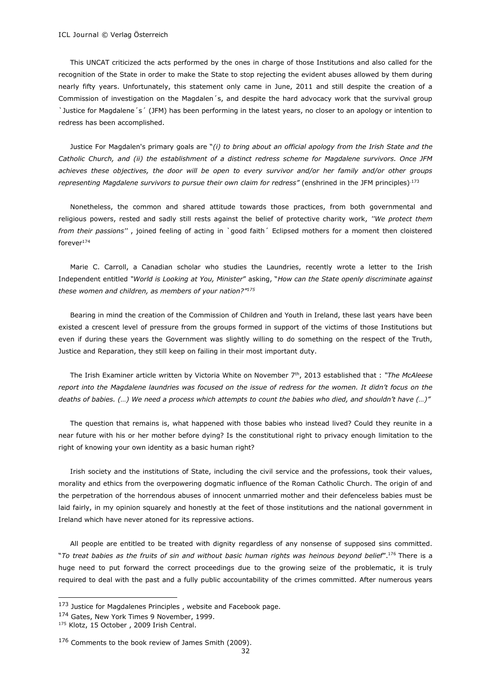#### ICL Journal © Verlag Österreich

This UNCAT criticized the acts performed by the ones in charge of those Institutions and also called for the recognition of the State in order to make the State to stop rejecting the evident abuses allowed by them during nearly fifty years. Unfortunately, this statement only came in June, 2011 and still despite the creation of a Commission of investigation on the Magdalen´s, and despite the hard advocacy work that the survival group `Justice for Magdalene´s´ (JFM) has been performing in the latest years, no closer to an apology or intention to redress has been accomplished.

Justice For Magdalen's primary goals are "*(i) to bring about an official apology from the Irish State and the Catholic Church, and (ii) the establishment of a distinct redress scheme for Magdalene survivors. Once JFM achieves these objectives, the door will be open to every survivor and/or her family and/or other groups representing Magdalene survivors to pursue their own claim for redress" (enshrined in the JFM principles)*<sup>173</sup>

Nonetheless, the common and shared attitude towards those practices, from both governmental and religious powers, rested and sadly still rests against the belief of protective charity work, *''We protect them from their passions''* , joined feeling of acting in `good faith´ Eclipsed mothers for a moment then cloistered forever<sup>174</sup>

Marie C. Carroll, a Canadian scholar who studies the Laundries, recently wrote a letter to the Irish Independent entitled *"World is Looking at You, Minister*" asking, "*How can the State openly discriminate against these women and children, as members of your nation?"<sup>175</sup>*

Bearing in mind the creation of the Commission of Children and Youth in Ireland, these last years have been existed a crescent level of pressure from the groups formed in support of the victims of those Institutions but even if during these years the Government was slightly willing to do something on the respect of the Truth, Justice and Reparation, they still keep on failing in their most important duty.

The Irish Examiner article written by Victoria White on November 7th, 2013 established that : *"The McAleese report into the Magdalene laundries was focused on the issue of redress for the women. It didn't focus on the deaths of babies. (…) We need a process which attempts to count the babies who died, and shouldn't have (…)"*

The question that remains is, what happened with those babies who instead lived? Could they reunite in a near future with his or her mother before dying? Is the constitutional right to privacy enough limitation to the right of knowing your own identity as a basic human right?

Irish society and the institutions of State, including the civil service and the professions, took their values, morality and ethics from the overpowering dogmatic influence of the Roman Catholic Church. The origin of and the perpetration of the horrendous abuses of innocent unmarried mother and their defenceless babies must be laid fairly, in my opinion squarely and honestly at the feet of those institutions and the national government in Ireland which have never atoned for its repressive actions.

All people are entitled to be treated with dignity regardless of any nonsense of supposed sins committed. "*To treat babies as the fruits of sin and without basic human rights was heinous beyond belief*".<sup>176</sup> There is a huge need to put forward the correct proceedings due to the growing seize of the problematic, it is truly required to deal with the past and a fully public accountability of the crimes committed. After numerous years

 $\overline{\phantom{0}}$ 

<sup>173</sup> Justice for Magdalenes Principles, website and Facebook page.

<sup>174</sup> Gates, New York Times 9 November, 1999.

<sup>175</sup> Klotz, 15 October, 2009 Irish Central.

<sup>176</sup> Comments to the book review of James Smith (2009).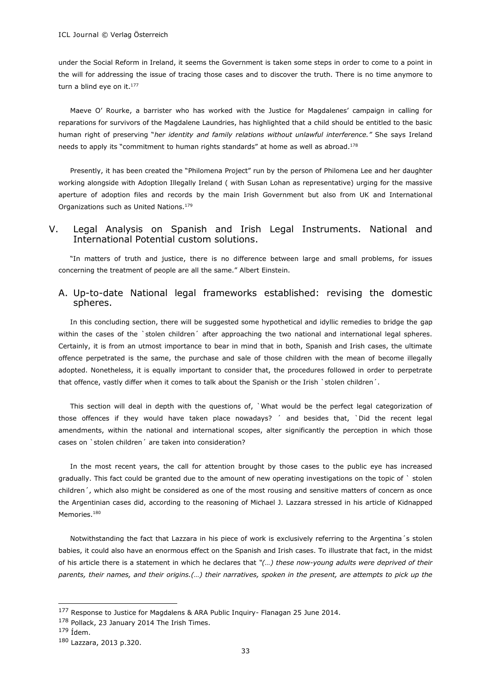under the Social Reform in Ireland, it seems the Government is taken some steps in order to come to a point in the will for addressing the issue of tracing those cases and to discover the truth. There is no time anymore to turn a blind eye on it.<sup>177</sup>

Maeve O' Rourke, a barrister who has worked with the Justice for Magdalenes' campaign in calling for reparations for survivors of the Magdalene Laundries, has highlighted that a child should be entitled to the basic human right of preserving "*her identity and family relations without unlawful interference."* She says Ireland needs to apply its "commitment to human rights standards" at home as well as abroad.<sup>178</sup>

Presently, it has been created the "Philomena Project" run by the person of Philomena Lee and her daughter working alongside with Adoption Illegally Ireland ( with Susan Lohan as representative) urging for the massive aperture of adoption files and records by the main Irish Government but also from UK and International Organizations such as United Nations.<sup>179</sup>

### V. Legal Analysis on Spanish and Irish Legal Instruments. National and International Potential custom solutions.

"In matters of truth and justice, there is no difference between large and small problems, for issues concerning the treatment of people are all the same." Albert Einstein.

### A. Up-to-date National legal frameworks established: revising the domestic spheres.

In this concluding section, there will be suggested some hypothetical and idyllic remedies to bridge the gap within the cases of the `stolen children´ after approaching the two national and international legal spheres. Certainly, it is from an utmost importance to bear in mind that in both, Spanish and Irish cases, the ultimate offence perpetrated is the same, the purchase and sale of those children with the mean of become illegally adopted. Nonetheless, it is equally important to consider that, the procedures followed in order to perpetrate that offence, vastly differ when it comes to talk about the Spanish or the Irish `stolen children´.

This section will deal in depth with the questions of, `What would be the perfect legal categorization of those offences if they would have taken place nowadays? ´ and besides that, `Did the recent legal amendments, within the national and international scopes, alter significantly the perception in which those cases on `stolen children´ are taken into consideration?

In the most recent years, the call for attention brought by those cases to the public eye has increased gradually. This fact could be granted due to the amount of new operating investigations on the topic of ` stolen children´, which also might be considered as one of the most rousing and sensitive matters of concern as once the Argentinian cases did, according to the reasoning of Michael J. Lazzara stressed in his article of Kidnapped Memories.<sup>180</sup>

Notwithstanding the fact that Lazzara in his piece of work is exclusively referring to the Argentina´s stolen babies, it could also have an enormous effect on the Spanish and Irish cases. To illustrate that fact, in the midst of his article there is a statement in which he declares that *"(…) these now-young adults were deprived of their parents, their names, and their origins.(…) their narratives, spoken in the present, are attempts to pick up the* 

<sup>177</sup> Response to Justice for Magdalens & ARA Public Inquiry- Flanagan 25 June 2014.

<sup>178</sup> Pollack, 23 January 2014 The Irish Times.

<sup>179</sup> Ídem.

<sup>180</sup> Lazzara, 2013 p.320.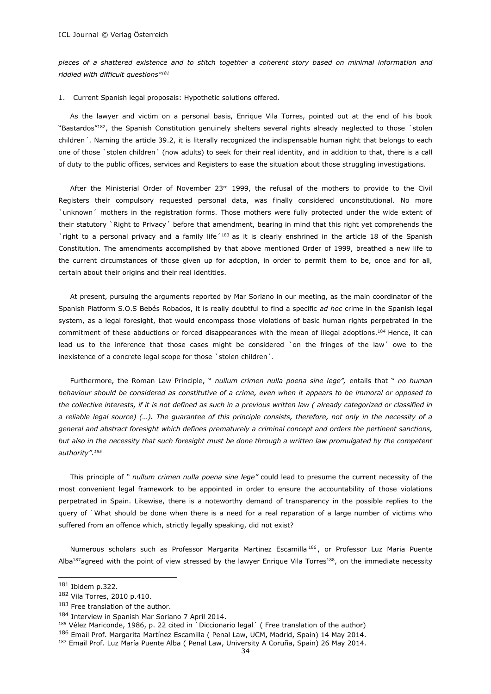*pieces of a shattered existence and to stitch together a coherent story based on minimal information and riddled with difficult questions"<sup>181</sup>*

1. Current Spanish legal proposals: Hypothetic solutions offered.

As the lawyer and victim on a personal basis, Enrique Vila Torres, pointed out at the end of his book "Bastardos"<sup>182</sup>, the Spanish Constitution genuinely shelters several rights already neglected to those `stolen children´. Naming the article 39.2, it is literally recognized the indispensable human right that belongs to each one of those `stolen children´ (now adults) to seek for their real identity, and in addition to that, there is a call of duty to the public offices, services and Registers to ease the situation about those struggling investigations.

After the Ministerial Order of November 23<sup>rd</sup> 1999, the refusal of the mothers to provide to the Civil Registers their compulsory requested personal data, was finally considered unconstitutional. No more `unknown´ mothers in the registration forms. Those mothers were fully protected under the wide extent of their statutory `Right to Privacy´ before that amendment, bearing in mind that this right yet comprehends the `right to a personal privacy and a family life<sup>'183</sup> as it is clearly enshrined in the article 18 of the Spanish Constitution. The amendments accomplished by that above mentioned Order of 1999, breathed a new life to the current circumstances of those given up for adoption, in order to permit them to be, once and for all, certain about their origins and their real identities.

At present, pursuing the arguments reported by Mar Soriano in our meeting, as the main coordinator of the Spanish Platform S.O.S Bebés Robados, it is really doubtful to find a specific *ad hoc* crime in the Spanish legal system, as a legal foresight, that would encompass those violations of basic human rights perpetrated in the commitment of these abductions or forced disappearances with the mean of illegal adoptions.<sup>184</sup> Hence, it can lead us to the inference that those cases might be considered 'on the fringes of the law' owe to the inexistence of a concrete legal scope for those `stolen children'.

Furthermore, the Roman Law Principle, " *nullum crimen nulla poena sine lege",* entails that " *no human behaviour should be considered as constitutive of a crime, even when it appears to be immoral or opposed to the collective interests, if it is not defined as such in a previous written law ( already categorized or classified in a reliable legal source) (…). The guarantee of this principle consists, therefore, not only in the necessity of a general and abstract foresight which defines prematurely a criminal concept and orders the pertinent sanctions, but also in the necessity that such foresight must be done through a written law promulgated by the competent authority". 185*

This principle of *" nullum crimen nulla poena sine lege"* could lead to presume the current necessity of the most convenient legal framework to be appointed in order to ensure the accountability of those violations perpetrated in Spain. Likewise, there is a noteworthy demand of transparency in the possible replies to the query of `What should be done when there is a need for a real reparation of a large number of victims who suffered from an offence which, strictly legally speaking, did not exist?

Numerous scholars such as Professor Margarita Martinez Escamilla<sup>186</sup>, or Professor Luz Maria Puente Alba<sup>187</sup>agreed with the point of view stressed by the lawyer Enrique Vila Torres<sup>188</sup>, on the immediate necessity

<sup>181</sup> Ibidem p.322.

<sup>182</sup> Vila Torres, 2010 p.410.

<sup>183</sup> Free translation of the author.

<sup>184</sup> Interview in Spanish Mar Soriano 7 April 2014.

<sup>&</sup>lt;sup>185</sup> Vélez Mariconde, 1986, p. 22 cited in `Diccionario legal' (Free translation of the author)

<sup>&</sup>lt;sup>186</sup> Email Prof. Margarita Martínez Escamilla ( Penal Law, UCM, Madrid, Spain) 14 May 2014.

<sup>&</sup>lt;sup>187</sup> Email Prof. Luz María Puente Alba ( Penal Law, University A Coruña, Spain) 26 May 2014.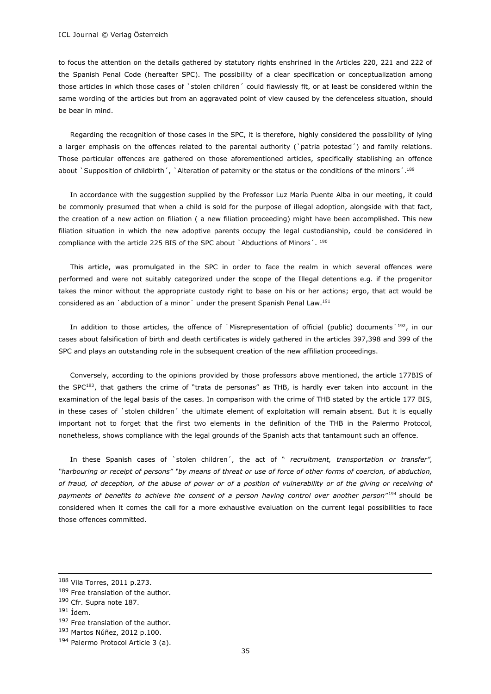to focus the attention on the details gathered by statutory rights enshrined in the Articles 220, 221 and 222 of the Spanish Penal Code (hereafter SPC). The possibility of a clear specification or conceptualization among those articles in which those cases of `stolen children´ could flawlessly fit, or at least be considered within the same wording of the articles but from an aggravated point of view caused by the defenceless situation, should be bear in mind.

Regarding the recognition of those cases in the SPC, it is therefore, highly considered the possibility of lying a larger emphasis on the offences related to the parental authority (`patria potestad´) and family relations. Those particular offences are gathered on those aforementioned articles, specifically stablishing an offence about `Supposition of childbirth´, `Alteration of paternity or the status or the conditions of the minors´.<sup>189</sup>

In accordance with the suggestion supplied by the Professor Luz María Puente Alba in our meeting, it could be commonly presumed that when a child is sold for the purpose of illegal adoption, alongside with that fact, the creation of a new action on filiation ( a new filiation proceeding) might have been accomplished. This new filiation situation in which the new adoptive parents occupy the legal custodianship, could be considered in compliance with the article 225 BIS of the SPC about `Abductions of Minors'. 190

This article, was promulgated in the SPC in order to face the realm in which several offences were performed and were not suitably categorized under the scope of the Illegal detentions e.g. if the progenitor takes the minor without the appropriate custody right to base on his or her actions; ergo, that act would be considered as an `abduction of a minor' under the present Spanish Penal Law.<sup>191</sup>

In addition to those articles, the offence of `Misrepresentation of official (public) documents<sup>'192</sup>, in our cases about falsification of birth and death certificates is widely gathered in the articles 397,398 and 399 of the SPC and plays an outstanding role in the subsequent creation of the new affiliation proceedings.

Conversely, according to the opinions provided by those professors above mentioned, the article 177BIS of the SPC<sup>193</sup>, that gathers the crime of "trata de personas" as THB, is hardly ever taken into account in the examination of the legal basis of the cases. In comparison with the crime of THB stated by the article 177 BIS, in these cases of `stolen children´ the ultimate element of exploitation will remain absent. But it is equally important not to forget that the first two elements in the definition of the THB in the Palermo Protocol, nonetheless, shows compliance with the legal grounds of the Spanish acts that tantamount such an offence.

In these Spanish cases of `stolen children´, the act of " *recruitment, transportation or transfer", "harbouring or receipt of persons" "by means of threat or use of force of other forms of coercion, of abduction, of fraud, of deception, of the abuse of power or of a position of vulnerability or of the giving or receiving of payments of benefits to achieve the consent of a person having control over another person*" <sup>194</sup> should be considered when it comes the call for a more exhaustive evaluation on the current legal possibilities to face those offences committed.

l

192 Free translation of the author.

<sup>188</sup> Vila Torres, 2011 p.273.

<sup>189</sup> Free translation of the author.

<sup>190</sup> Cfr. Supra note 187.

<sup>191</sup> Ídem.

<sup>193</sup> Martos Núñez, 2012 p.100.

<sup>194</sup> Palermo Protocol Article 3 (a).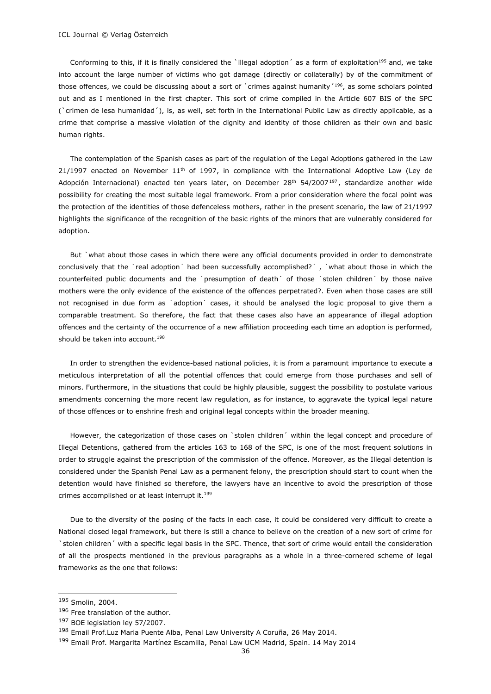Conforming to this, if it is finally considered the `illegal adoption' as a form of exploitation<sup>195</sup> and, we take into account the large number of victims who got damage (directly or collaterally) by of the commitment of those offences, we could be discussing about a sort of `crimes against humanity´<sup>196</sup>, as some scholars pointed out and as I mentioned in the first chapter. This sort of crime compiled in the Article 607 BIS of the SPC (`crimen de lesa humanidad´), is, as well, set forth in the International Public Law as directly applicable, as a crime that comprise a massive violation of the dignity and identity of those children as their own and basic human rights.

The contemplation of the Spanish cases as part of the regulation of the Legal Adoptions gathered in the Law  $21/1997$  enacted on November  $11<sup>th</sup>$  of 1997, in compliance with the International Adoptive Law (Ley de Adopción Internacional) enacted ten years later, on December 28<sup>th</sup> 54/2007<sup>197</sup>, standardize another wide possibility for creating the most suitable legal framework. From a prior consideration where the focal point was the protection of the identities of those defenceless mothers, rather in the present scenario, the law of 21/1997 highlights the significance of the recognition of the basic rights of the minors that are vulnerably considered for adoption.

But `what about those cases in which there were any official documents provided in order to demonstrate conclusively that the `real adoption´ had been successfully accomplished?´ , `what about those in which the counterfeited public documents and the `presumption of death´ of those `stolen children´ by those naïve mothers were the only evidence of the existence of the offences perpetrated?. Even when those cases are still not recognised in due form as `adoption' cases, it should be analysed the logic proposal to give them a comparable treatment. So therefore, the fact that these cases also have an appearance of illegal adoption offences and the certainty of the occurrence of a new affiliation proceeding each time an adoption is performed, should be taken into account.<sup>198</sup>

In order to strengthen the evidence-based national policies, it is from a paramount importance to execute a meticulous interpretation of all the potential offences that could emerge from those purchases and sell of minors. Furthermore, in the situations that could be highly plausible, suggest the possibility to postulate various amendments concerning the more recent law regulation, as for instance, to aggravate the typical legal nature of those offences or to enshrine fresh and original legal concepts within the broader meaning.

However, the categorization of those cases on `stolen children´ within the legal concept and procedure of Illegal Detentions, gathered from the articles 163 to 168 of the SPC, is one of the most frequent solutions in order to struggle against the prescription of the commission of the offence. Moreover, as the Illegal detention is considered under the Spanish Penal Law as a permanent felony, the prescription should start to count when the detention would have finished so therefore, the lawyers have an incentive to avoid the prescription of those crimes accomplished or at least interrupt it.<sup>199</sup>

Due to the diversity of the posing of the facts in each case, it could be considered very difficult to create a National closed legal framework, but there is still a chance to believe on the creation of a new sort of crime for `stolen children´ with a specific legal basis in the SPC. Thence, that sort of crime would entail the consideration of all the prospects mentioned in the previous paragraphs as a whole in a three-cornered scheme of legal frameworks as the one that follows:

<sup>195</sup> Smolin, 2004.

<sup>196</sup> Free translation of the author.

<sup>197</sup> BOE legislation ley 57/2007.

<sup>198</sup> Email Prof.Luz Maria Puente Alba, Penal Law University A Coruña, 26 May 2014.

<sup>199</sup> Email Prof. Margarita Martínez Escamilla, Penal Law UCM Madrid, Spain. 14 May 2014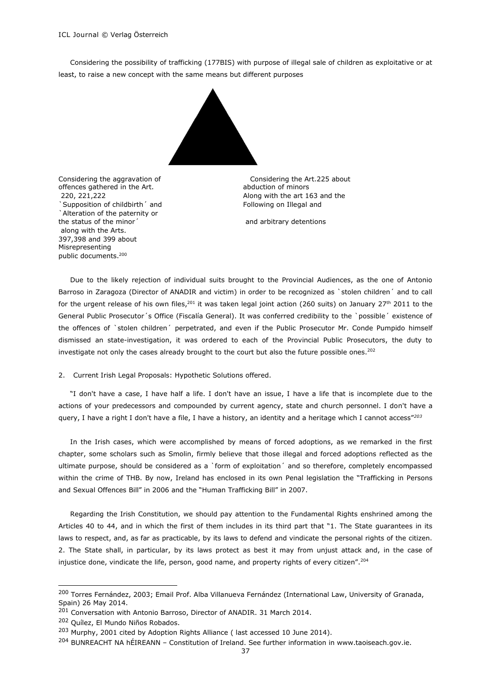Considering the possibility of trafficking (177BIS) with purpose of illegal sale of children as exploitative or at least, to raise a new concept with the same means but different purposes



Considering the aggravation of offences gathered in the Art. 220, 221,222 Along with the art 163 and the `Supposition of childbirth' and Following on Illegal and `Alteration of the paternity or the status of the minor<sup>'</sup> and arbitrary detentions along with the Arts. 397,398 and 399 about Misrepresenting public documents.<sup>200</sup>

 Considering the Art.225 about abduction of minors

Due to the likely rejection of individual suits brought to the Provincial Audiences, as the one of Antonio Barroso in Zaragoza (Director of ANADIR and victim) in order to be recognized as `stolen children´ and to call for the urgent release of his own files,<sup>201</sup> it was taken legal joint action (260 suits) on January 27<sup>th</sup> 2011 to the General Public Prosecutor´s Office (Fiscalía General). It was conferred credibility to the `possible´ existence of the offences of `stolen children´ perpetrated, and even if the Public Prosecutor Mr. Conde Pumpido himself dismissed an state-investigation, it was ordered to each of the Provincial Public Prosecutors, the duty to investigate not only the cases already brought to the court but also the future possible ones.<sup>202</sup>

2. Current Irish Legal Proposals: Hypothetic Solutions offered.

"I don't have a case, I have half a life. I don't have an issue, I have a life that is incomplete due to the actions of your predecessors and compounded by current agency, state and church personnel. I don't have a query, I have a right I don't have a file, I have a history, an identity and a heritage which I cannot access"*<sup>203</sup>*

In the Irish cases, which were accomplished by means of forced adoptions, as we remarked in the first chapter, some scholars such as Smolin, firmly believe that those illegal and forced adoptions reflected as the ultimate purpose, should be considered as a `form of exploitation´ and so therefore, completely encompassed within the crime of THB. By now, Ireland has enclosed in its own Penal legislation the "Trafficking in Persons and Sexual Offences Bill" in 2006 and the "Human Trafficking Bill" in 2007.

Regarding the Irish Constitution, we should pay attention to the Fundamental Rights enshrined among the Articles 40 to 44, and in which the first of them includes in its third part that "1. The State guarantees in its laws to respect, and, as far as practicable, by its laws to defend and vindicate the personal rights of the citizen. 2. The State shall, in particular, by its laws protect as best it may from unjust attack and, in the case of injustice done, vindicate the life, person, good name, and property rights of every citizen".<sup>204</sup>

<sup>200</sup> Torres Fernández, 2003; Email Prof. Alba Villanueva Fernández (International Law, University of Granada, Spain) 26 May 2014.

<sup>&</sup>lt;sup>201</sup> Conversation with Antonio Barroso, Director of ANADIR. 31 March 2014.

<sup>202</sup> Quílez, El Mundo Niños Robados.

<sup>&</sup>lt;sup>203</sup> Murphy, 2001 cited by Adoption Rights Alliance ( last accessed 10 June 2014).

<sup>&</sup>lt;sup>204</sup> BUNREACHT NA hÉIREANN - Constitution of Ireland. See further information in www.taoiseach.gov.ie.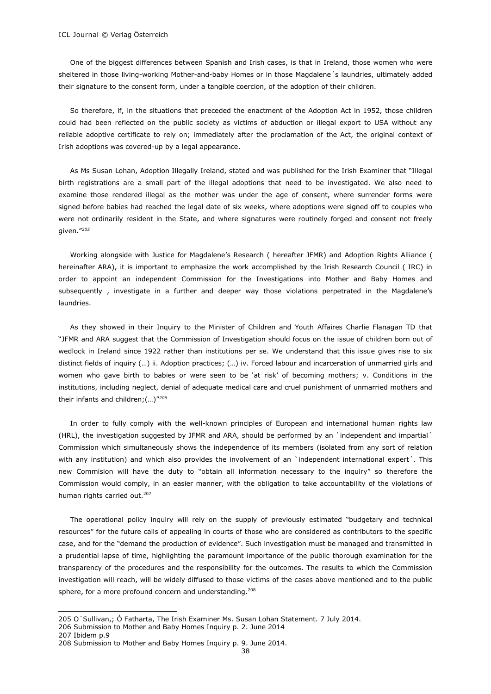One of the biggest differences between Spanish and Irish cases, is that in Ireland, those women who were sheltered in those living-working Mother-and-baby Homes or in those Magdalene´s laundries, ultimately added their signature to the consent form, under a tangible coercion, of the adoption of their children.

So therefore, if, in the situations that preceded the enactment of the Adoption Act in 1952, those children could had been reflected on the public society as victims of abduction or illegal export to USA without any reliable adoptive certificate to rely on; immediately after the proclamation of the Act, the original context of Irish adoptions was covered-up by a legal appearance.

As Ms Susan Lohan, Adoption Illegally Ireland, stated and was published for the Irish Examiner that "Illegal birth registrations are a small part of the illegal adoptions that need to be investigated. We also need to examine those rendered illegal as the mother was under the age of consent, where surrender forms were signed before babies had reached the legal date of six weeks, where adoptions were signed off to couples who were not ordinarily resident in the State, and where signatures were routinely forged and consent not freely given."*<sup>205</sup>*

Working alongside with Justice for Magdalene's Research ( hereafter JFMR) and Adoption Rights Alliance ( hereinafter ARA), it is important to emphasize the work accomplished by the Irish Research Council (IRC) in order to appoint an independent Commission for the Investigations into Mother and Baby Homes and subsequently , investigate in a further and deeper way those violations perpetrated in the Magdalene's laundries.

As they showed in their Inquiry to the Minister of Children and Youth Affaires Charlie Flanagan TD that "JFMR and ARA suggest that the Commission of Investigation should focus on the issue of children born out of wedlock in Ireland since 1922 rather than institutions per se. We understand that this issue gives rise to six distinct fields of inquiry (…) ii. Adoption practices; (…) iv. Forced labour and incarceration of unmarried girls and women who gave birth to babies or were seen to be 'at risk' of becoming mothers; v. Conditions in the institutions, including neglect, denial of adequate medical care and cruel punishment of unmarried mothers and their infants and children;(…)"*<sup>206</sup>*

In order to fully comply with the well-known principles of European and international human rights law (HRL), the investigation suggested by JFMR and ARA, should be performed by an `independent and impartial´ Commission which simultaneously shows the independence of its members (isolated from any sort of relation with any institution) and which also provides the involvement of an `independent international expert´. This new Commision will have the duty to "obtain all information necessary to the inquiry" so therefore the Commission would comply, in an easier manner, with the obligation to take accountability of the violations of human rights carried out.<sup>207</sup>

The operational policy inquiry will rely on the supply of previously estimated "budgetary and technical resources" for the future calls of appealing in courts of those who are considered as contributors to the specific case, and for the "demand the production of evidence". Such investigation must be managed and transmitted in a prudential lapse of time, highlighting the paramount importance of the public thorough examination for the transparency of the procedures and the responsibility for the outcomes. The results to which the Commission investigation will reach, will be widely diffused to those victims of the cases above mentioned and to the public sphere, for a more profound concern and understanding.<sup>208</sup>

<sup>205</sup> O´Sullivan,; Ó Fatharta, The Irish Examiner Ms. Susan Lohan Statement. 7 July 2014.

<sup>206</sup> Submission to Mother and Baby Homes Inquiry p. 2. June 2014

<sup>207</sup> Ibidem p.9

<sup>208</sup> Submission to Mother and Baby Homes Inquiry p. 9. June 2014.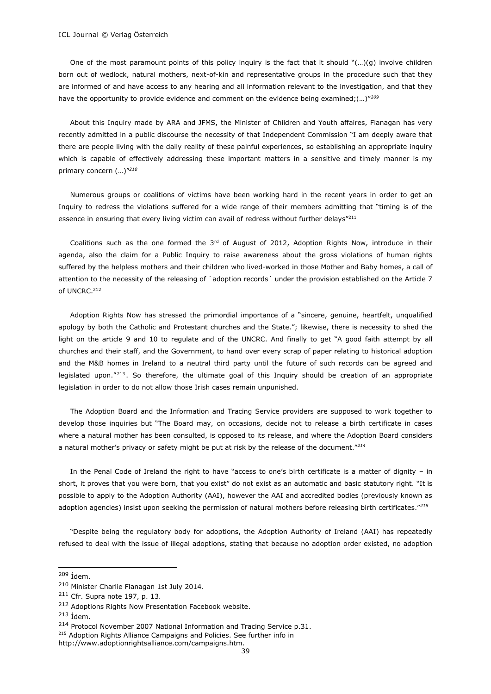One of the most paramount points of this policy inquiry is the fact that it should " $($ ... $)(q)$  involve children born out of wedlock, natural mothers, next-of-kin and representative groups in the procedure such that they are informed of and have access to any hearing and all information relevant to the investigation, and that they have the opportunity to provide evidence and comment on the evidence being examined;(…)"*<sup>209</sup>*

About this Inquiry made by ARA and JFMS, the Minister of Children and Youth affaires, Flanagan has very recently admitted in a public discourse the necessity of that Independent Commission "I am deeply aware that there are people living with the daily reality of these painful experiences, so establishing an appropriate inquiry which is capable of effectively addressing these important matters in a sensitive and timely manner is my primary concern (…)"*<sup>210</sup>*

Numerous groups or coalitions of victims have been working hard in the recent years in order to get an Inquiry to redress the violations suffered for a wide range of their members admitting that "timing is of the essence in ensuring that every living victim can avail of redress without further delays"<sup>211</sup>

Coalitions such as the one formed the  $3<sup>rd</sup>$  of August of 2012, Adoption Rights Now, introduce in their agenda, also the claim for a Public Inquiry to raise awareness about the gross violations of human rights suffered by the helpless mothers and their children who lived-worked in those Mother and Baby homes, a call of attention to the necessity of the releasing of `adoption records´ under the provision established on the Article 7 of UNCRC.<sup>212</sup>

Adoption Rights Now has stressed the primordial importance of a "sincere, genuine, heartfelt, unqualified apology by both the Catholic and Protestant churches and the State."; likewise, there is necessity to shed the light on the article 9 and 10 to regulate and of the UNCRC. And finally to get "A good faith attempt by all churches and their staff, and the Government, to hand over every scrap of paper relating to historical adoption and the M&B homes in Ireland to a neutral third party until the future of such records can be agreed and legislated upon." $213$ . So therefore, the ultimate goal of this Inquiry should be creation of an appropriate legislation in order to do not allow those Irish cases remain unpunished.

The Adoption Board and the Information and Tracing Service providers are supposed to work together to develop those inquiries but "The Board may, on occasions, decide not to release a birth certificate in cases where a natural mother has been consulted, is opposed to its release, and where the Adoption Board considers a natural mother's privacy or safety might be put at risk by the release of the document."*<sup>214</sup>*

In the Penal Code of Ireland the right to have "access to one's birth certificate is a matter of dignity – in short, it proves that you were born, that you exist" do not exist as an automatic and basic statutory right. "It is possible to apply to the Adoption Authority (AAI), however the AAI and accredited bodies (previously known as adoption agencies) insist upon seeking the permission of natural mothers before releasing birth certificates."*<sup>215</sup>*

"Despite being the regulatory body for adoptions, the Adoption Authority of Ireland (AAI) has repeatedly refused to deal with the issue of illegal adoptions, stating that because no adoption order existed, no adoption

 $\overline{\phantom{0}}$ 

<sup>&</sup>lt;sup>209</sup> Ídem.

<sup>210</sup> Minister Charlie Flanagan 1st July 2014.

<sup>211</sup> Cfr. Supra note 197, p. 13.

<sup>212</sup> Adoptions Rights Now Presentation Facebook website.

<sup>213</sup> Ídem.

<sup>214</sup> Protocol November 2007 National Information and Tracing Service p.31.

<sup>&</sup>lt;sup>215</sup> Adoption Rights Alliance Campaigns and Policies. See further info in

http://www.adoptionrightsalliance.com/campaigns.htm.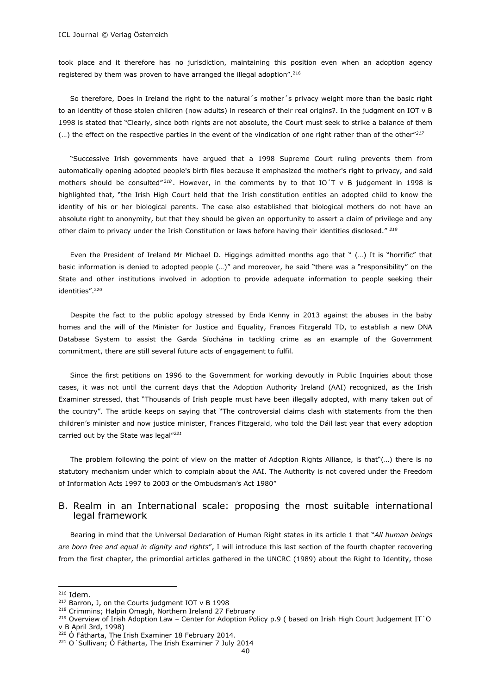took place and it therefore has no jurisdiction, maintaining this position even when an adoption agency registered by them was proven to have arranged the illegal adoption".<sup>216</sup>

So therefore, Does in Ireland the right to the natural´s mother´s privacy weight more than the basic right to an identity of those stolen children (now adults) in research of their real origins?. In the judgment on IOT v B 1998 is stated that "Clearly, since both rights are not absolute, the Court must seek to strike a balance of them (…) the effect on the respective parties in the event of the vindication of one right rather than of the other"*<sup>217</sup>*

"Successive Irish governments have argued that a 1998 Supreme Court ruling prevents them from automatically opening adopted people's birth files because it emphasized the mother's right to privacy, and said mothers should be consulted"<sup>218</sup>. However, in the comments by to that IO T v B judgement in 1998 is highlighted that, "the Irish High Court held that the Irish constitution entitles an adopted child to know the identity of his or her biological parents. The case also established that biological mothers do not have an absolute right to anonymity, but that they should be given an opportunity to assert a claim of privilege and any other claim to privacy under the Irish Constitution or laws before having their identities disclosed." *<sup>219</sup>*

Even the President of Ireland Mr Michael D. Higgings admitted months ago that " (…) It is "horrific" that basic information is denied to adopted people (…)" and moreover, he said "there was a "responsibility" on the State and other institutions involved in adoption to provide adequate information to people seeking their identities".<sup>220</sup>

Despite the fact to the public apology stressed by Enda Kenny in 2013 against the abuses in the baby homes and the will of the Minister for Justice and Equality, Frances Fitzgerald TD, to establish a new DNA Database System to assist the Garda Síochána in tackling crime as an example of the Government commitment, there are still several future acts of engagement to fulfil.

Since the first petitions on 1996 to the Government for working devoutly in Public Inquiries about those cases, it was not until the current days that the Adoption Authority Ireland (AAI) recognized, as the Irish Examiner stressed, that "Thousands of Irish people must have been illegally adopted, with many taken out of the country". The article keeps on saying that "The controversial claims clash with statements from the then children's minister and now justice minister, Frances Fitzgerald, who told the Dáil last year that every adoption carried out by the State was legal"*<sup>221</sup>*

The problem following the point of view on the matter of Adoption Rights Alliance, is that"(…) there is no statutory mechanism under which to complain about the AAI. The Authority is not covered under the Freedom of Information Acts 1997 to 2003 or the Ombudsman's Act 1980"

### B. Realm in an International scale: proposing the most suitable international legal framework

Bearing in mind that the Universal Declaration of Human Right states in its article 1 that "*All human beings are born free and equal in dignity and rights*", I will introduce this last section of the fourth chapter recovering from the first chapter, the primordial articles gathered in the UNCRC (1989) about the Right to Identity, those

 $216$  Idem.

<sup>&</sup>lt;sup>217</sup> Barron, J, on the Courts judgment IOT v B 1998

<sup>218</sup> Crimmins; Halpin Omagh, Northern Ireland 27 February

<sup>&</sup>lt;sup>219</sup> Overview of Irish Adoption Law - Center for Adoption Policy p.9 (based on Irish High Court Judgement IT'O v B April 3rd, 1998)

<sup>&</sup>lt;sup>220</sup> Ó Fátharta, The Irish Examiner 18 February 2014.

<sup>&</sup>lt;sup>221</sup> O'Sullivan; Ó Fátharta, The Irish Examiner 7 July 2014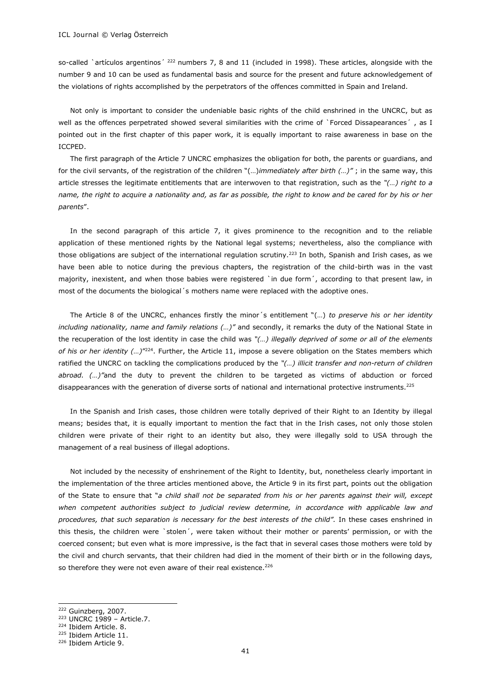so-called `artículos argentinos' <sup>222</sup> numbers 7, 8 and 11 (included in 1998). These articles, alongside with the number 9 and 10 can be used as fundamental basis and source for the present and future acknowledgement of the violations of rights accomplished by the perpetrators of the offences committed in Spain and Ireland.

Not only is important to consider the undeniable basic rights of the child enshrined in the UNCRC, but as well as the offences perpetrated showed several similarities with the crime of `Forced Dissapearances´, as I pointed out in the first chapter of this paper work, it is equally important to raise awareness in base on the ICCPED.

The first paragraph of the Article 7 UNCRC emphasizes the obligation for both, the parents or guardians, and for the civil servants, of the registration of the children "(…)*immediately after birth (…)"* ; in the same way, this article stresses the legitimate entitlements that are interwoven to that registration, such as the *"(…) right to a name, the right to acquire a nationality and, as far as possible, the right to know and be cared for by his or her parents*".

In the second paragraph of this article 7, it gives prominence to the recognition and to the reliable application of these mentioned rights by the National legal systems; nevertheless, also the compliance with those obligations are subject of the international regulation scrutiny.<sup>223</sup> In both, Spanish and Irish cases, as we have been able to notice during the previous chapters, the registration of the child-birth was in the vast majority, inexistent, and when those babies were registered `in due form', according to that present law, in most of the documents the biological´s mothers name were replaced with the adoptive ones.

The Article 8 of the UNCRC, enhances firstly the minor´s entitlement "(…) *to preserve his or her identity including nationality, name and family relations (…)"* and secondly, it remarks the duty of the National State in the recuperation of the lost identity in case the child was *"(…) illegally deprived of some or all of the elements*  of his or her identity (*...*)"<sup>224</sup>. Further, the Article 11, impose a severe obligation on the States members which ratified the UNCRC on tackling the complications produced by the *"(…) illicit transfer and non-return of children abroad. (…)"*and the duty to prevent the children to be targeted as victims of abduction or forced disappearances with the generation of diverse sorts of national and international protective instruments.<sup>225</sup>

In the Spanish and Irish cases, those children were totally deprived of their Right to an Identity by illegal means; besides that, it is equally important to mention the fact that in the Irish cases, not only those stolen children were private of their right to an identity but also, they were illegally sold to USA through the management of a real business of illegal adoptions.

Not included by the necessity of enshrinement of the Right to Identity, but, nonetheless clearly important in the implementation of the three articles mentioned above, the Article 9 in its first part, points out the obligation of the State to ensure that "*a child shall not be separated from his or her parents against their will, except when competent authorities subject to judicial review determine, in accordance with applicable law and procedures, that such separation is necessary for the best interests of the child".* In these cases enshrined in this thesis, the children were `stolen´, were taken without their mother or parents' permission, or with the coerced consent; but even what is more impressive, is the fact that in several cases those mothers were told by the civil and church servants, that their children had died in the moment of their birth or in the following days, so therefore they were not even aware of their real existence.<sup>226</sup>

<sup>222</sup> Guinzberg, 2007.

<sup>223</sup> UNCRC 1989 – Article.7.

<sup>224</sup> Ibidem Article. 8. <sup>225</sup> Ibidem Article 11.

<sup>226</sup> Ibidem Article 9.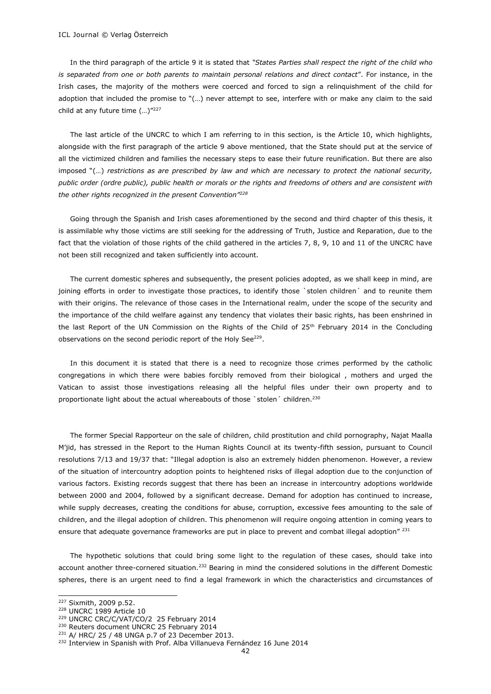#### ICL Journal © Verlag Österreich

In the third paragraph of the article 9 it is stated that *"States Parties shall respect the right of the child who is separated from one or both parents to maintain personal relations and direct contact*". For instance, in the Irish cases, the majority of the mothers were coerced and forced to sign a relinquishment of the child for adoption that included the promise to "(…) never attempt to see, interfere with or make any claim to the said child at any future time (…)"<sup>227</sup>

The last article of the UNCRC to which I am referring to in this section, is the Article 10, which highlights, alongside with the first paragraph of the article 9 above mentioned, that the State should put at the service of all the victimized children and families the necessary steps to ease their future reunification. But there are also imposed "(…) *restrictions as are prescribed by law and which are necessary to protect the national security, public order (ordre public), public health or morals or the rights and freedoms of others and are consistent with the other rights recognized in the present Convention"<sup>228</sup>*

Going through the Spanish and Irish cases aforementioned by the second and third chapter of this thesis, it is assimilable why those victims are still seeking for the addressing of Truth, Justice and Reparation, due to the fact that the violation of those rights of the child gathered in the articles 7, 8, 9, 10 and 11 of the UNCRC have not been still recognized and taken sufficiently into account.

The current domestic spheres and subsequently, the present policies adopted, as we shall keep in mind, are joining efforts in order to investigate those practices, to identify those `stolen children´ and to reunite them with their origins. The relevance of those cases in the International realm, under the scope of the security and the importance of the child welfare against any tendency that violates their basic rights, has been enshrined in the last Report of the UN Commission on the Rights of the Child of 25<sup>th</sup> February 2014 in the Concluding observations on the second periodic report of the Holy See<sup>229</sup>.

In this document it is stated that there is a need to recognize those crimes performed by the catholic congregations in which there were babies forcibly removed from their biological , mothers and urged the Vatican to assist those investigations releasing all the helpful files under their own property and to proportionate light about the actual whereabouts of those `stolen´ children.<sup>230</sup>

The former Special Rapporteur on the sale of children, child prostitution and child pornography, Najat Maalla M'jid, has stressed in the Report to the Human Rights Council at its twenty-fifth session, pursuant to Council resolutions 7/13 and 19/37 that: "Illegal adoption is also an extremely hidden phenomenon. However, a review of the situation of intercountry adoption points to heightened risks of illegal adoption due to the conjunction of various factors. Existing records suggest that there has been an increase in intercountry adoptions worldwide between 2000 and 2004, followed by a significant decrease. Demand for adoption has continued to increase, while supply decreases, creating the conditions for abuse, corruption, excessive fees amounting to the sale of children, and the illegal adoption of children. This phenomenon will require ongoing attention in coming years to ensure that adequate governance frameworks are put in place to prevent and combat illegal adoption" <sup>231</sup>

The hypothetic solutions that could bring some light to the regulation of these cases, should take into account another three-cornered situation.<sup>232</sup> Bearing in mind the considered solutions in the different Domestic spheres, there is an urgent need to find a legal framework in which the characteristics and circumstances of

ī

<sup>227</sup> Sixmith, 2009 p.52.

<sup>228</sup> UNCRC 1989 Article 10

<sup>229</sup> UNCRC CRC/C/VAT/CO/2 25 February 2014

<sup>&</sup>lt;sup>230</sup> Reuters document UNCRC 25 February 2014

<sup>231</sup> A/ HRC/ 25 / 48 UNGA p.7 of 23 December 2013.

<sup>&</sup>lt;sup>232</sup> Interview in Spanish with Prof. Alba Villanueva Fernández 16 June 2014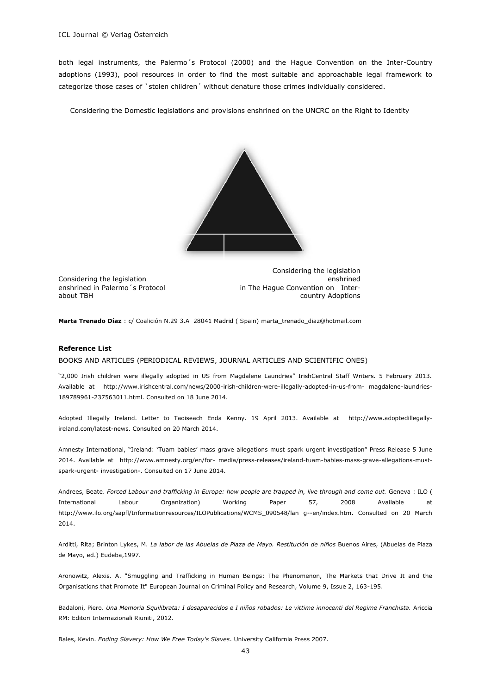both legal instruments, the Palermo´s Protocol (2000) and the Hague Convention on the Inter-Country adoptions (1993), pool resources in order to find the most suitable and approachable legal framework to categorize those cases of `stolen children´ without denature those crimes individually considered.

Considering the Domestic legislations and provisions enshrined on the UNCRC on the Right to Identity



Considering the legislation enshrined in Palermo´s Protocol about TBH

Considering the legislation enshrined in The Hague Convention on Intercountry Adoptions

**Marta Trenado Díaz** : c/ Coalición N.29 3.A 28041 Madrid ( Spain) marta\_trenado\_diaz@hotmail.com

#### **Reference List**

BOOKS AND ARTICLES (PERIODICAL REVIEWS, JOURNAL ARTICLES AND SCIENTIFIC ONES)

"2,000 Irish children were illegally adopted in US from Magdalene Laundries" IrishCentral Staff Writers. 5 February 2013. Available at [http://www.irishcentral.com/news/2000-irish-children-were-illegally-adopted-in-us-from-](http://www.irishcentral.com/news/2000-irish-children-were-illegally-adopted-in-us-from-magdalene-laundries-189789961-237563011.html) [magdalene-laundries-](http://www.irishcentral.com/news/2000-irish-children-were-illegally-adopted-in-us-from-magdalene-laundries-189789961-237563011.html)[189789961-237563011.html.](http://www.irishcentral.com/news/2000-irish-children-were-illegally-adopted-in-us-from-magdalene-laundries-189789961-237563011.html) Consulted on 18 June 2014.

Adopted Illegally Ireland. Letter to Taoiseach Enda Kenny. 19 April 2013. Available at [http://www.adoptedillegally](http://www.adoptedillegally-ireland.com/latest-news)[ireland.com/latest-news.](http://www.adoptedillegally-ireland.com/latest-news) Consulted on 20 March 2014.

Amnesty International, "Ireland: 'Tuam babies' mass grave allegations must spark urgent investigation" Press Release 5 June 2014. Available at [http://www.amnesty.org/en/for-](http://www.amnesty.org/en/for-media/press-releases/ireland-tuam-babies-mass-grave-allegations-must-spark-urgent-investigation-) [media/press-releases/ireland-tuam-babies-mass-grave-allegations-must](http://www.amnesty.org/en/for-media/press-releases/ireland-tuam-babies-mass-grave-allegations-must-spark-urgent-investigation-)[spark-urgent-](http://www.amnesty.org/en/for-media/press-releases/ireland-tuam-babies-mass-grave-allegations-must-spark-urgent-investigation-) [investigation-.](http://www.amnesty.org/en/for-media/press-releases/ireland-tuam-babies-mass-grave-allegations-must-spark-urgent-investigation-) Consulted on 17 June 2014.

Andrees, Beate. *Forced Labour and trafficking in Europe: how people are trapped in, live through and come out.* Geneva : ILO ( International Labour Organization) Working Paper 57, 2008 Available at http://www.ilo.org/sapfl/Informationresources/ILOPublications/WCMS\_090548/lan g--en/index.htm. Consulted on 20 March 2014.

Arditti, Rita; Brinton Lykes, M. *La labor de las Abuelas de Plaza de Mayo. Restitución de niños* Buenos Aires, (Abuelas de Plaza de Mayo, ed.) Eudeba,1997.

Aronowitz, Alexis. A. "Smuggling and Trafficking in Human Beings: The Phenomenon, The Markets that Drive It and the Organisations that Promote It" European Journal on Criminal Policy and Research, Volume 9, Issue 2, 163-195.

Badaloni, Piero. *Una Memoria Squilibrata: I desaparecidos e I niños robados: Le vittime innocenti del Regime Franchista.* Ariccia RM: Editori Internazionali Riuniti, 2012.

Bales, Kevin. *Ending Slavery: How We Free Today's Slaves*. University California Press 2007.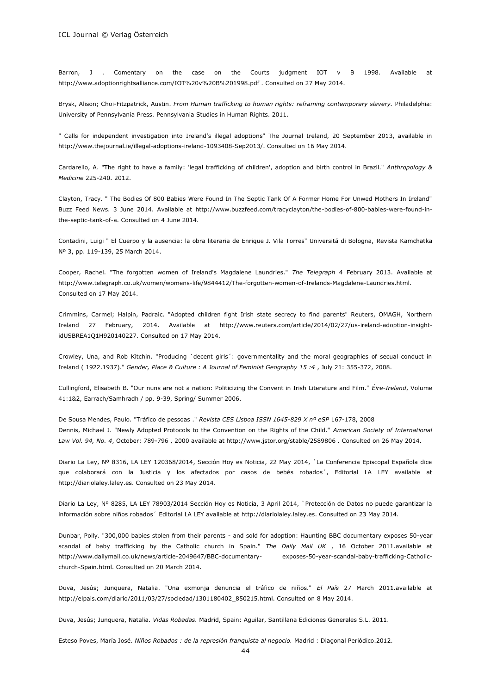Barron, J . Comentary on the case on the Courts judgment IOT v B 1998. Available at http://www.adoptionrightsalliance.com/IOT%20v%20B%201998.pdf . Consulted on 27 May 2014.

Brysk, Alison; Choi-Fitzpatrick, Austin. *From Human trafficking to human rights: reframing contemporary slavery.* Philadelphia: University of Pennsylvania Press. Pennsylvania Studies in Human Rights. 2011.

" Calls for independent investigation into Ireland's illegal adoptions" The Journal Ireland, 20 September 2013, available in http://www.thejournal.ie/illegal-adoptions-ireland-1093408-Sep2013/. Consulted on 16 May 2014.

Cardarello, A. "The right to have a family: 'legal trafficking of children', adoption and birth control in Brazil." *Anthropology & Medicine* 225-240. 2012.

Clayton, Tracy. " The Bodies Of 800 Babies Were Found In The Septic Tank Of A Former Home For Unwed Mothers In Ireland" Buzz Feed News. 3 June 2014. Available at http://www.buzzfeed.com/tracyclayton/the-bodies-of-800-babies-were-found-inthe-septic-tank-of-a. Consulted on 4 June 2014.

Contadini, Luigi " El Cuerpo y la ausencia: la obra literaria de Enrique J. Vila Torres" Universitá di Bologna, Revista Kamchatka Nº 3, pp. 119-139, 25 March 2014.

Cooper, Rachel. "The forgotten women of Ireland's Magdalene Laundries." *The Telegraph* 4 February 2013. Available at http://www.telegraph.co.uk/women/womens-life/9844412/The-forgotten-women-of-Irelands-Magdalene-Laundries.html. Consulted on 17 May 2014.

Crimmins, Carmel; Halpin, Padraic. "Adopted children fight Irish state secrecy to find parents" Reuters, OMAGH, Northern Ireland 27 February, 2014. Available at http://www.reuters.com/article/2014/02/27/us-ireland-adoption-insightidUSBREA1Q1H920140227. Consulted on 17 May 2014.

Crowley, Una, and Rob Kitchin. "Producing `decent girls´: governmentality and the moral geographies of secual conduct in Ireland ( 1922.1937)." *Gender, Place & Culture : A Journal of Feminist Geography 15 :4* , July 21: 355-372, 2008.

Cullingford, Elisabeth B. "Our nuns are not a nation: Politicizing the Convent in Irish Literature and Film." *Éire-Ireland*, Volume 41:1&2, Earrach/Samhradh / pp. 9-39, Spring/ Summer 2006.

De Sousa Mendes, Paulo. "Tráfico de pessoas ." *Revista CES Lisboa ISSN 1645-829 X nº eSP* 167-178, 2008 Dennis, Michael J. "Newly Adopted Protocols to the Convention on the Rights of the Child." *American Society of International Law Vol. 94, No. 4*, October: 789-796 , 2000 available at http://www.jstor.org/stable/2589806 . Consulted on 26 May 2014.

Diario La Ley, Nº 8316, LA LEY 120368/2014, Sección Hoy es Noticia, 22 May 2014, `La Conferencia Episcopal Española dice que colaborará con la Justicia y los afectados por casos de bebés robados´, Editorial LA LEY available at http://diariolaley.laley.es. Consulted on 23 May 2014.

Diario La Ley, Nº 8285, LA LEY 78903/2014 Sección Hoy es Noticia, 3 April 2014, `Protección de Datos no puede garantizar la información sobre niños robados´ Editorial LA LEY available at http://diariolaley.laley.es. Consulted on 23 May 2014.

Dunbar, Polly. "300,000 babies stolen from their parents - and sold for adoption: Haunting BBC documentary exposes 50-year scandal of baby trafficking by the Catholic church in Spain." *The Daily Mail UK* , 16 October 2011.available at http://www.dailymail.co.uk/news/article-2049647/BBC-documentary- exposes-50-year-scandal-baby-trafficking-Catholicchurch-Spain.html. Consulted on 20 March 2014.

Duva, Jesús; Junquera, Natalia. "Una exmonja denuncia el tráfico de niños." *El País* 27 March 2011.available at http://elpais.com/diario/2011/03/27/sociedad/1301180402\_850215.html. Consulted on 8 May 2014.

Duva, Jesús; Junquera, Natalia. *Vidas Robadas.* Madrid, Spain: Aguilar, Santillana Ediciones Generales S.L. 2011.

Esteso Poves, María José. *Niños Robados : de la represión franquista al negocio.* Madrid : Diagonal Periódico.2012.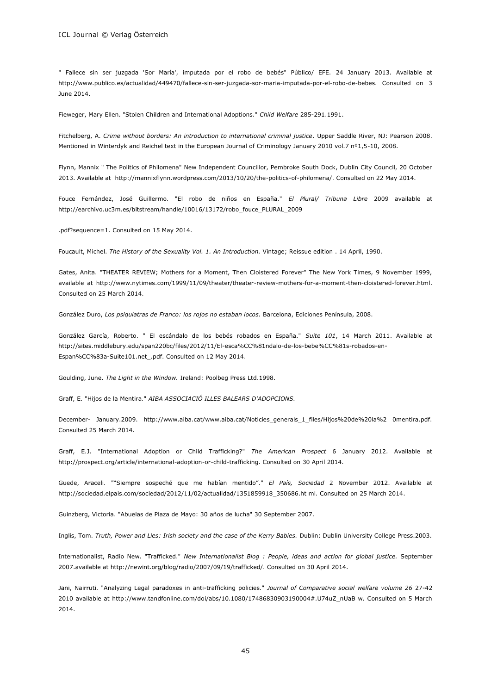" Fallece sin ser juzgada 'Sor María', imputada por el robo de bebés" Público/ EFE. 24 January 2013. Available at http://www.publico.es/actualidad/449470/fallece-sin-ser-juzgada-sor-maria-imputada-por-el-robo-de-bebes. Consulted on 3 June 2014.

Fieweger, Mary Ellen. "Stolen Children and International Adoptions." *Child Welfare* 285-291.1991.

Fitchelberg, A. *Crime without borders: An introduction to international criminal justice*. Upper Saddle River, NJ: Pearson 2008. Mentioned in Winterdyk and Reichel text in the European Journal of Criminology January 2010 vol.7 nº1,5-10, 2008.

Flynn, Mannix " The Politics of Philomena" New Independent Councillor, Pembroke South Dock, Dublin City Council, 20 October 2013. Available at http://mannixflynn.wordpress.com/2013/10/20/the-politics-of-philomena/. Consulted on 22 May 2014.

Fouce Fernández, José Guillermo. "El robo de niños en España." *El Plural/ Tribuna Libre* 2009 available at http://earchivo.uc3m.es/bitstream/handle/10016/13172/robo\_fouce\_PLURAL\_2009

.pdf?sequence=1. Consulted on 15 May 2014.

Foucault, Michel. *The History of the Sexuality Vol. 1. An Introduction.* Vintage; Reissue edition . 14 April, 1990.

Gates, Anita. "THEATER REVIEW; Mothers for a Moment, Then Cloistered Forever" The New York Times, 9 November 1999, available at http://www.nytimes.com/1999/11/09/theater/theater-review-mothers-for-a-moment-then-cloistered-forever.html. Consulted on 25 March 2014.

González Duro, *Los psiquiatras de Franco: los rojos no estaban locos.* Barcelona, Ediciones Península, 2008.

González García, Roberto. " El escándalo de los bebés robados en España." *Suite 101*, 14 March 2011. Available at http://sites.middlebury.edu/span220bc/files/2012/11/El-esca%CC%81ndalo-de-los-bebe%CC%81s-robados-en-Espan%CC%83a-Suite101.net\_.pdf. Consulted on 12 May 2014.

Goulding, June. *The Light in the Window.* Ireland: Poolbeg Press Ltd.1998.

Graff, E. "Hijos de la Mentira." *AIBA ASSOCIACIÓ ILLES BALEARS D'ADOPCIONS.*

December- January.2009. http://www.aiba.cat/www.aiba.cat/Noticies\_generals\_1\_files/Hijos%20de%20la%2 0mentira.pdf. Consulted 25 March 2014.

Graff, E.J. "International Adoption or Child Trafficking?" *The American Prospect* 6 January 2012. Available at http://prospect.org/article/international-adoption-or-child-trafficking. Consulted on 30 April 2014.

Guede, Araceli. ""Siempre sospeché que me habían mentido"." *El País, Sociedad* 2 November 2012. Available at http://sociedad.elpais.com/sociedad/2012/11/02/actualidad/1351859918\_350686.ht ml. Consulted on 25 March 2014.

Guinzberg, Victoria. "Abuelas de Plaza de Mayo: 30 años de lucha" 30 September 2007.

Inglis, Tom. *Truth, Power and Lies: Irish society and the case of the Kerry Babies.* Dublin: Dublin University College Press.2003.

Internationalist, Radio New. "Trafficked." *New Internationalist Blog : People, ideas and action for global justice.* September 2007.available at http://newint.org/blog/radio/2007/09/19/trafficked/. Consulted on 30 April 2014.

Jani, Nairruti. "Analyzing Legal paradoxes in anti-trafficking policies." *Journal of Comparative social welfare volume 26* 27-42 2010 available at http://www.tandfonline.com/doi/abs/10.1080/17486830903190004#.U74uZ\_nUaB w. Consulted on 5 March 2014.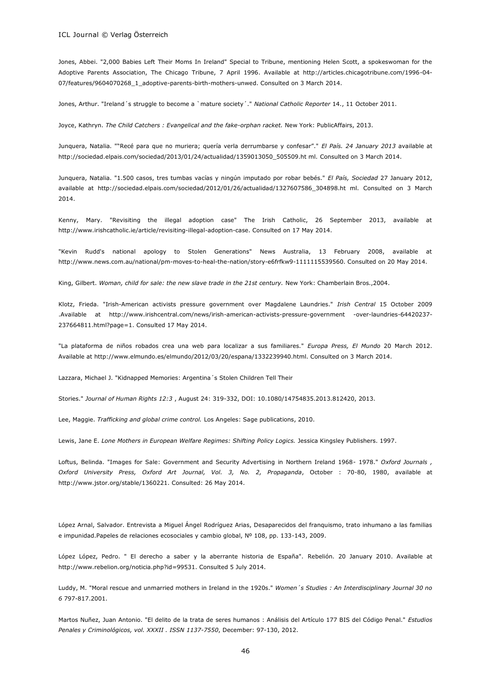Jones, Abbei. "2,000 Babies Left Their Moms In Ireland" Special to Tribune, mentioning Helen Scott, a spokeswoman for the Adoptive Parents Association, The Chicago Tribune, 7 April 1996. Available at http://articles.chicagotribune.com/1996-04- 07/features/9604070268\_1\_adoptive-parents-birth-mothers-unwed. Consulted on 3 March 2014.

Jones, Arthur. "Ireland´s struggle to become a `mature society´." *National Catholic Reporter* 14., 11 October 2011.

Joyce, Kathryn. *The Child Catchers : Evangelical and the fake-orphan racket.* New York: PublicAffairs, 2013.

Junquera, Natalia. ""Recé para que no muriera; quería verla derrumbarse y confesar"." *El País. 24 January 2013* available at http://sociedad.elpais.com/sociedad/2013/01/24/actualidad/1359013050\_505509.ht ml. Consulted on 3 March 2014.

Junquera, Natalia. "1.500 casos, tres tumbas vacías y ningún imputado por robar bebés." *El País, Sociedad* 27 January 2012, available at http://sociedad.elpais.com/sociedad/2012/01/26/actualidad/1327607586\_304898.ht ml. Consulted on 3 March 2014.

Kenny, Mary. "Revisiting the illegal adoption case" The Irish Catholic, 26 September 2013, available at http://www.irishcatholic.ie/article/revisiting-illegal-adoption-case. Consulted on 17 May 2014.

"Kevin Rudd's national apology to Stolen Generations" News Australia, 13 February 2008, available at http://www.news.com.au/national/pm-moves-to-heal-the-nation/story-e6frfkw9-1111115539560. Consulted on 20 May 2014.

King, Gilbert. *Woman, child for sale: the new slave trade in the 21st century.* New York: Chamberlain Bros.,2004.

Klotz, Frieda. "Irish-American activists pressure government over Magdalene Laundries." *Irish Central* 15 October 2009 .Available at http://www.irishcentral.com/news/irish-american-activists-pressure-government -over-laundries-64420237- 237664811.html?page=1. Consulted 17 May 2014.

"La plataforma de niños robados crea una web para localizar a sus familiares." *Europa Press, El Mundo* 20 March 2012. Available at http://www.elmundo.es/elmundo/2012/03/20/espana/1332239940.html. Consulted on 3 March 2014.

Lazzara, Michael J. "Kidnapped Memories: Argentina´s Stolen Children Tell Their

Stories." *Journal of Human Rights 12:3* , August 24: 319-332, DOI: 10.1080/14754835.2013.812420, 2013.

Lee, Maggie. *Trafficking and global crime control.* Los Angeles: Sage publications, 2010.

Lewis, Jane E. *Lone Mothers in European Welfare Regimes: Shifting Policy Logics.* Jessica Kingsley Publishers. 1997.

Loftus, Belinda. "Images for Sale: Government and Security Advertising in Northern Ireland 1968- 1978." *Oxford Journals , Oxford University Press, Oxford Art Journal, Vol. 3, No. 2, Propaganda*, October : 70-80, 1980, available at http://www.jstor.org/stable/1360221. Consulted: 26 May 2014.

López Arnal, Salvador. Entrevista a Miguel Ángel Rodríguez Arias, Desaparecidos del franquismo, trato inhumano a las familias e impunidad.Papeles de relaciones ecosociales y cambio global, Nº 108, pp. 133-143, 2009.

López López, Pedro. " El derecho a saber y la aberrante historia de España". Rebelión. 20 January 2010. Available at http://www.rebelion.org/noticia.php?id=99531. Consulted 5 July 2014.

Luddy, M. "Moral rescue and unmarried mothers in Ireland in the 1920s." *Women´s Studies : An Interdisciplinary Journal 30 no 6* 797-817.2001.

Martos Nuñez, Juan Antonio. "El delito de la trata de seres humanos : Análisis del Artículo 177 BIS del Código Penal." *Estudios Penales y Criminológicos, vol. XXXII . ISSN 1137-7550*, December: 97-130, 2012.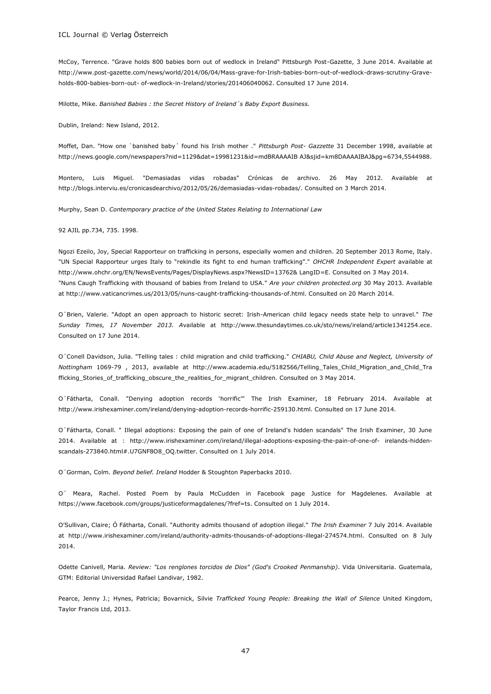McCoy, Terrence. "Grave holds 800 babies born out of wedlock in Ireland" Pittsburgh Post-Gazette, 3 June 2014. Available at http://www.post-gazette.com/news/world/2014/06/04/Mass-grave-for-Irish-babies-born-out-of-wedlock-draws-scrutiny-Graveholds-800-babies-born-out- of-wedlock-in-Ireland/stories/201406040062. Consulted 17 June 2014.

Milotte, Mike. *Banished Babies : the Secret History of Ireland´s Baby Export Business.*

Dublin, Ireland: New Island, 2012.

Moffet, Dan. "How one `banished baby´ found his Irish mother ." *Pittsburgh Post- Gazzette* 31 December 1998, available at http://news.google.com/newspapers?nid=1129&dat=19981231&id=mdBRAAAAIB AJ&sjid=km8DAAAAIBAJ&pg=6734,5544988.

Montero, Luis Miguel. "Demasiadas vidas robadas" Crónicas de archivo. 26 May 2012. Available at http://blogs.interviu.es/cronicasdearchivo/2012/05/26/demasiadas-vidas-robadas/. Consulted on 3 March 2014.

Murphy, Sean D. *Contemporary practice of the United States Relating to International Law*

92 AJIL pp.734, 735. 1998.

Ngozi Ezeilo, Joy, Special Rapporteur on trafficking in persons, especially women and children. 20 September 2013 Rome, Italy. "UN Special Rapporteur urges Italy to "rekindle its fight to end human trafficking"." *OHCHR Independent Expert* available at http://www.ohchr.org/EN/NewsEvents/Pages/DisplayNews.aspx?NewsID=13762& LangID=E. Consulted on 3 May 2014. "Nuns Caugh Trafficking with thousand of babies from Ireland to USA." *Are your children protected.org* 30 May 2013. Available at http://www.vaticancrimes.us/2013/05/nuns-caught-trafficking-thousands-of.html. Consulted on 20 March 2014.

O´Brien, Valerie. "Adopt an open approach to historic secret: Irish-American child legacy needs state help to unravel." *The Sunday Times, 17 November 2013. A*vailable at http://www.thesundaytimes.co.uk/sto/news/ireland/article1341254.ece. Consulted on 17 June 2014.

O´Conell Davidson, Julia. "Telling tales : child migration and child trafficking." *CHIABU, Child Abuse and Neglect, University of Nottingham* 1069-79 , 2013, available at http://www.academia.edu/5182566/Telling\_Tales\_Child\_Migration\_and\_Child\_Tra fficking\_Stories\_of\_trafficking\_obscure\_the\_realities\_for\_migrant\_children. Consulted on 3 May 2014.

O´Fátharta, Conall. "Denying adoption records 'horrific'" The Irish Examiner, 18 February 2014. Available at http://www.irishexaminer.com/ireland/denying-adoption-records-horrific-259130.html. Consulted on 17 June 2014.

O´Fátharta, Conall. " Illegal adoptions: Exposing the pain of one of Ireland's hidden scandals" The Irish Examiner, 30 June 2014. Available at : http://www.irishexaminer.com/ireland/illegal-adoptions-exposing-the-pain-of-one-of- irelands-hiddenscandals-273840.html#.U7GNF8O8\_OQ.twitter. Consulted on 1 July 2014.

O´Gorman, Colm. *Beyond belief. Ireland* Hodder & Stoughton Paperbacks 2010.

O´ Meara, Rachel. Posted Poem by Paula McCudden in Facebook page Justice for Magdelenes. Available at https://www.facebook.com/groups/justiceformagdalenes/?fref=ts. Consulted on 1 July 2014.

O'Sullivan, Claire; Ó Fátharta, Conall. "Authority admits thousand of adoption illegal." *The Irish Examiner* 7 July 2014. Available at http://www.irishexaminer.com/ireland/authority-admits-thousands-of-adoptions-illegal-274574.html. Consulted on 8 July 2014.

Odette Canivell, Maria. *Review: "Los renglones torcidos de Dios" (God's Crooked Penmanship)*. Vida Universitaria. Guatemala, GTM: Editorial Universidad Rafael Landivar, 1982.

Pearce, Jenny J.; Hynes, Patricia; Bovarnick, Silvie *Trafficked Young People: Breaking the Wall of Silence* United Kingdom, Taylor Francis Ltd, 2013.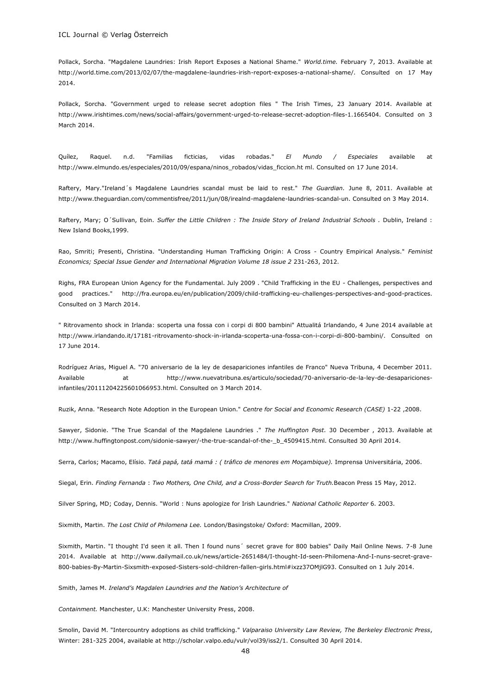Pollack, Sorcha. "Magdalene Laundries: Irish Report Exposes a National Shame." *World.time.* February 7, 2013. Available at http://world.time.com/2013/02/07/the-magdalene-laundries-irish-report-exposes-a-national-shame/. Consulted on 17 May 2014.

Pollack, Sorcha. "Government urged to release secret adoption files " The Irish Times, 23 January 2014. Available at http://www.irishtimes.com/news/social-affairs/government-urged-to-release-secret-adoption-files-1.1665404. Consulted on 3 March 2014.

Quílez, Raquel. n.d. "Familias ficticias, vidas robadas." *El Mundo / Especiales* available at http://www.elmundo.es/especiales/2010/09/espana/ninos\_robados/vidas\_ficcion.ht ml. Consulted on 17 June 2014.

Raftery, Mary."Ireland´s Magdalene Laundries scandal must be laid to rest." *The Guardian.* June 8, 2011. Available at http://www.theguardian.com/commentisfree/2011/jun/08/irealnd-magdalene-laundries-scandal-un. Consulted on 3 May 2014.

Raftery, Mary; O´Sullivan, Eoin. *Suffer the Little Children : The Inside Story of Ireland Industrial Schools .* Dublin, Ireland : New Island Books,1999.

Rao, Smriti; Presenti, Christina. "Understanding Human Trafficking Origin: A Cross - Country Empirical Analysis." *Feminist Economics; Special Issue Gender and International Migration Volume 18 issue 2* 231-263, 2012.

Righs, FRA European Union Agency for the Fundamental. July 2009 . "Child Trafficking in the EU - Challenges, perspectives and good practices." http://fra.europa.eu/en/publication/2009/child-trafficking-eu-challenges-perspectives-and-good-practices. Consulted on 3 March 2014.

" Ritrovamento shock in Irlanda: scoperta una fossa con i corpi di 800 bambini" Attualitá Irlandando, 4 June 2014 available at http://www.irlandando.it/17181-ritrovamento-shock-in-irlanda-scoperta-una-fossa-con-i-corpi-di-800-bambini/. Consulted on 17 June 2014.

Rodríguez Arias, Miguel A. "70 aniversario de la ley de desapariciones infantiles de Franco" Nueva Tribuna, 4 December 2011. Available at http://www.nuevatribuna.es/articulo/sociedad/70-aniversario-de-la-ley-de-desaparicionesinfantiles/20111204225601066953.html. Consulted on 3 March 2014.

Ruzik, Anna. "Research Note Adoption in the European Union." *Centre for Social and Economic Research (CASE)* 1-22 ,2008.

Sawyer, Sidonie. "The True Scandal of the Magdalene Laundries ." *The Huffington Post.* 30 December , 2013. Available at http://www.huffingtonpost.com/sidonie-sawyer/-the-true-scandal-of-the-\_b\_4509415.html. Consulted 30 April 2014.

Serra, Carlos; Macamo, Elísio. *Tatá papá, tatá mamá : ( tráfico de menores em Moçambique).* Imprensa Universitária, 2006.

Siegal, Erin. *Finding Fernanda* : *Two Mothers, One Child, and a Cross-Border Search for Truth.*Beacon Press 15 May, 2012.

Silver Spring, MD; Coday, Dennis. "World : Nuns apologize for Irish Laundries." *National Catholic Reporter* 6. 2003.

Sixmith, Martin. *The Lost Child of Philomena Lee.* London/Basingstoke/ Oxford: Macmillan, 2009.

Sixmith, Martin. "I thought I'd seen it all. Then I found nuns´ secret grave for 800 babies" Daily Mail Online News. 7-8 June 2014. Available at http://www.dailymail.co.uk/news/article-2651484/I-thought-Id-seen-Philomena-And-I-nuns-secret-grave-800-babies-By-Martin-Sixsmith-exposed-Sisters-sold-children-fallen-girls.html#ixzz37OMjlG93. Consulted on 1 July 2014.

Smith, James M. *Ireland's Magdalen Laundries and the Nation's Architecture of*

*Containment.* Manchester, U.K: Manchester University Press, 2008.

Smolin, David M. "Intercountry adoptions as child trafficking." *Valparaiso University Law Review, The Berkeley Electronic Press*, Winter: 281-325 2004, available at http://scholar.valpo.edu/vulr/vol39/iss2/1. Consulted 30 April 2014.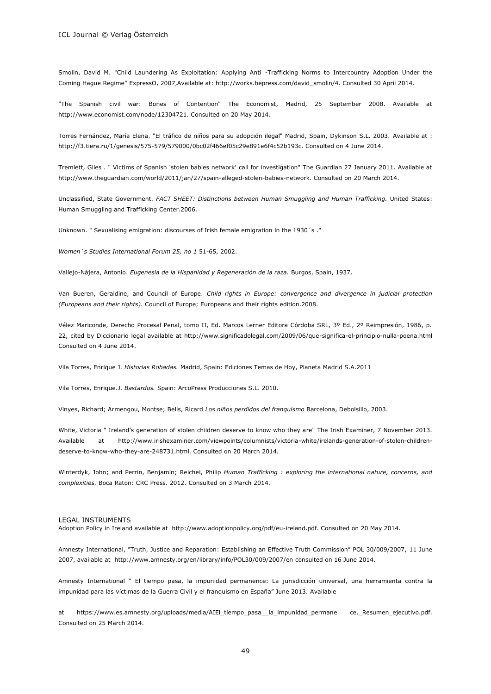Smolin, David M. "Child Laundering As Exploitation: Applying Anti -Trafficking Norms to Intercountry Adoption Under the Coming Hague Regime" ExpressO, 2007,Available at: http://works.bepress.com/david\_smolin/4. Consulted 30 April 2014.

"The Spanish civil war: Bones of Contention" The Economist, Madrid, 25 September 2008. Available at http://www.economist.com/node/12304721. Consulted on 20 May 2014.

Torres Fernández, María Elena. "El tráfico de niños para su adopción ilegal" Madrid, Spain, Dykinson S.L. 2003. Available at : http://f3.tiera.ru/1/genesis/575-579/579000/0bc02f466ef05c29e891e6f4c52b193c. Consulted on 4 June 2014.

Tremlett, Giles . " Victims of Spanish 'stolen babies network' call for investigation" The Guardian 27 January 2011. Available at http://www.theguardian.com/world/2011/jan/27/spain-alleged-stolen-babies-network. Consulted on 20 March 2014.

Unclassified, State Government. *FACT SHEET: Distinctions between Human Smuggling and Human Trafficking.* United States: Human Smuggling and Trafficking Center.2006.

Unknown. " Sexualising emigration: discourses of Irish female emigration in the 1930´s ."

*Women´s Studies International Forum 25, no 1* 51-65, 2002.

Vallejo-Nájera, Antonio. *Eugenesia de la Hispanidad y Regeneración de la raza.* Burgos, Spain, 1937.

Van Bueren, Geraldine, and Council of Europe. *Child rights in Europe: convergence and divergence in judicial protection (Europeans and their rights).* Council of Europe; Europeans and their rights edition.2008.

Vélez Mariconde, Derecho Procesal Penal, tomo II, Ed. Marcos Lerner Editora Córdoba SRL, 3º Ed., 2º Reimpresión, 1986, p. 22, cited by Diccionario legal available at http://www.significadolegal.com/2009/06/que-significa-el-principio-nulla-poena.html Consulted on 4 June 2014.

Vila Torres, Enrique J. *Historias Robadas.* Madrid, Spain: Ediciones Temas de Hoy, Planeta Madrid S.A.2011

Vila Torres, Enrique.J. *Bastardos.* Spain: ArcoPress Producciones S.L. 2010.

Vinyes, Richard; Armengou, Montse; Belis, Ricard *Los niños perdidos del franquismo* Barcelona, Debolsillo, 2003.

White, Victoria " Ireland's generation of stolen children deserve to know who they are" The Irish Examiner, 7 November 2013. Available at http://www.irishexaminer.com/viewpoints/columnists/victoria-white/irelands-generation-of-stolen-childrendeserve-to-know-who-they-are-248731.html. Consulted on 20 March 2014.

Winterdyk, John; and Perrin, Benjamin; Reichel, Philip *Human Trafficking : exploring the international nature, concerns, and complexities.* Boca Raton: CRC Press. 2012. Consulted on 3 March 2014.

#### LEGAL INSTRUMENTS

Adoption Policy in Ireland available at [http://www.adoptionpolicy.org/pdf/eu-ireland.pdf.](http://www.adoptionpolicy.org/pdf/eu-ireland.pdf) Consulted on 20 May 2014.

Amnesty International, "Truth, Justice and Reparation: Establishing an Effective Truth Commission" POL 30/009/2007, 11 June 2007, available at<http://www.amnesty.org/en/library/info/POL30/009/2007/en> consulted on 16 June 2014.

Amnesty International " El tiempo pasa, la impunidad permanence: La jurisdicción universal, una herramienta contra la impunidad para las víctimas de la Guerra Civil y el franquismo en España" June 2013. Available

at [https://www.es.amnesty.org/uploads/media/AIEl\\_tiempo\\_pasa\\_\\_la\\_impunidad\\_permane](https://www.es.amnesty.org/uploads/media/AIEl_tiempo_pasa__la_impunidad_permanece._Resumen_ejecutivo.pdf) [ce.\\_Resumen\\_ejecutivo.pdf.](https://www.es.amnesty.org/uploads/media/AIEl_tiempo_pasa__la_impunidad_permanece._Resumen_ejecutivo.pdf) Consulted on 25 March 2014.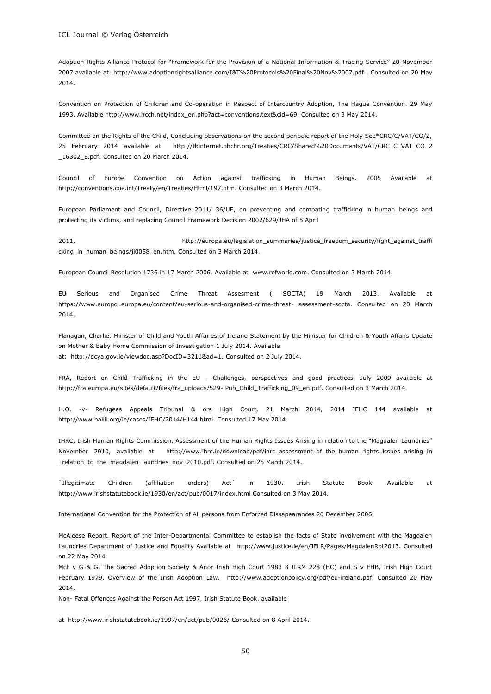Adoption Rights Alliance Protocol for "Framework for the Provision of a National Information & Tracing Service" 20 November 2007 available at<http://www.adoptionrightsalliance.com/I&T%20Protocols%20Final%20Nov%2007.pdf> . Consulted on 20 May 2014.

Convention on Protection of Children and Co-operation in Respect of Intercountry Adoption, The Hague Convention. 29 May 1993. Available http://www.hcch.net/index\_en.php?act=conventions.text&cid=69. Consulted on 3 May 2014.

Committee on the Rights of the Child, Concluding observations on the second periodic report of the Holy See\*CRC/C/VAT/CO/2, 25 February 2014 available at [http://tbinternet.ohchr.org/Treaties/CRC/Shared%20Documents/VAT/CRC\\_C\\_VAT\\_CO\\_2](http://tbinternet.ohchr.org/Treaties/CRC/Shared%20Documents/VAT/CRC_C_VAT_CO_2_16302_E.pdf)  [\\_16302\\_E.pdf.](http://tbinternet.ohchr.org/Treaties/CRC/Shared%20Documents/VAT/CRC_C_VAT_CO_2_16302_E.pdf) Consulted on 20 March 2014.

Council of Europe Convention on Action against trafficking in Human Beings. 2005 Available at [http://conventions.coe.int/Treaty/en/Treaties/Html/197.htm.](http://conventions.coe.int/Treaty/en/Treaties/Html/197.htm) Consulted on 3 March 2014.

European Parliament and Council, Directive 2011/ 36/UE, on preventing and combating trafficking in human beings and protecting its victims, and replacing Council Framework Decision 2002/629/JHA of 5 April

2011, [http://europa.eu/legislation\\_summaries/justice\\_freedom\\_security/fight\\_against\\_traffi](http://europa.eu/legislation_summaries/justice_freedom_security/fight_against_trafficking_in_human_beings/jl0058_en.htm)  [cking\\_in\\_human\\_beings/jl0058\\_en.htm.](http://europa.eu/legislation_summaries/justice_freedom_security/fight_against_trafficking_in_human_beings/jl0058_en.htm) Consulted on 3 March 2014.

European Council Resolution 1736 in 17 March 2006. Available at [www.refworld.com.](http://www.refworld.com/) Consulted on 3 March 2014.

EU Serious and Organised Crime Threat Assesment ( SOCTA) 19 March 2013. Available at [https://www.europol.europa.eu/content/eu-serious-and-organised-crime-threat-](https://www.europol.europa.eu/content/eu-serious-and-organised-crime-threat-assessment-socta) [assessment-socta.](https://www.europol.europa.eu/content/eu-serious-and-organised-crime-threat-assessment-socta) Consulted on 20 March 2014.

Flanagan, Charlie. Minister of Child and Youth Affaires of Ireland Statement by the Minister for Children & Youth Affairs Update on Mother & Baby Home Commission of Investigation 1 July 2014. Available at[: http://dcya.gov.ie/viewdoc.asp?DocID=3211&ad=1.](http://dcya.gov.ie/viewdoc.asp?DocID=3211&ad=1) Consulted on 2 July 2014.

FRA, Report on Child Trafficking in the EU - Challenges, perspectives and good practices, July 2009 available at [http://fra.europa.eu/sites/default/files/fra\\_uploads/529-](http://fra.europa.eu/sites/default/files/fra_uploads/529-Pub_Child_Trafficking_09_en.pdf) [Pub\\_Child\\_Trafficking\\_09\\_en.pdf.](http://fra.europa.eu/sites/default/files/fra_uploads/529-Pub_Child_Trafficking_09_en.pdf) Consulted on 3 March 2014.

H.O. -v- Refugees Appeals Tribunal & ors High Court, 21 March 2014, 2014 IEHC 144 available at [http://www.bailii.org/ie/cases/IEHC/2014/H144.html.](http://www.bailii.org/ie/cases/IEHC/2014/H144.html) Consulted 17 May 2014.

IHRC, Irish Human Rights Commission, Assessment of the Human Rights Issues Arising in relation to the "Magdalen Laundries" November 2010, available at [http://www.ihrc.ie/download/pdf/ihrc\\_assessment\\_of\\_the\\_human\\_rights\\_issues\\_arising\\_in](http://www.ihrc.ie/download/pdf/ihrc_assessment_of_the_human_rights_issues_arising_in_relation_to_the_magdalen_laundries_nov_2010.pdf)  [\\_relation\\_to\\_the\\_magdalen\\_laundries\\_nov\\_2010.pdf.](http://www.ihrc.ie/download/pdf/ihrc_assessment_of_the_human_rights_issues_arising_in_relation_to_the_magdalen_laundries_nov_2010.pdf) Consulted on 25 March 2014.

`Illegitimate Children (affiliation orders) Act´ in 1930. Irish Statute Book. Available at http://www.irishstatutebook.ie/1930/en/act/pub/0017/index.html Consulted on 3 May 2014.

International Convention for the Protection of All persons from Enforced Dissapearances 20 December 2006

McAleese Report. Report of the Inter-Departmental Committee to establish the facts of State involvement with the Magdalen Laundries Department of Justice and Equality Available at [http://www.justice.ie/en/JELR/Pages/MagdalenRpt2013.](http://www.justice.ie/en/JELR/Pages/MagdalenRpt2013) Consulted on 22 May 2014.

McF v G & G, The Sacred Adoption Society & Anor Irish High Court 1983 3 ILRM 228 (HC) and S v EHB, Irish High Court February 1979. Overview of the Irish Adoption Law. [http://www.adoptionpolicy.org/pdf/eu-ireland.pdf.](http://www.adoptionpolicy.org/pdf/eu-ireland.pdf) Consulted 20 May 2014.

Non- Fatal Offences Against the Person Act 1997, Irish Statute Book, available

at<http://www.irishstatutebook.ie/1997/en/act/pub/0026/> Consulted on 8 April 2014.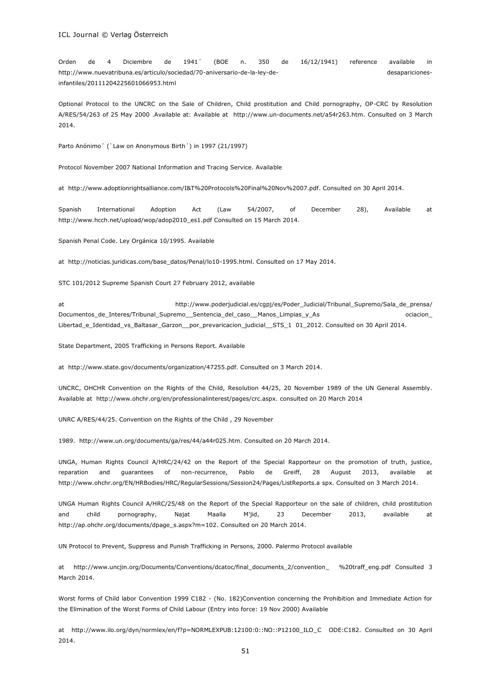Orden de 4 Diciembre de 1941´ (BOE n. 350 de 16/12/1941) reference available in [http://www.nuevatribuna.es/articulo/sociedad/70-aniversario-de-la-ley-de-](http://www.nuevatribuna.es/articulo/sociedad/70-aniversario-de-la-ley-de-desapariciones-infantiles/20111204225601066953.html)<br> [infantiles/20111204225601066953.html](http://www.nuevatribuna.es/articulo/sociedad/70-aniversario-de-la-ley-de-desapariciones-infantiles/20111204225601066953.html)

Optional Protocol to the UNCRC on the Sale of Children, Child prostitution and Child pornography, OP-CRC by Resolution A/RES/54/263 of 25 May 2000 .Available at: Available at [http://www.un-documents.net/a54r263.htm.](http://www.un-documents.net/a54r263.htm) Consulted on 3 March 2014.

Parto Anónimo´ (`Law on Anonymous Birth´) in 1997 (21/1997)

Protocol November 2007 National Information and Tracing Service. Available

at [http://www.adoptionrightsalliance.com/I&T%20Protocols%20Final%20Nov%2007.pdf.](http://www.adoptionrightsalliance.com/I&T%20Protocols%20Final%20Nov%2007.pdf) Consulted on 30 April 2014.

Spanish International Adoption Act (Law 54/2007, of December 28), Available at http://www.hcch.net/upload/wop/adop2010\_es1.pdf Consulted on 15 March 2014.

Spanish Penal Code. Ley Orgánica 10/1995. Available

at [http://noticias.juridicas.com/base\\_datos/Penal/lo10-1995.html.](http://noticias.juridicas.com/base_datos/Penal/lo10-1995.html) Consulted on 17 May 2014.

STC 101/2012 Supreme Spanish Court 27 February 2012, available

at [http://www.poderjudicial.es/cgpj/es/Poder\\_Judicial/Tribunal\\_Supremo/Sala\\_de\\_prensa/](http://www.poderjudicial.es/cgpj/es/Poder_Judicial/Tribunal_Supremo/Sala_de_prensa/Documentos_de_Interes/Tribunal_Supremo__Sentencia_del_caso__Manos_Limpias_y_Asociacion_Libertad_e_Identidad_vs_Baltasar_Garzon__por_prevaricacion_judicial__STS_101_2012)  [Documentos\\_de\\_Interes/Tribunal\\_Supremo\\_\\_Sentencia\\_del\\_caso\\_\\_Manos\\_Limpias\\_y\\_As](http://www.poderjudicial.es/cgpj/es/Poder_Judicial/Tribunal_Supremo/Sala_de_prensa/Documentos_de_Interes/Tribunal_Supremo__Sentencia_del_caso__Manos_Limpias_y_Asociacion_Libertad_e_Identidad_vs_Baltasar_Garzon__por_prevaricacion_judicial__STS_101_2012) ociacion\_ociacion\_ [Libertad\\_e\\_Identidad\\_vs\\_Baltasar\\_Garzon\\_\\_por\\_prevaricacion\\_judicial\\_\\_STS\\_1 01\\_2012.](http://www.poderjudicial.es/cgpj/es/Poder_Judicial/Tribunal_Supremo/Sala_de_prensa/Documentos_de_Interes/Tribunal_Supremo__Sentencia_del_caso__Manos_Limpias_y_Asociacion_Libertad_e_Identidad_vs_Baltasar_Garzon__por_prevaricacion_judicial__STS_101_2012) Consulted on 30 April 2014.

State Department, 2005 Trafficking in Persons Report. Available

at [http://www.state.gov/documents/organization/47255.pdf.](http://www.state.gov/documents/organization/47255.pdf) Consulted on 3 March 2014.

UNCRC, OHCHR Convention on the Rights of the Child, Resolution 44/25, 20 November 1989 of the UN General Assembly. Available at [http://www.ohchr.org/en/professionalinterest/pages/crc.aspx.](http://www.ohchr.org/en/professionalinterest/pages/crc.aspx) consulted on 20 March 2014

UNRC A/RES/44/25. Convention on the Rights of the Child , 29 November

1989[. http://www.un.org/documents/ga/res/44/a44r025.htm.](http://www.un.org/documents/ga/res/44/a44r025.htm) Consulted on 20 March 2014.

UNGA, Human Rights Council A/HRC/24/42 on the Report of the Special Rapporteur on the promotion of truth, justice, reparation and guarantees of non-recurrence, Pablo de Greiff, 28 August 2013, available at http://www.ohchr.org/EN/HRBodies/HRC/RegularSessions/Session24/Pages/ListReports.a spx. Consulted on 3 March 2014.

UNGA Human Rights Council A/HRC/25/48 on the Report of the Special Rapporteur on the sale of children, child prostitution and child pornography, Najat Maalla M'jid, 23 December 2013, available at [http://ap.ohchr.org/documents/dpage\\_s.aspx?m=102.](http://ap.ohchr.org/documents/dpage_s.aspx?m=102) Consulted on 20 March 2014.

UN Protocol to Prevent, Suppress and Punish Trafficking in Persons, 2000. Palermo Protocol available

at [http://www.uncjin.org/Documents/Conventions/dcatoc/final\\_documents\\_2/convention\\_](http://www.uncjin.org/Documents/Conventions/dcatoc/final_documents_2/convention_%20traff_eng.pdf) [%20traff\\_eng.pdf](http://www.uncjin.org/Documents/Conventions/dcatoc/final_documents_2/convention_%20traff_eng.pdf) Consulted 3 March 2014.

Worst forms of Child labor Convention 1999 C182 - (No. 182)Convention concerning the Prohibition and Immediate Action for the Elimination of the Worst Forms of Child Labour (Entry into force: 19 Nov 2000) Available

at [http://www.ilo.org/dyn/normlex/en/f?p=NORMLEXPUB:12100:0::NO::P12100\\_ILO\\_C ODE:C182.](http://www.ilo.org/dyn/normlex/en/f?p=NORMLEXPUB:12100:0::NO::P12100_ILO_CODE:C182) Consulted on 30 April 2014.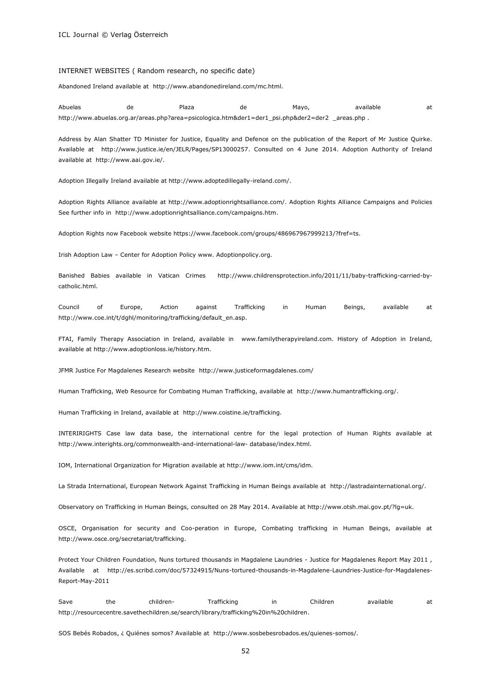#### INTERNET WEBSITES ( Random research, no specific date)

Abandoned Ireland available at [http://www.abandonedireland.com/mc.html.](http://www.abandonedireland.com/mc.html)

Abuelas de Plaza de Mayo, available at [http://www.abuelas.org.ar/areas.php?area=psicologica.htm&der1=der1\\_psi.php&der2=der2 \\_areas.php](http://www.abuelas.org.ar/areas.php?area=psicologica.htm&der1=der1_psi.php&der2=der2_areas.php) .

Address by Alan Shatter TD Minister for Justice, Equality and Defence on the publication of the Report of Mr Justice Quirke. Available at [http://www.justice.ie/en/JELR/Pages/SP13000257.](http://www.justice.ie/en/JELR/Pages/SP13000257) Consulted on 4 June 2014. Adoption Authority of Ireland available at [http://www.aai.gov.ie/.](http://www.aai.gov.ie/)

Adoption Illegally Ireland available at http://www.adoptedillegally-ireland.com/.

Adoption Rights Alliance available at http://www.adoptionrightsalliance.com/. Adoption Rights Alliance Campaigns and Policies See further info in [http://www.adoptionrightsalliance.com/campaigns.htm.](http://www.adoptionrightsalliance.com/campaigns.htm)

Adoption Rights now Facebook website https://www.facebook.com/groups/486967967999213/?fref=ts.

Irish Adoption Law – Center for Adoption Policy www. Adoptionpolicy.org.

Banished Babies available in Vatican Crimes [http://www.childrensprotection.info/2011/11/baby-trafficking-carried-by](http://www.childrensprotection.info/2011/11/baby-trafficking-carried-by-catholic.html)[catholic.html.](http://www.childrensprotection.info/2011/11/baby-trafficking-carried-by-catholic.html)

Council of Europe, Action against Trafficking in Human Beings, available at [http://www.coe.int/t/dghl/monitoring/trafficking/default\\_en.asp.](http://www.coe.int/t/dghl/monitoring/trafficking/default_en.asp)

FTAI, Family Therapy Association in Ireland, available in [www.familytherapyireland.com.](http://www.familytherapyireland.com/) History of Adoption in Ireland, available at http://www.adoptionloss.ie/history.htm.

JFMR Justice For Magdalenes Research website<http://www.justiceformagdalenes.com/>

Human Trafficking, Web Resource for Combating Human Trafficking, available at [http://www.humantrafficking.org/.](http://www.humantrafficking.org/)

Human Trafficking in Ireland, available at [http://www.coistine.ie/trafficking.](http://www.coistine.ie/trafficking)

INTERIRIGHTS Case law data base, the international centre for the legal protection of Human Rights available at [http://www.interights.org/commonwealth-and-international-law-](http://www.interights.org/commonwealth-and-international-law-database/index.html) [database/index.html.](http://www.interights.org/commonwealth-and-international-law-database/index.html)

IOM, International Organization for Migration available at http://www.iom.int/cms/idm.

La Strada International, European Network Against Trafficking in Human Beings available at [http://lastradainternational.org/.](http://lastradainternational.org/)

Observatory on Trafficking in Human Beings, consulted on 28 May 2014. Available at http://www.otsh.mai.gov.pt/?lg=uk.

OSCE, Organisation for security and Coo-peration in Europe, Combating trafficking in Human Beings, available at [http://www.osce.org/secretariat/trafficking.](http://www.osce.org/secretariat/trafficking)

Protect Your Children Foundation, Nuns tortured thousands in Magdalene Laundries - Justice for Magdalenes Report May 2011 , Available at http://es.scribd.com/doc/57324915/Nuns-tortured-thousands-in-Magdalene-Laundries-Justice-for-Magdalenes-Report-May-2011

Savethe children- Trafficking in Children available at [http://resourcecentre.savethechildren.se/search/library/trafficking%20in%20children.](http://resourcecentre.savethechildren.se/search/library/trafficking%20in%20children)

SOS Bebés Robados, ¿ Quiénes somos? Available at [http://www.sosbebesrobados.es/quienes-somos/.](http://www.sosbebesrobados.es/quienes-somos/)